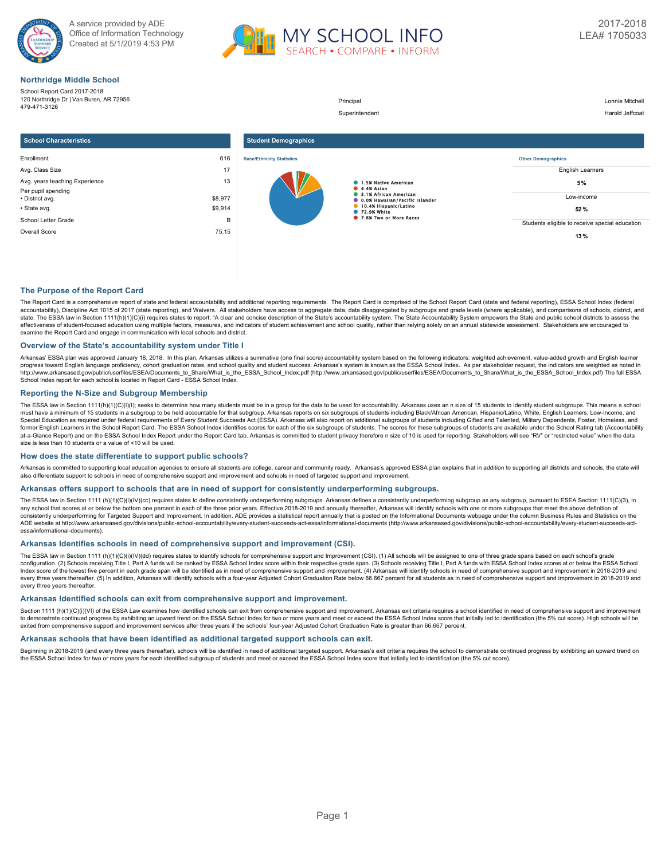



### **Northridge Middle School**

School Report Card 2017-2018 120 Northridge Dr | Van Buren, AR 72956 479-471-3126

Principal Lonnie Mitchell Superintendent Harold Jeffcoat **School Characteristics** Enrollment 616 Avg. Class Size 17 Avg. years teaching Experience 13 Per pupil spending • District avg.  $$8,977$ • State avg. \$9,914 School Letter Grade B Overall Score 75.15 **Student Demographics Race/Ethnicity Statistics** 1.5% Native American 4.4% Asian<br>3.1% African American<br>0.0% Hawaiian/Pacific Islander<br>10.4% White<br>7.8% Two or More Races<br>7.8% Two or More Races **Other Demographics** English Learners **5 %** Low-income **52 %** Students eligible to receive special education **13 %**

#### **The Purpose of the Report Card**

The Report Card is a comprehensive report of state and federal accountability and additional reporting requirements. The Report Card is comprised of the School Report Card (state and federal reporting), ESSA School Index ( accountability), Discipline Act 1015 of 2017 (state reporting), and Waivers. All stakeholders have access to aggregate data, data disaggregated by subgroups and grade levels (where applicable), and comparisons of schools, state. The ESSA law in Section 1111(h)(1)(C)(i) requires states to report, "A clear and concise description of the State's accountability system. The State Accountability System empowers the State and public school distric effectiveness of student-focused education using multiple factors, measures, and indicators of student achievement and school quality, rather than relying solely on an annual statewide assessment. Stakeholders are encoura

#### **Overview of the State's accountability system under Title I**

Arkansas' ESSA plan was approved January 18, 2018. In this plan, Arkansas utilizes a summative (one final score) accountability system based on the following indicators: weighted achievement, value-added growth and English progress toward English language proficiency, cohort graduation rates, and school quality and student success. Arkansas's system is known as the ESSA School Index. As per stakeholder request, the indicators are weighted as School Index report for each school is located in Report Card - ESSA School Index.

#### **Reporting the N-Size and Subgroup Membership**

The ESSA law in Section 1111(h)(1)(C)(i)(l); seeks to determine how many students must be in a group for the data to be used for accountability. Arkansas uses an n size of 15 students to identify student subgroups. This me must have a minimum of 15 students in a subgroup to be held accountable for that subgroup. Arkansas reports on six subgroups of students including Black/African American, Hispanic/Latino, White, English Learners, Low-Incom Special Education as required under federal requirements of Every Student Succeeds Act (ESSA). Arkansas will also report on additional subgroups of students including Gifted and Talented, Military Dependents, Foster, Homel former English Learners in the School Report Card. The ESSA School Index identifies scores for each of the six subgroups of students. The scores for these subgroups of students are available under the School Rating tab (Ac at-a-Glance Report) and on the ESSA School Index Report under the Report Card tab. Arkansas is committed to student privacy therefore n size of 10 is used for reporting. Stakeholders will see "RV" or "restricted value" whe size is less than 10 students or a value of <10 will be used.

#### **How does the state differentiate to support public schools?**

Arkansas is committed to supporting local education agencies to ensure all students are college, career and community ready. Arkansas's approved ESSA plan explains that in addition to supporting all districts and schools, also differentiate support to schools in need of comprehensive support and improvement and schools in need of targeted support and improvement.

#### **Arkansas offers support to schools that are in need of support for consistently underperforming subgroups.**

The ESSA law in Section 1111 (h)(1)(O)(i)(IV)(cc) requires states to define consistently underperforming subgroups. Arkansas defines a consistently underperforming subgroups as any subgroup, pursuant to ESEA Section 1111(C any school that scores at or below the bottom one percent in each of the three prior years. Effective 2018-2019 and annually thereafter. Arkansas will identify schools with one or more subgroups that meet the above definit consistently underperforming for Targeted Support and Improvement. In addition, ADE provides a statistical report annually that is posted on the Informational Documents webpage under the column Business Rules and Statistic ADE website at http://www.arkansased.gov/divisions/public-school-accountability/every-student-succeeds-act-essa/informational-documents (http://www.arkansased.gov/divisions/public-school-accountability/every-student-succee essa/informational-documents).

#### **Arkansas Identifies schools in need of comprehensive support and improvement (CSI).**

The ESSA law in Section 1111 (h)(1)(C)(i)(IV)(dd) requires states to identify schools for comprehensive support and Improvement (CSI). (1) All schools will be assigned to one of three grade spans based on each school's gra configuration. (2) Schools receiving Title I, Part A funds will be ranked by ESSA School Index score within their respective grade span. (3) Schools receiving Title I, Part A funds with ESSA School Index scores at or below every three years thereafter. (5) In addition, Arkansas will identify schools with a four-year Adjusted Cohort Graduation Rate below 66.667 percent for all students as in need of comprehensive support and improvement in 20 every three years thereafter.

#### **Arkansas Identified schools can exit from comprehensive support and improvement.**

Section 1111 (h)(1)(C)(i)(VI) of the ESSA Law examines how identified schools can exit from comprehensive support and improvement. Arkansas exit criteria requires a school identified in need of comprehensive support and im to demonstrate continued progress by exhibiting an upward trend on the ESSA School Index for two or more years and meet or exceed the ESSA School Index score that initially led to identification (the 5% cut score). High sc exited from comprehensive support and improvement services after three years if the schools' four-year Adjusted Cohort Graduation Rate is greater than 66.667 percent.

#### **Arkansas schools that have been identified as additional targeted support schools can exit.**

Beginning in 2018-2019 (and every three years thereafter), schools will be identified in need of additional targeted support. Arkansas's exit criteria requires the school to demonstrate continued progress by exhibiting an the ESSA School Index for two or more years for each identified subgroup of students and meet or exceed the ESSA School Index score that initially led to identification (the 5% cut score).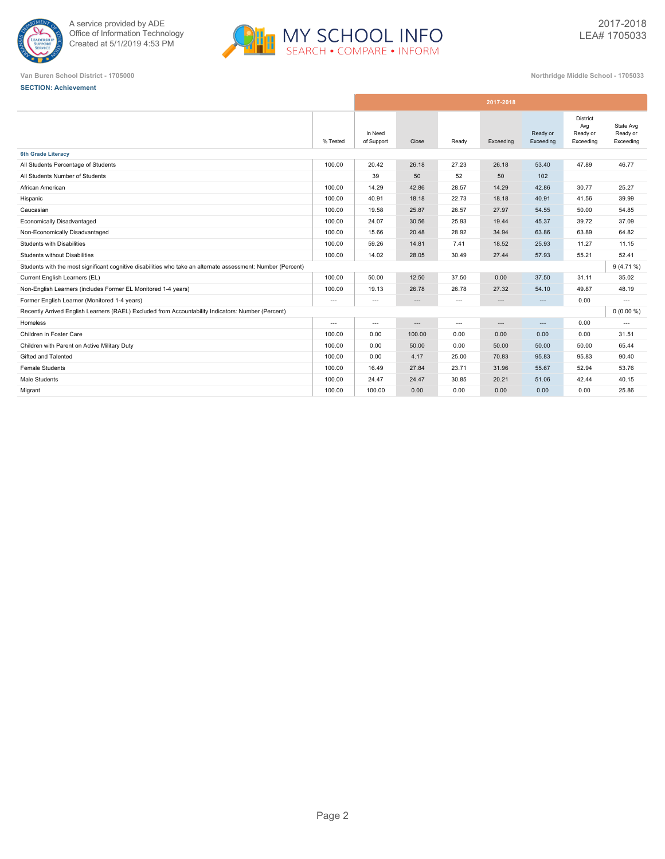



|                                                                                                              |                          | 2017-2018                |                          |                          |                          |                          |                                          |                                    |
|--------------------------------------------------------------------------------------------------------------|--------------------------|--------------------------|--------------------------|--------------------------|--------------------------|--------------------------|------------------------------------------|------------------------------------|
|                                                                                                              | % Tested                 | In Need<br>of Support    | Close                    | Ready                    | Exceeding                | Ready or<br>Exceeding    | District<br>Avg<br>Ready or<br>Exceeding | State Avg<br>Ready or<br>Exceeding |
| <b>6th Grade Literacy</b>                                                                                    |                          |                          |                          |                          |                          |                          |                                          |                                    |
| All Students Percentage of Students                                                                          | 100.00                   | 20.42                    | 26.18                    | 27.23                    | 26.18                    | 53.40                    | 47.89                                    | 46.77                              |
| All Students Number of Students                                                                              |                          | 39                       | 50                       | 52                       | 50                       | 102                      |                                          |                                    |
| African American                                                                                             | 100.00                   | 14.29                    | 42.86                    | 28.57                    | 14.29                    | 42.86                    | 30.77                                    | 25.27                              |
| Hispanic                                                                                                     | 100.00                   | 40.91                    | 18.18                    | 22.73                    | 18.18                    | 40.91                    | 41.56                                    | 39.99                              |
| Caucasian                                                                                                    | 100.00                   | 19.58                    | 25.87                    | 26.57                    | 27.97                    | 54.55                    | 50.00                                    | 54.85                              |
| Economically Disadvantaged                                                                                   | 100.00                   | 24.07                    | 30.56                    | 25.93                    | 19.44                    | 45.37                    | 39.72                                    | 37.09                              |
| Non-Economically Disadvantaged                                                                               | 100.00                   | 15.66                    | 20.48                    | 28.92                    | 34.94                    | 63.86                    | 63.89                                    | 64.82                              |
| Students with Disabilities                                                                                   | 100.00                   | 59.26                    | 14.81                    | 7.41                     | 18.52                    | 25.93                    | 11.27                                    | 11.15                              |
| Students without Disabilities                                                                                | 100.00                   | 14.02                    | 28.05                    | 30.49                    | 27.44                    | 57.93                    | 55.21                                    | 52.41                              |
| Students with the most significant cognitive disabilities who take an alternate assessment: Number (Percent) |                          |                          |                          |                          |                          |                          |                                          | $9(4.71\%)$                        |
| Current English Learners (EL)                                                                                | 100.00                   | 50.00                    | 12.50                    | 37.50                    | 0.00                     | 37.50                    | 31.11                                    | 35.02                              |
| Non-English Learners (includes Former EL Monitored 1-4 years)                                                | 100.00                   | 19.13                    | 26.78                    | 26.78                    | 27.32                    | 54.10                    | 49.87                                    | 48.19                              |
| Former English Learner (Monitored 1-4 years)                                                                 | $\sim$ $\sim$            | $\hspace{0.05cm} \ldots$ | $\cdots$                 | $\hspace{0.05cm} \ldots$ | $\cdots$                 | $\cdots$                 | 0.00                                     | ---                                |
| Recently Arrived English Learners (RAEL) Excluded from Accountability Indicators: Number (Percent)           |                          |                          |                          |                          |                          |                          |                                          | $0(0.00\%)$                        |
| Homeless                                                                                                     | $\overline{\phantom{a}}$ | $\overline{\phantom{a}}$ | $\overline{\phantom{a}}$ | $\overline{\phantom{a}}$ | $\overline{\phantom{a}}$ | $\overline{\phantom{a}}$ | 0.00                                     | $---$                              |
| Children in Foster Care                                                                                      | 100.00                   | 0.00                     | 100.00                   | 0.00                     | 0.00                     | 0.00                     | 0.00                                     | 31.51                              |
| Children with Parent on Active Military Duty                                                                 | 100.00                   | 0.00                     | 50.00                    | 0.00                     | 50.00                    | 50.00                    | 50.00                                    | 65.44                              |
| Gifted and Talented                                                                                          | 100.00                   | 0.00                     | 4.17                     | 25.00                    | 70.83                    | 95.83                    | 95.83                                    | 90.40                              |
| <b>Female Students</b>                                                                                       | 100.00                   | 16.49                    | 27.84                    | 23.71                    | 31.96                    | 55.67                    | 52.94                                    | 53.76                              |
| Male Students                                                                                                | 100.00                   | 24.47                    | 24.47                    | 30.85                    | 20.21                    | 51.06                    | 42.44                                    | 40.15                              |
| Migrant                                                                                                      | 100.00                   | 100.00                   | 0.00                     | 0.00                     | 0.00                     | 0.00                     | 0.00                                     | 25.86                              |
|                                                                                                              |                          |                          |                          |                          |                          |                          |                                          |                                    |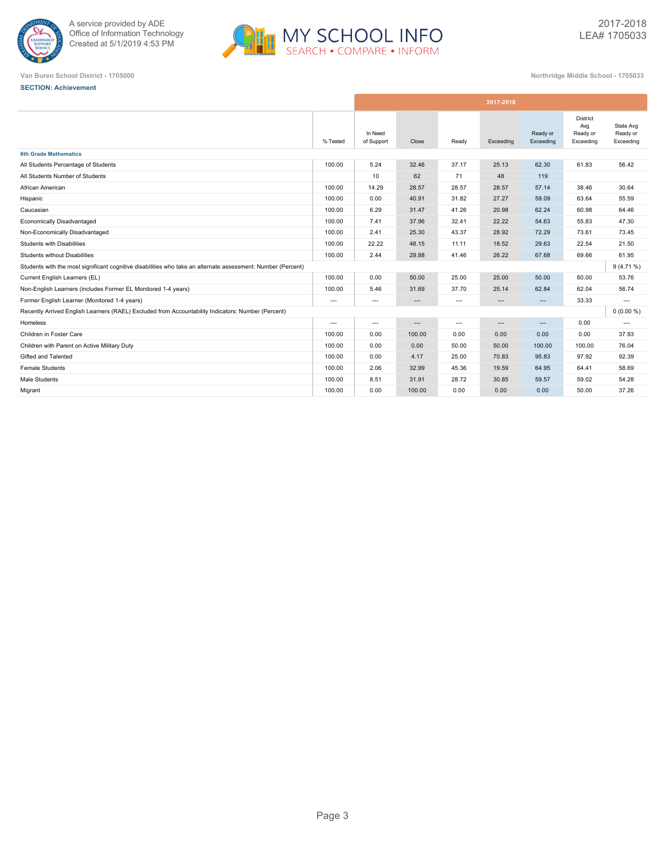



|                                                                                                              |               |                          |                          |                          | 2017-2018                |                          |                                          |                                    |
|--------------------------------------------------------------------------------------------------------------|---------------|--------------------------|--------------------------|--------------------------|--------------------------|--------------------------|------------------------------------------|------------------------------------|
|                                                                                                              | % Tested      | In Need<br>of Support    | Close                    | Ready                    | Exceeding                | Ready or<br>Exceeding    | District<br>Avg<br>Ready or<br>Exceeding | State Avg<br>Ready or<br>Exceeding |
| <b>6th Grade Mathematics</b>                                                                                 |               |                          |                          |                          |                          |                          |                                          |                                    |
| All Students Percentage of Students                                                                          | 100.00        | 5.24                     | 32.46                    | 37.17                    | 25.13                    | 62.30                    | 61.83                                    | 56.42                              |
| All Students Number of Students                                                                              |               | 10                       | 62                       | 71                       | 48                       | 119                      |                                          |                                    |
| African American                                                                                             | 100.00        | 14.29                    | 28.57                    | 28.57                    | 28.57                    | 57.14                    | 38.46                                    | 30.64                              |
| Hispanic                                                                                                     | 100.00        | 0.00                     | 40.91                    | 31.82                    | 27.27                    | 59.09                    | 63.64                                    | 55.59                              |
| Caucasian                                                                                                    | 100.00        | 6.29                     | 31.47                    | 41.26                    | 20.98                    | 62.24                    | 60.98                                    | 64.46                              |
| Economically Disadvantaged                                                                                   | 100.00        | 7.41                     | 37.96                    | 32.41                    | 22.22                    | 54.63                    | 55.83                                    | 47.30                              |
| Non-Economically Disadvantaged                                                                               | 100.00        | 2.41                     | 25.30                    | 43.37                    | 28.92                    | 72.29                    | 73.61                                    | 73.45                              |
| Students with Disabilities                                                                                   | 100.00        | 22.22                    | 48.15                    | 11.11                    | 18.52                    | 29.63                    | 22.54                                    | 21.50                              |
| Students without Disabilities                                                                                | 100.00        | 2.44                     | 29.88                    | 41.46                    | 26.22                    | 67.68                    | 69.66                                    | 61.95                              |
| Students with the most significant cognitive disabilities who take an alternate assessment: Number (Percent) |               |                          |                          |                          |                          |                          |                                          | $9(4.71\%)$                        |
| Current English Learners (EL)                                                                                | 100.00        | 0.00                     | 50.00                    | 25.00                    | 25.00                    | 50.00                    | 60.00                                    | 53.76                              |
| Non-English Learners (includes Former EL Monitored 1-4 years)                                                | 100.00        | 5.46                     | 31.69                    | 37.70                    | 25.14                    | 62.84                    | 62.04                                    | 56.74                              |
| Former English Learner (Monitored 1-4 years)                                                                 | $\sim$ $\sim$ | $\hspace{0.05cm} \ldots$ | $\hspace{0.05cm} \ldots$ | $\hspace{0.05cm} \ldots$ | $\hspace{0.05cm} \ldots$ | $\hspace{0.05cm} \ldots$ | 33.33                                    | $\qquad \qquad -$                  |
| Recently Arrived English Learners (RAEL) Excluded from Accountability Indicators: Number (Percent)           |               |                          |                          |                          |                          |                          |                                          | $0(0.00\%)$                        |
| Homeless                                                                                                     | $---$         | $\overline{\phantom{a}}$ | $\qquad \qquad -$        | $\overline{\phantom{a}}$ | $\overline{\phantom{a}}$ | $\cdots$                 | 0.00                                     | $\cdots$                           |
| Children in Foster Care                                                                                      | 100.00        | 0.00                     | 100.00                   | 0.00                     | 0.00                     | 0.00                     | 0.00                                     | 37.93                              |
| Children with Parent on Active Military Duty                                                                 | 100.00        | 0.00                     | 0.00                     | 50.00                    | 50.00                    | 100.00                   | 100.00                                   | 76.04                              |
| Gifted and Talented                                                                                          | 100.00        | 0.00                     | 4.17                     | 25.00                    | 70.83                    | 95.83                    | 97.92                                    | 92.39                              |
| <b>Female Students</b>                                                                                       | 100.00        | 2.06                     | 32.99                    | 45.36                    | 19.59                    | 64.95                    | 64.41                                    | 58.69                              |
| Male Students                                                                                                | 100.00        | 8.51                     | 31.91                    | 28.72                    | 30.85                    | 59.57                    | 59.02                                    | 54.28                              |
| Migrant                                                                                                      | 100.00        | 0.00                     | 100.00                   | 0.00                     | 0.00                     | 0.00                     | 50.00                                    | 37.26                              |
|                                                                                                              |               |                          |                          |                          |                          |                          |                                          |                                    |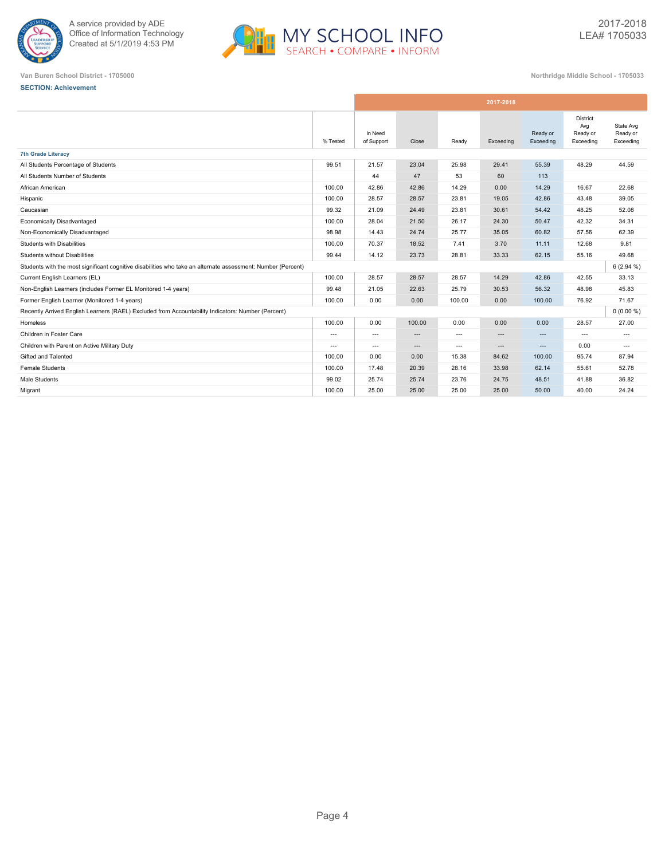



| <b>District</b><br>Avg<br>State Avg<br>Ready or<br>In Need<br>Ready or<br>Ready or<br>% Tested<br>of Support<br>Close<br>Exceeding<br>Exceeding<br>Ready<br>Exceeding<br>Exceeding<br><b>7th Grade Literacy</b><br>99.51<br>21.57<br>23.04<br>55.39<br>All Students Percentage of Students<br>25.98<br>29.41<br>48.29<br>44.59<br>47<br>53<br>60<br>113<br>44<br>100.00<br>42.86<br>42.86<br>14.29<br>0.00<br>14.29<br>16.67<br>22.68<br>100.00<br>28.57<br>28.57<br>23.81<br>19.05<br>42.86<br>43.48<br>39.05<br>99.32<br>21.09<br>24.49<br>23.81<br>30.61<br>54.42<br>48.25<br>52.08<br>100.00<br>28.04<br>21.50<br>26.17<br>24.30<br>42.32<br>34.31<br>50.47<br>98.98<br>14.43<br>24.74<br>25.77<br>35.05<br>60.82<br>57.56<br>62.39<br>100.00<br>70.37<br>18.52<br>7.41<br>3.70<br>11.11<br>12.68<br>9.81<br>99.44<br>14.12<br>23.73<br>28.81<br>33.33<br>62.15<br>55.16<br>49.68<br>100.00<br>28.57<br>28.57<br>28.57<br>14.29<br>42.86<br>33.13<br>42.55<br>99.48<br>21.05<br>25.79<br>56.32<br>48.98<br>45.83<br>22.63<br>30.53<br>0.00<br>0.00<br>100.00<br>0.00<br>100.00<br>76.92<br>71.67<br>100.00<br>100.00<br>0.00<br>100.00<br>0.00<br>0.00<br>0.00<br>28.57<br>27.00<br>$\hspace{0.05cm} \ldots$<br>$\hspace{0.05cm} \ldots$<br>$\cdots$<br>$\hspace{0.05cm} \ldots$<br>$\cdots$<br>$\cdots$<br>$\cdots$<br>$---$<br>0.00<br>$\hspace{0.05cm} \ldots$<br>$---$<br>$\hspace{0.05cm} \ldots$<br>$---$<br>$\hspace{0.05cm} \ldots$<br>$\cdots$<br>$---$<br>95.74<br>87.94<br>100.00<br>0.00<br>0.00<br>15.38<br>84.62<br>100.00<br>100.00<br>17.48<br>20.39<br>28.16<br>33.98<br>62.14<br>55.61<br>52.78<br>99.02<br>25.74<br>25.74<br>24.75<br>48.51<br>41.88<br>36.82<br>23.76<br>100.00<br>25.00<br>25.00<br>25.00<br>25.00<br>50.00<br>40.00<br>24.24 |  |  | 2017-2018 |  |             |
|------------------------------------------------------------------------------------------------------------------------------------------------------------------------------------------------------------------------------------------------------------------------------------------------------------------------------------------------------------------------------------------------------------------------------------------------------------------------------------------------------------------------------------------------------------------------------------------------------------------------------------------------------------------------------------------------------------------------------------------------------------------------------------------------------------------------------------------------------------------------------------------------------------------------------------------------------------------------------------------------------------------------------------------------------------------------------------------------------------------------------------------------------------------------------------------------------------------------------------------------------------------------------------------------------------------------------------------------------------------------------------------------------------------------------------------------------------------------------------------------------------------------------------------------------------------------------------------------------------------------------------------------------------------------------------------------------------------------------------------------------------------------|--|--|-----------|--|-------------|
|                                                                                                                                                                                                                                                                                                                                                                                                                                                                                                                                                                                                                                                                                                                                                                                                                                                                                                                                                                                                                                                                                                                                                                                                                                                                                                                                                                                                                                                                                                                                                                                                                                                                                                                                                                        |  |  |           |  |             |
|                                                                                                                                                                                                                                                                                                                                                                                                                                                                                                                                                                                                                                                                                                                                                                                                                                                                                                                                                                                                                                                                                                                                                                                                                                                                                                                                                                                                                                                                                                                                                                                                                                                                                                                                                                        |  |  |           |  |             |
| All Students Number of Students<br>African American<br>Hispanic<br>Caucasian<br>Economically Disadvantaged<br>Non-Economically Disadvantaged<br><b>Students with Disabilities</b><br><b>Students without Disabilities</b><br>Students with the most significant cognitive disabilities who take an alternate assessment: Number (Percent)<br>Current English Learners (EL)<br>Non-English Learners (includes Former EL Monitored 1-4 years)<br>Former English Learner (Monitored 1-4 years)<br>Recently Arrived English Learners (RAEL) Excluded from Accountability Indicators: Number (Percent)<br>Homeless<br>Children in Foster Care<br>Children with Parent on Active Military Duty<br>Gifted and Talented<br>Female Students<br>Male Students<br>Migrant                                                                                                                                                                                                                                                                                                                                                                                                                                                                                                                                                                                                                                                                                                                                                                                                                                                                                                                                                                                                         |  |  |           |  |             |
|                                                                                                                                                                                                                                                                                                                                                                                                                                                                                                                                                                                                                                                                                                                                                                                                                                                                                                                                                                                                                                                                                                                                                                                                                                                                                                                                                                                                                                                                                                                                                                                                                                                                                                                                                                        |  |  |           |  |             |
|                                                                                                                                                                                                                                                                                                                                                                                                                                                                                                                                                                                                                                                                                                                                                                                                                                                                                                                                                                                                                                                                                                                                                                                                                                                                                                                                                                                                                                                                                                                                                                                                                                                                                                                                                                        |  |  |           |  |             |
|                                                                                                                                                                                                                                                                                                                                                                                                                                                                                                                                                                                                                                                                                                                                                                                                                                                                                                                                                                                                                                                                                                                                                                                                                                                                                                                                                                                                                                                                                                                                                                                                                                                                                                                                                                        |  |  |           |  |             |
|                                                                                                                                                                                                                                                                                                                                                                                                                                                                                                                                                                                                                                                                                                                                                                                                                                                                                                                                                                                                                                                                                                                                                                                                                                                                                                                                                                                                                                                                                                                                                                                                                                                                                                                                                                        |  |  |           |  |             |
|                                                                                                                                                                                                                                                                                                                                                                                                                                                                                                                                                                                                                                                                                                                                                                                                                                                                                                                                                                                                                                                                                                                                                                                                                                                                                                                                                                                                                                                                                                                                                                                                                                                                                                                                                                        |  |  |           |  |             |
|                                                                                                                                                                                                                                                                                                                                                                                                                                                                                                                                                                                                                                                                                                                                                                                                                                                                                                                                                                                                                                                                                                                                                                                                                                                                                                                                                                                                                                                                                                                                                                                                                                                                                                                                                                        |  |  |           |  |             |
|                                                                                                                                                                                                                                                                                                                                                                                                                                                                                                                                                                                                                                                                                                                                                                                                                                                                                                                                                                                                                                                                                                                                                                                                                                                                                                                                                                                                                                                                                                                                                                                                                                                                                                                                                                        |  |  |           |  |             |
|                                                                                                                                                                                                                                                                                                                                                                                                                                                                                                                                                                                                                                                                                                                                                                                                                                                                                                                                                                                                                                                                                                                                                                                                                                                                                                                                                                                                                                                                                                                                                                                                                                                                                                                                                                        |  |  |           |  |             |
|                                                                                                                                                                                                                                                                                                                                                                                                                                                                                                                                                                                                                                                                                                                                                                                                                                                                                                                                                                                                                                                                                                                                                                                                                                                                                                                                                                                                                                                                                                                                                                                                                                                                                                                                                                        |  |  |           |  | $6(2.94\%)$ |
|                                                                                                                                                                                                                                                                                                                                                                                                                                                                                                                                                                                                                                                                                                                                                                                                                                                                                                                                                                                                                                                                                                                                                                                                                                                                                                                                                                                                                                                                                                                                                                                                                                                                                                                                                                        |  |  |           |  |             |
|                                                                                                                                                                                                                                                                                                                                                                                                                                                                                                                                                                                                                                                                                                                                                                                                                                                                                                                                                                                                                                                                                                                                                                                                                                                                                                                                                                                                                                                                                                                                                                                                                                                                                                                                                                        |  |  |           |  |             |
|                                                                                                                                                                                                                                                                                                                                                                                                                                                                                                                                                                                                                                                                                                                                                                                                                                                                                                                                                                                                                                                                                                                                                                                                                                                                                                                                                                                                                                                                                                                                                                                                                                                                                                                                                                        |  |  |           |  |             |
|                                                                                                                                                                                                                                                                                                                                                                                                                                                                                                                                                                                                                                                                                                                                                                                                                                                                                                                                                                                                                                                                                                                                                                                                                                                                                                                                                                                                                                                                                                                                                                                                                                                                                                                                                                        |  |  |           |  | $0(0.00\%)$ |
|                                                                                                                                                                                                                                                                                                                                                                                                                                                                                                                                                                                                                                                                                                                                                                                                                                                                                                                                                                                                                                                                                                                                                                                                                                                                                                                                                                                                                                                                                                                                                                                                                                                                                                                                                                        |  |  |           |  |             |
|                                                                                                                                                                                                                                                                                                                                                                                                                                                                                                                                                                                                                                                                                                                                                                                                                                                                                                                                                                                                                                                                                                                                                                                                                                                                                                                                                                                                                                                                                                                                                                                                                                                                                                                                                                        |  |  |           |  |             |
|                                                                                                                                                                                                                                                                                                                                                                                                                                                                                                                                                                                                                                                                                                                                                                                                                                                                                                                                                                                                                                                                                                                                                                                                                                                                                                                                                                                                                                                                                                                                                                                                                                                                                                                                                                        |  |  |           |  |             |
|                                                                                                                                                                                                                                                                                                                                                                                                                                                                                                                                                                                                                                                                                                                                                                                                                                                                                                                                                                                                                                                                                                                                                                                                                                                                                                                                                                                                                                                                                                                                                                                                                                                                                                                                                                        |  |  |           |  |             |
|                                                                                                                                                                                                                                                                                                                                                                                                                                                                                                                                                                                                                                                                                                                                                                                                                                                                                                                                                                                                                                                                                                                                                                                                                                                                                                                                                                                                                                                                                                                                                                                                                                                                                                                                                                        |  |  |           |  |             |
|                                                                                                                                                                                                                                                                                                                                                                                                                                                                                                                                                                                                                                                                                                                                                                                                                                                                                                                                                                                                                                                                                                                                                                                                                                                                                                                                                                                                                                                                                                                                                                                                                                                                                                                                                                        |  |  |           |  |             |
|                                                                                                                                                                                                                                                                                                                                                                                                                                                                                                                                                                                                                                                                                                                                                                                                                                                                                                                                                                                                                                                                                                                                                                                                                                                                                                                                                                                                                                                                                                                                                                                                                                                                                                                                                                        |  |  |           |  |             |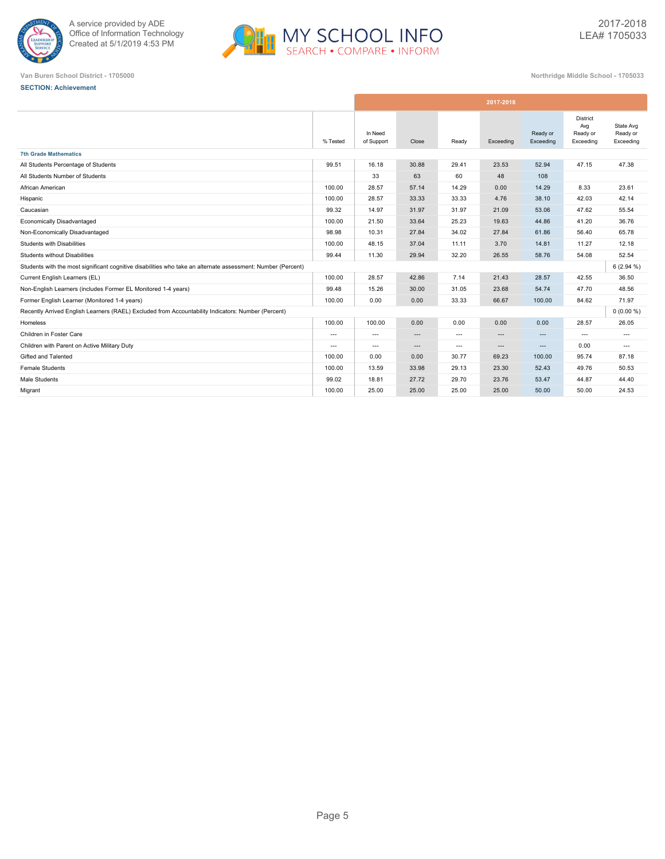



|                                                                                                              |                          |                          |                          |                          | 2017-2018                |                       |                                          |                                    |
|--------------------------------------------------------------------------------------------------------------|--------------------------|--------------------------|--------------------------|--------------------------|--------------------------|-----------------------|------------------------------------------|------------------------------------|
|                                                                                                              | % Tested                 | In Need<br>of Support    | Close                    | Ready                    | Exceeding                | Ready or<br>Exceeding | District<br>Avg<br>Ready or<br>Exceeding | State Avg<br>Ready or<br>Exceeding |
| <b>7th Grade Mathematics</b>                                                                                 |                          |                          |                          |                          |                          |                       |                                          |                                    |
| All Students Percentage of Students                                                                          | 99.51                    | 16.18                    | 30.88                    | 29.41                    | 23.53                    | 52.94                 | 47.15                                    | 47.38                              |
| All Students Number of Students                                                                              |                          | 33                       | 63                       | 60                       | 48                       | 108                   |                                          |                                    |
| African American                                                                                             | 100.00                   | 28.57                    | 57.14                    | 14.29                    | 0.00                     | 14.29                 | 8.33                                     | 23.61                              |
| Hispanic                                                                                                     | 100.00                   | 28.57                    | 33.33                    | 33.33                    | 4.76                     | 38.10                 | 42.03                                    | 42.14                              |
| Caucasian                                                                                                    | 99.32                    | 14.97                    | 31.97                    | 31.97                    | 21.09                    | 53.06                 | 47.62                                    | 55.54                              |
| Economically Disadvantaged                                                                                   | 100.00                   | 21.50                    | 33.64                    | 25.23                    | 19.63                    | 44.86                 | 41.20                                    | 36.76                              |
| Non-Economically Disadvantaged                                                                               | 98.98                    | 10.31                    | 27.84                    | 34.02                    | 27.84                    | 61.86                 | 56.40                                    | 65.78                              |
| <b>Students with Disabilities</b>                                                                            | 100.00                   | 48.15                    | 37.04                    | 11.11                    | 3.70                     | 14.81                 | 11.27                                    | 12.18                              |
| <b>Students without Disabilities</b>                                                                         | 99.44                    | 11.30                    | 29.94                    | 32.20                    | 26.55                    | 58.76                 | 54.08                                    | 52.54                              |
| Students with the most significant cognitive disabilities who take an alternate assessment: Number (Percent) |                          |                          |                          |                          |                          |                       |                                          | $6(2.94\%)$                        |
| Current English Learners (EL)                                                                                | 100.00                   | 28.57                    | 42.86                    | 7.14                     | 21.43                    | 28.57                 | 42.55                                    | 36.50                              |
| Non-English Learners (includes Former EL Monitored 1-4 years)                                                | 99.48                    | 15.26                    | 30.00                    | 31.05                    | 23.68                    | 54.74                 | 47.70                                    | 48.56                              |
| Former English Learner (Monitored 1-4 years)                                                                 | 100.00                   | 0.00                     | 0.00                     | 33.33                    | 66.67                    | 100.00                | 84.62                                    | 71.97                              |
| Recently Arrived English Learners (RAEL) Excluded from Accountability Indicators: Number (Percent)           |                          |                          |                          |                          |                          |                       |                                          | $0(0.00\%)$                        |
| Homeless                                                                                                     | 100.00                   | 100.00                   | 0.00                     | 0.00                     | 0.00                     | 0.00                  | 28.57                                    | 26.05                              |
| Children in Foster Care                                                                                      | $\hspace{0.05cm} \ldots$ | $\hspace{0.05cm} \ldots$ | $\cdots$                 | $\hspace{0.05cm} \ldots$ | $\cdots$                 | $\cdots$              | $\cdots$                                 | $---$                              |
| Children with Parent on Active Military Duty                                                                 | $---$                    | $---$                    | $\hspace{0.05cm} \ldots$ | $---$                    | $\hspace{0.05cm} \ldots$ | $\cdots$              | 0.00                                     | $---$                              |
| Gifted and Talented                                                                                          | 100.00                   | 0.00                     | 0.00                     | 30.77                    | 69.23                    | 100.00                | 95.74                                    | 87.18                              |
| Female Students                                                                                              | 100.00                   | 13.59                    | 33.98                    | 29.13                    | 23.30                    | 52.43                 | 49.76                                    | 50.53                              |
| Male Students                                                                                                | 99.02                    | 18.81                    | 27.72                    | 29.70                    | 23.76                    | 53.47                 | 44.87                                    | 44.40                              |
| Migrant                                                                                                      | 100.00                   | 25.00                    | 25.00                    | 25.00                    | 25.00                    | 50.00                 | 50.00                                    | 24.53                              |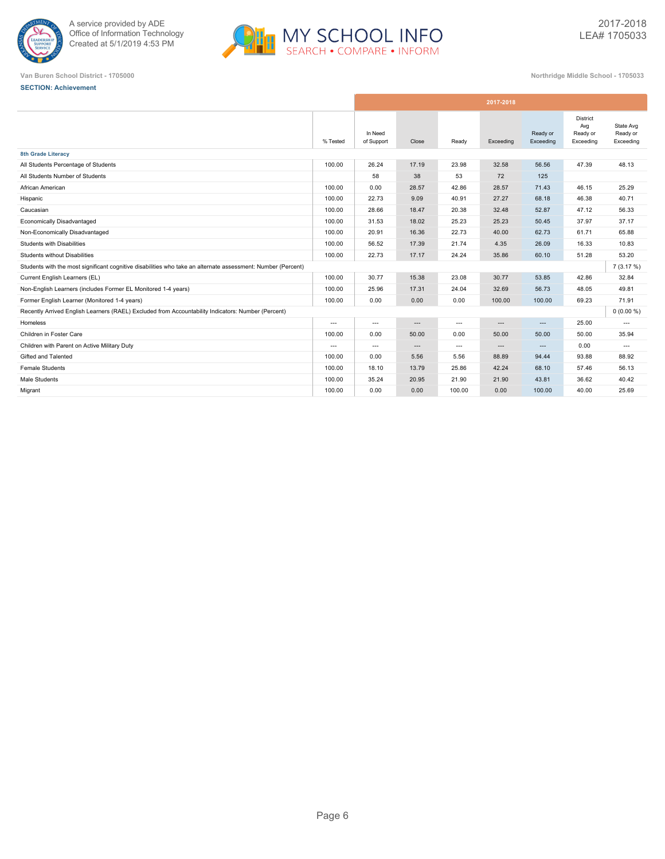



|                                                                                                              |          |                       |                          |          | 2017-2018                |                       |                                          |                                    |
|--------------------------------------------------------------------------------------------------------------|----------|-----------------------|--------------------------|----------|--------------------------|-----------------------|------------------------------------------|------------------------------------|
|                                                                                                              | % Tested | In Need<br>of Support | Close                    | Ready    | Exceeding                | Ready or<br>Exceeding | District<br>Avg<br>Ready or<br>Exceeding | State Avg<br>Ready or<br>Exceeding |
| <b>8th Grade Literacy</b>                                                                                    |          |                       |                          |          |                          |                       |                                          |                                    |
| All Students Percentage of Students                                                                          | 100.00   | 26.24                 | 17.19                    | 23.98    | 32.58                    | 56.56                 | 47.39                                    | 48.13                              |
| All Students Number of Students                                                                              |          | 58                    | 38                       | 53       | 72                       | 125                   |                                          |                                    |
| African American                                                                                             | 100.00   | 0.00                  | 28.57                    | 42.86    | 28.57                    | 71.43                 | 46.15                                    | 25.29                              |
| Hispanic                                                                                                     | 100.00   | 22.73                 | 9.09                     | 40.91    | 27.27                    | 68.18                 | 46.38                                    | 40.71                              |
| Caucasian                                                                                                    | 100.00   | 28.66                 | 18.47                    | 20.38    | 32.48                    | 52.87                 | 47.12                                    | 56.33                              |
| Economically Disadvantaged                                                                                   | 100.00   | 31.53                 | 18.02                    | 25.23    | 25.23                    | 50.45                 | 37.97                                    | 37.17                              |
| Non-Economically Disadvantaged                                                                               | 100.00   | 20.91                 | 16.36                    | 22.73    | 40.00                    | 62.73                 | 61.71                                    | 65.88                              |
| Students with Disabilities                                                                                   | 100.00   | 56.52                 | 17.39                    | 21.74    | 4.35                     | 26.09                 | 16.33                                    | 10.83                              |
| <b>Students without Disabilities</b>                                                                         | 100.00   | 22.73                 | 17.17                    | 24.24    | 35.86                    | 60.10                 | 51.28                                    | 53.20                              |
| Students with the most significant cognitive disabilities who take an alternate assessment: Number (Percent) |          |                       |                          |          |                          |                       |                                          | 7(3.17%)                           |
| Current English Learners (EL)                                                                                | 100.00   | 30.77                 | 15.38                    | 23.08    | 30.77                    | 53.85                 | 42.86                                    | 32.84                              |
| Non-English Learners (includes Former EL Monitored 1-4 years)                                                | 100.00   | 25.96                 | 17.31                    | 24.04    | 32.69                    | 56.73                 | 48.05                                    | 49.81                              |
| Former English Learner (Monitored 1-4 years)                                                                 | 100.00   | 0.00                  | 0.00                     | 0.00     | 100.00                   | 100.00                | 69.23                                    | 71.91                              |
| Recently Arrived English Learners (RAEL) Excluded from Accountability Indicators: Number (Percent)           |          |                       |                          |          |                          |                       |                                          | $0(0.00\%)$                        |
| Homeless                                                                                                     | $\cdots$ | $\cdots$              | $\hspace{0.05cm} \ldots$ | $\cdots$ | $\cdots$                 | $\cdots$              | 25.00                                    | ---                                |
| Children in Foster Care                                                                                      | 100.00   | 0.00                  | 50.00                    | 0.00     | 50.00                    | 50.00                 | 50.00                                    | 35.94                              |
| Children with Parent on Active Military Duty                                                                 | $\cdots$ | $\cdots$              | $\cdots$                 | $  -$    | $\hspace{0.05cm} \ldots$ | $\cdots$              | 0.00                                     | $---$                              |
| Gifted and Talented                                                                                          | 100.00   | 0.00                  | 5.56                     | 5.56     | 88.89                    | 94.44                 | 93.88                                    | 88.92                              |
| <b>Female Students</b>                                                                                       | 100.00   | 18.10                 | 13.79                    | 25.86    | 42.24                    | 68.10                 | 57.46                                    | 56.13                              |
| Male Students                                                                                                | 100.00   | 35.24                 | 20.95                    | 21.90    | 21.90                    | 43.81                 | 36.62                                    | 40.42                              |
| Migrant                                                                                                      | 100.00   | 0.00                  | 0.00                     | 100.00   | 0.00                     | 100.00                | 40.00                                    | 25.69                              |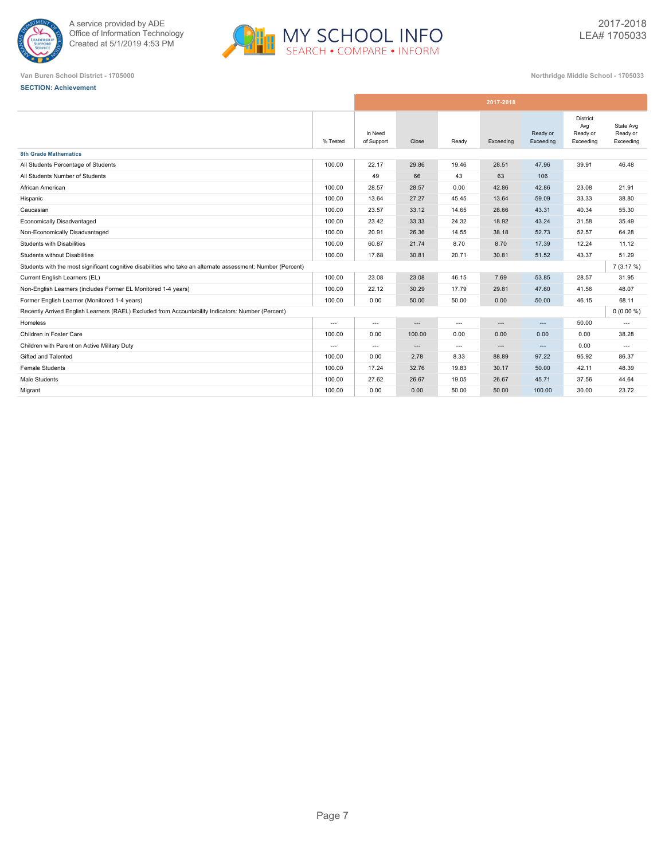



|                                                                                                              |                          |                          |                          |          | 2017-2018 |                       |                                          |                                    |
|--------------------------------------------------------------------------------------------------------------|--------------------------|--------------------------|--------------------------|----------|-----------|-----------------------|------------------------------------------|------------------------------------|
|                                                                                                              | % Tested                 | In Need<br>of Support    | Close                    | Ready    | Exceeding | Ready or<br>Exceeding | District<br>Avg<br>Ready or<br>Exceeding | State Avg<br>Ready or<br>Exceeding |
| <b>8th Grade Mathematics</b>                                                                                 |                          |                          |                          |          |           |                       |                                          |                                    |
| All Students Percentage of Students                                                                          | 100.00                   | 22.17                    | 29.86                    | 19.46    | 28.51     | 47.96                 | 39.91                                    | 46.48                              |
| All Students Number of Students                                                                              |                          | 49                       | 66                       | 43       | 63        | 106                   |                                          |                                    |
| African American                                                                                             | 100.00                   | 28.57                    | 28.57                    | 0.00     | 42.86     | 42.86                 | 23.08                                    | 21.91                              |
| Hispanic                                                                                                     | 100.00                   | 13.64                    | 27.27                    | 45.45    | 13.64     | 59.09                 | 33.33                                    | 38.80                              |
| Caucasian                                                                                                    | 100.00                   | 23.57                    | 33.12                    | 14.65    | 28.66     | 43.31                 | 40.34                                    | 55.30                              |
| Economically Disadvantaged                                                                                   | 100.00                   | 23.42                    | 33.33                    | 24.32    | 18.92     | 43.24                 | 31.58                                    | 35.49                              |
| Non-Economically Disadvantaged                                                                               | 100.00                   | 20.91                    | 26.36                    | 14.55    | 38.18     | 52.73                 | 52.57                                    | 64.28                              |
| <b>Students with Disabilities</b>                                                                            | 100.00                   | 60.87                    | 21.74                    | 8.70     | 8.70      | 17.39                 | 12.24                                    | 11.12                              |
| Students without Disabilities                                                                                | 100.00                   | 17.68                    | 30.81                    | 20.71    | 30.81     | 51.52                 | 43.37                                    | 51.29                              |
| Students with the most significant cognitive disabilities who take an alternate assessment: Number (Percent) |                          |                          |                          |          |           |                       |                                          | 7(3.17%)                           |
| Current English Learners (EL)                                                                                | 100.00                   | 23.08                    | 23.08                    | 46.15    | 7.69      | 53.85                 | 28.57                                    | 31.95                              |
| Non-English Learners (includes Former EL Monitored 1-4 years)                                                | 100.00                   | 22.12                    | 30.29                    | 17.79    | 29.81     | 47.60                 | 41.56                                    | 48.07                              |
| Former English Learner (Monitored 1-4 years)                                                                 | 100.00                   | 0.00                     | 50.00                    | 50.00    | 0.00      | 50.00                 | 46.15                                    | 68.11                              |
| Recently Arrived English Learners (RAEL) Excluded from Accountability Indicators: Number (Percent)           |                          |                          |                          |          |           |                       |                                          | $0(0.00\%)$                        |
| Homeless                                                                                                     | $\hspace{0.05cm} \ldots$ | $\cdots$                 | $\hspace{0.05cm} \ldots$ | $---$    | $\cdots$  | $\cdots$              | 50.00                                    | ---                                |
| Children in Foster Care                                                                                      | 100.00                   | 0.00                     | 100.00                   | 0.00     | 0.00      | 0.00                  | 0.00                                     | 38.28                              |
| Children with Parent on Active Military Duty                                                                 | $\hspace{0.05cm} \ldots$ | $\hspace{0.05cm} \ldots$ | $\cdots$                 | $\cdots$ | $---$     | $\cdots$              | 0.00                                     | $---$                              |
| Gifted and Talented                                                                                          | 100.00                   | 0.00                     | 2.78                     | 8.33     | 88.89     | 97.22                 | 95.92                                    | 86.37                              |
| <b>Female Students</b>                                                                                       | 100.00                   | 17.24                    | 32.76                    | 19.83    | 30.17     | 50.00                 | 42.11                                    | 48.39                              |
| Male Students                                                                                                | 100.00                   | 27.62                    | 26.67                    | 19.05    | 26.67     | 45.71                 | 37.56                                    | 44.64                              |
| Migrant                                                                                                      | 100.00                   | 0.00                     | 0.00                     | 50.00    | 50.00     | 100.00                | 30.00                                    | 23.72                              |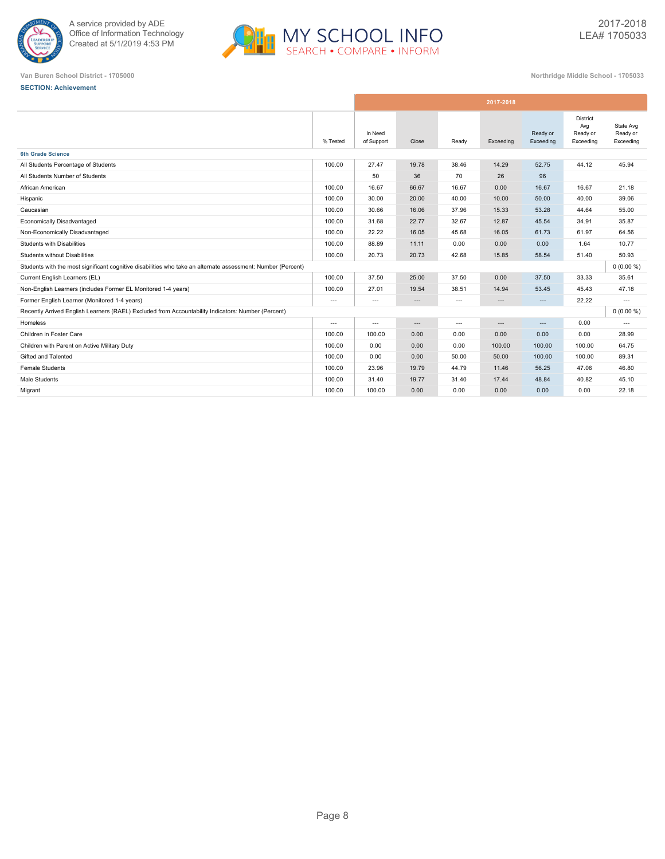



|                                                                                                              |                |                          |          |                          | 2017-2018 |                       |                                          |                                    |
|--------------------------------------------------------------------------------------------------------------|----------------|--------------------------|----------|--------------------------|-----------|-----------------------|------------------------------------------|------------------------------------|
|                                                                                                              | % Tested       | In Need<br>of Support    | Close    | Ready                    | Exceeding | Ready or<br>Exceeding | District<br>Avg<br>Ready or<br>Exceeding | State Avg<br>Ready or<br>Exceeding |
| <b>6th Grade Science</b>                                                                                     |                |                          |          |                          |           |                       |                                          |                                    |
| All Students Percentage of Students                                                                          | 100.00         | 27.47                    | 19.78    | 38.46                    | 14.29     | 52.75                 | 44.12                                    | 45.94                              |
| All Students Number of Students                                                                              |                | 50                       | 36       | 70                       | 26        | 96                    |                                          |                                    |
| African American                                                                                             | 100.00         | 16.67                    | 66.67    | 16.67                    | 0.00      | 16.67                 | 16.67                                    | 21.18                              |
| Hispanic                                                                                                     | 100.00         | 30.00                    | 20.00    | 40.00                    | 10.00     | 50.00                 | 40.00                                    | 39.06                              |
| Caucasian                                                                                                    | 100.00         | 30.66                    | 16.06    | 37.96                    | 15.33     | 53.28                 | 44.64                                    | 55.00                              |
| Economically Disadvantaged                                                                                   | 100.00         | 31.68                    | 22.77    | 32.67                    | 12.87     | 45.54                 | 34.91                                    | 35.87                              |
| Non-Economically Disadvantaged                                                                               | 100.00         | 22.22                    | 16.05    | 45.68                    | 16.05     | 61.73                 | 61.97                                    | 64.56                              |
| Students with Disabilities                                                                                   | 100.00         | 88.89                    | 11.11    | 0.00                     | 0.00      | 0.00                  | 1.64                                     | 10.77                              |
| Students without Disabilities                                                                                | 100.00         | 20.73                    | 20.73    | 42.68                    | 15.85     | 58.54                 | 51.40                                    | 50.93                              |
| Students with the most significant cognitive disabilities who take an alternate assessment: Number (Percent) |                |                          |          |                          |           |                       |                                          | $0(0.00\%)$                        |
| Current English Learners (EL)                                                                                | 100.00         | 37.50                    | 25.00    | 37.50                    | 0.00      | 37.50                 | 33.33                                    | 35.61                              |
| Non-English Learners (includes Former EL Monitored 1-4 years)                                                | 100.00         | 27.01                    | 19.54    | 38.51                    | 14.94     | 53.45                 | 45.43                                    | 47.18                              |
| Former English Learner (Monitored 1-4 years)                                                                 | $\overline{a}$ | $\hspace{0.05cm} \ldots$ | $\cdots$ | $\hspace{0.05cm} \ldots$ | $\cdots$  | $\cdots$              | 22.22                                    | ---                                |
| Recently Arrived English Learners (RAEL) Excluded from Accountability Indicators: Number (Percent)           |                |                          |          |                          |           |                       |                                          | $0(0.00\%)$                        |
| Homeless                                                                                                     | $---$          | $---$                    | $\cdots$ | $---$                    | $\cdots$  | $---$                 | 0.00                                     | $---$                              |
| Children in Foster Care                                                                                      | 100.00         | 100.00                   | 0.00     | 0.00                     | 0.00      | 0.00                  | 0.00                                     | 28.99                              |
| Children with Parent on Active Military Duty                                                                 | 100.00         | 0.00                     | 0.00     | 0.00                     | 100.00    | 100.00                | 100.00                                   | 64.75                              |
| Gifted and Talented                                                                                          | 100.00         | 0.00                     | 0.00     | 50.00                    | 50.00     | 100.00                | 100.00                                   | 89.31                              |
| <b>Female Students</b>                                                                                       | 100.00         | 23.96                    | 19.79    | 44.79                    | 11.46     | 56.25                 | 47.06                                    | 46.80                              |
| <b>Male Students</b>                                                                                         | 100.00         | 31.40                    | 19.77    | 31.40                    | 17.44     | 48.84                 | 40.82                                    | 45.10                              |
| Migrant                                                                                                      | 100.00         | 100.00                   | 0.00     | 0.00                     | 0.00      | 0.00                  | 0.00                                     | 22.18                              |
|                                                                                                              |                |                          |          |                          |           |                       |                                          |                                    |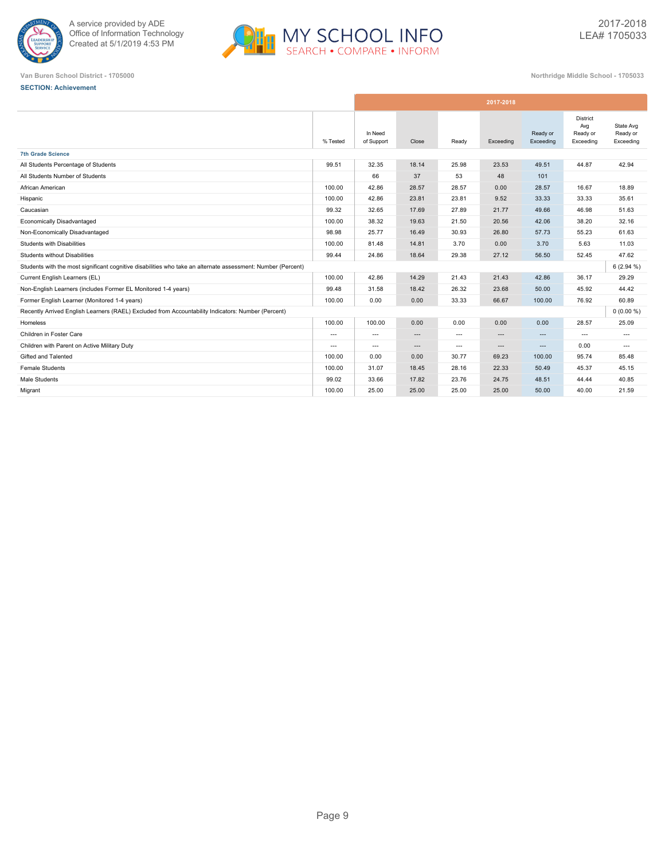



**SECTI** 

| <b>SECTION: Achievement</b>                                                                                  |                |                          |                          |                          |           |                          |                                                 |                                    |
|--------------------------------------------------------------------------------------------------------------|----------------|--------------------------|--------------------------|--------------------------|-----------|--------------------------|-------------------------------------------------|------------------------------------|
|                                                                                                              |                |                          |                          |                          | 2017-2018 |                          |                                                 |                                    |
|                                                                                                              | % Tested       | In Need<br>of Support    | Close                    | Ready                    | Exceeding | Ready or<br>Exceeding    | <b>District</b><br>Avg<br>Ready or<br>Exceeding | State Avg<br>Ready or<br>Exceeding |
| <b>7th Grade Science</b>                                                                                     |                |                          |                          |                          |           |                          |                                                 |                                    |
| All Students Percentage of Students                                                                          | 99.51          | 32.35                    | 18.14                    | 25.98                    | 23.53     | 49.51                    | 44.87                                           | 42.94                              |
| All Students Number of Students                                                                              |                | 66                       | 37                       | 53                       | 48        | 101                      |                                                 |                                    |
| African American                                                                                             | 100.00         | 42.86                    | 28.57                    | 28.57                    | 0.00      | 28.57                    | 16.67                                           | 18.89                              |
| Hispanic                                                                                                     | 100.00         | 42.86                    | 23.81                    | 23.81                    | 9.52      | 33.33                    | 33.33                                           | 35.61                              |
| Caucasian                                                                                                    | 99.32          | 32.65                    | 17.69                    | 27.89                    | 21.77     | 49.66                    | 46.98                                           | 51.63                              |
| Economically Disadvantaged                                                                                   | 100.00         | 38.32                    | 19.63                    | 21.50                    | 20.56     | 42.06                    | 38.20                                           | 32.16                              |
| Non-Economically Disadvantaged                                                                               | 98.98          | 25.77                    | 16.49                    | 30.93                    | 26.80     | 57.73                    | 55.23                                           | 61.63                              |
| Students with Disabilities                                                                                   | 100.00         | 81.48                    | 14.81                    | 3.70                     | 0.00      | 3.70                     | 5.63                                            | 11.03                              |
| <b>Students without Disabilities</b>                                                                         | 99.44          | 24.86                    | 18.64                    | 29.38                    | 27.12     | 56.50                    | 52.45                                           | 47.62                              |
| Students with the most significant cognitive disabilities who take an alternate assessment: Number (Percent) |                |                          |                          |                          |           |                          |                                                 | $6(2.94\%)$                        |
| Current English Learners (EL)                                                                                | 100.00         | 42.86                    | 14.29                    | 21.43                    | 21.43     | 42.86                    | 36.17                                           | 29.29                              |
| Non-English Learners (includes Former EL Monitored 1-4 years)                                                | 99.48          | 31.58                    | 18.42                    | 26.32                    | 23.68     | 50.00                    | 45.92                                           | 44.42                              |
| Former English Learner (Monitored 1-4 years)                                                                 | 100.00         | 0.00                     | 0.00                     | 33.33                    | 66.67     | 100.00                   | 76.92                                           | 60.89                              |
| Recently Arrived English Learners (RAEL) Excluded from Accountability Indicators: Number (Percent)           |                |                          |                          |                          |           |                          |                                                 | $0(0.00\%)$                        |
| Homeless                                                                                                     | 100.00         | 100.00                   | 0.00                     | 0.00                     | 0.00      | 0.00                     | 28.57                                           | 25.09                              |
| Children in Foster Care                                                                                      | $---$          | $\overline{\phantom{a}}$ | $\cdots$                 | $\hspace{0.05cm} \ldots$ | $\cdots$  | $\cdots$                 | $\overline{a}$                                  | $\cdots$                           |
| Children with Parent on Active Military Duty                                                                 | $\overline{a}$ | $\overline{\phantom{a}}$ | $\hspace{0.05cm} \ldots$ | $\cdots$                 | $---$     | $\overline{\phantom{a}}$ | 0.00                                            | $\overline{\phantom{a}}$           |
| Gifted and Talented                                                                                          | 100.00         | 0.00                     | 0.00                     | 30.77                    | 69.23     | 100.00                   | 95.74                                           | 85.48                              |
| <b>Female Students</b>                                                                                       | 100.00         | 31.07                    | 18.45                    | 28.16                    | 22.33     | 50.49                    | 45.37                                           | 45.15                              |
| Male Students                                                                                                | 99.02          | 33.66                    | 17.82                    | 23.76                    | 24.75     | 48.51                    | 44.44                                           | 40.85                              |
| Migrant                                                                                                      | 100.00         | 25.00                    | 25.00                    | 25.00                    | 25.00     | 50.00                    | 40.00                                           | 21.59                              |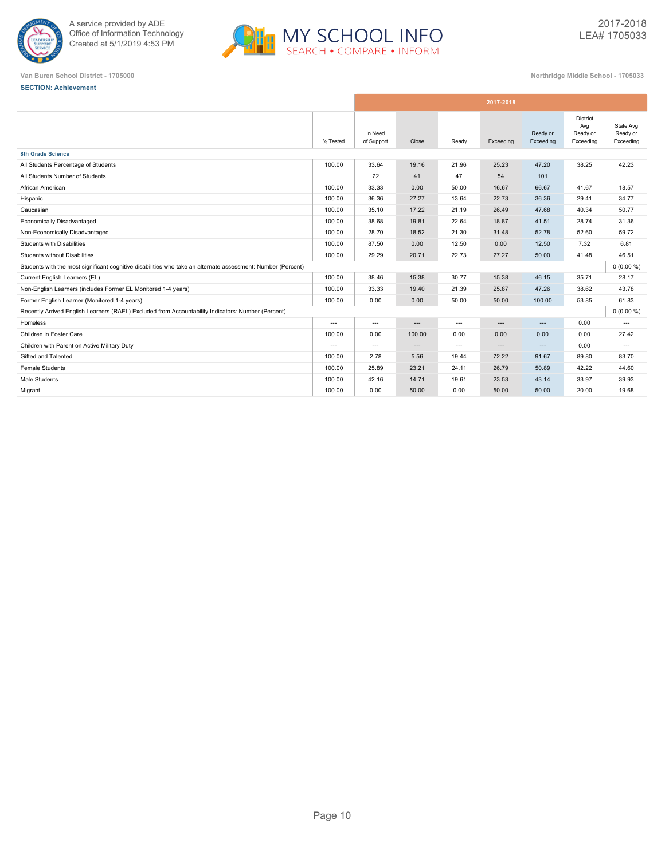



| <b>SECTION: Achievement</b>                                                                                  |                |                          |                          |          |                          |                          |                                          |                                    |  |
|--------------------------------------------------------------------------------------------------------------|----------------|--------------------------|--------------------------|----------|--------------------------|--------------------------|------------------------------------------|------------------------------------|--|
|                                                                                                              |                |                          |                          |          | 2017-2018                |                          |                                          |                                    |  |
|                                                                                                              | % Tested       | In Need<br>of Support    | Close                    | Ready    | Exceeding                | Ready or<br>Exceeding    | District<br>Avg<br>Ready or<br>Exceeding | State Avg<br>Ready or<br>Exceeding |  |
| <b>8th Grade Science</b>                                                                                     |                |                          |                          |          |                          |                          |                                          |                                    |  |
| All Students Percentage of Students                                                                          | 100.00         | 33.64                    | 19.16                    | 21.96    | 25.23                    | 47.20                    | 38.25                                    | 42.23                              |  |
| All Students Number of Students                                                                              |                | 72                       | 41                       | 47       | 54                       | 101                      |                                          |                                    |  |
| African American                                                                                             | 100.00         | 33.33                    | 0.00                     | 50.00    | 16.67                    | 66.67                    | 41.67                                    | 18.57                              |  |
| Hispanic                                                                                                     | 100.00         | 36.36                    | 27.27                    | 13.64    | 22.73                    | 36.36                    | 29.41                                    | 34.77                              |  |
| Caucasian                                                                                                    | 100.00         | 35.10                    | 17.22                    | 21.19    | 26.49                    | 47.68                    | 40.34                                    | 50.77                              |  |
| Economically Disadvantaged                                                                                   | 100.00         | 38.68                    | 19.81                    | 22.64    | 18.87                    | 41.51                    | 28.74                                    | 31.36                              |  |
| Non-Economically Disadvantaged                                                                               | 100.00         | 28.70                    | 18.52                    | 21.30    | 31.48                    | 52.78                    | 52.60                                    | 59.72                              |  |
| Students with Disabilities                                                                                   | 100.00         | 87.50                    | 0.00                     | 12.50    | 0.00                     | 12.50                    | 7.32                                     | 6.81                               |  |
| <b>Students without Disabilities</b>                                                                         | 100.00         | 29.29                    | 20.71                    | 22.73    | 27.27                    | 50.00                    | 41.48                                    | 46.51                              |  |
| Students with the most significant cognitive disabilities who take an alternate assessment: Number (Percent) |                |                          |                          |          |                          |                          |                                          | $0(0.00\%)$                        |  |
| Current English Learners (EL)                                                                                | 100.00         | 38.46                    | 15.38                    | 30.77    | 15.38                    | 46.15                    | 35.71                                    | 28.17                              |  |
| Non-English Learners (includes Former EL Monitored 1-4 years)                                                | 100.00         | 33.33                    | 19.40                    | 21.39    | 25.87                    | 47.26                    | 38.62                                    | 43.78                              |  |
| Former English Learner (Monitored 1-4 years)                                                                 | 100.00         | 0.00                     | 0.00                     | 50.00    | 50.00                    | 100.00                   | 53.85                                    | 61.83                              |  |
| Recently Arrived English Learners (RAEL) Excluded from Accountability Indicators: Number (Percent)           |                |                          |                          |          |                          |                          |                                          | $0(0.00\%)$                        |  |
| Homeless                                                                                                     | $\overline{a}$ | $\overline{\phantom{a}}$ | $\hspace{0.05cm} \ldots$ | $\cdots$ | $\overline{\phantom{a}}$ | $\overline{\phantom{a}}$ | 0.00                                     | $---$                              |  |
| Children in Foster Care                                                                                      | 100.00         | 0.00                     | 100.00                   | 0.00     | 0.00                     | 0.00                     | 0.00                                     | 27.42                              |  |
| Children with Parent on Active Military Duty                                                                 | $---$          | $\hspace{0.05cm} \ldots$ | $\hspace{1.5cm} \ldots$  | $---$    | $\cdots$                 | $\overline{\phantom{a}}$ | 0.00                                     | $\overline{\phantom{a}}$           |  |
| Gifted and Talented                                                                                          | 100.00         | 2.78                     | 5.56                     | 19.44    | 72.22                    | 91.67                    | 89.80                                    | 83.70                              |  |
| <b>Female Students</b>                                                                                       | 100.00         | 25.89                    | 23.21                    | 24.11    | 26.79                    | 50.89                    | 42.22                                    | 44.60                              |  |
| Male Students                                                                                                | 100.00         | 42.16                    | 14.71                    | 19.61    | 23.53                    | 43.14                    | 33.97                                    | 39.93                              |  |

Migrant 100.00 0.00 50.00 0.00 50.00 50.00 20.00 19.68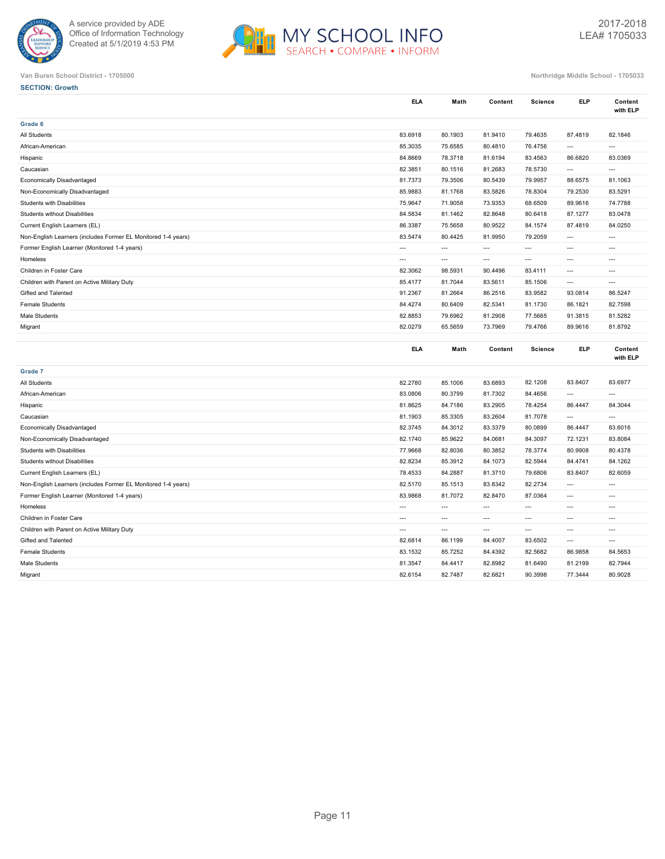



| Van Buren School District - 1705000                           |                |                          |                          |                          | Northridge Middle School - 1705033 |                     |
|---------------------------------------------------------------|----------------|--------------------------|--------------------------|--------------------------|------------------------------------|---------------------|
| <b>SECTION: Growth</b>                                        |                |                          |                          |                          |                                    |                     |
|                                                               | <b>ELA</b>     | Math                     | Content                  | <b>Science</b>           | <b>ELP</b>                         | Content<br>with ELP |
| Grade 6                                                       |                |                          |                          |                          |                                    |                     |
| All Students                                                  | 83.6918        | 80.1903                  | 81.9410                  | 79.4635                  | 87.4819                            | 82.1846             |
| African-American                                              | 85.3035        | 75.6585                  | 80.4810                  | 76.4756                  | ---                                | ---                 |
| Hispanic                                                      | 84.8669        | 78.3718                  | 81.6194                  | 83.4563                  | 86.6820                            | 83.0369             |
| Caucasian                                                     | 82.3851        | 80.1516                  | 81.2683                  | 78.5730                  | $\overline{a}$                     | ---                 |
| Economically Disadvantaged                                    | 81.7373        | 79.3506                  | 80.5439                  | 79.9957                  | 88.6575                            | 81.1063             |
| Non-Economically Disadvantaged                                | 85.9883        | 81.1768                  | 83.5826                  | 78.8304                  | 79.2530                            | 83.5291             |
| Students with Disabilities                                    | 75.9647        | 71.9058                  | 73.9353                  | 68.6509                  | 89.9616                            | 74.7788             |
| Students without Disabilities                                 | 84.5834        | 81.1462                  | 82.8648                  | 80.6418                  | 87.1277                            | 83.0478             |
| Current English Learners (EL)                                 | 86.3387        | 75.5658                  | 80.9522                  | 84.1574                  | 87.4819                            | 84.0250             |
| Non-English Learners (includes Former EL Monitored 1-4 years) | 83.5474        | 80.4425                  | 81.9950                  | 79.2059                  | $\overline{a}$                     | $\overline{a}$      |
| Former English Learner (Monitored 1-4 years)                  | $---$          | $\overline{\phantom{a}}$ | $\overline{\phantom{a}}$ | $\overline{\phantom{a}}$ | $---$                              | $\overline{a}$      |
| Homeless                                                      | $\overline{a}$ | $\overline{\phantom{a}}$ | ---                      | $\overline{\phantom{a}}$ | $---$                              | ---                 |
| Children in Foster Care                                       | 82.3062        | 98.5931                  | 90.4496                  | 83.4111                  | $---$                              | ---                 |
| Children with Parent on Active Military Duty                  | 85.4177        | 81.7044                  | 83.5611                  | 85.1506                  | $\overline{\phantom{a}}$           | $\overline{a}$      |
| Gifted and Talented                                           | 91.2367        | 81.2664                  | 86.2516                  | 83.9582                  | 93.0814                            | 86.5247             |
| Female Students                                               | 84.4274        | 80.6409                  | 82.5341                  | 81.1730                  | 86.1821                            | 82.7598             |
| Male Students                                                 | 82.8853        | 79.6962                  | 81.2908                  | 77.5665                  | 91.3815                            | 81.5282             |
| Migrant                                                       | 82.0279        | 65.5659                  | 73.7969                  | 79.4766                  | 89.9616                            | 81.8792             |
|                                                               |                |                          |                          |                          |                                    |                     |
|                                                               | <b>ELA</b>     | Math                     | Content                  | <b>Science</b>           | <b>ELP</b>                         | Content<br>with ELP |
| Grade 7                                                       |                |                          |                          |                          |                                    |                     |
| All Students                                                  | 82.2780        | 85.1006                  | 83.6893                  | 82.1208                  | 83.8407                            | 83.6977             |
| African-American                                              | 83.0806        | 80.3799                  | 81.7302                  | 84.4656                  | $\qquad \qquad -$                  | ---                 |
| Hispanic                                                      | 81.8625        | 84.7186                  | 83.2905                  | 78.4254                  | 86.4447                            | 84.3044             |
| Caucasian                                                     | 81.1903        | 85.3305                  | 83.2604                  | 81.7078                  | $\overline{\phantom{a}}$           | ---                 |
| Economically Disadvantaged                                    | 82.3745        | 84.3012                  | 83.3379                  | 80.0899                  | 86.4447                            | 83.6016             |
| Non-Economically Disadvantaged                                | 82.1740        | 85.9622                  | 84.0681                  | 84.3097                  | 72.1231                            | 83.8084             |
| <b>Students with Disabilities</b>                             | 77.9668        | 82.8036                  | 80.3852                  | 78.3774                  | 80.9908                            | 80.4378             |
| <b>Students without Disabilities</b>                          | 82.8234        | 85.3912                  | 84.1073                  | 82.5944                  | 84.4741                            | 84.1262             |
| Current English Learners (EL)                                 | 78.4533        | 84.2887                  | 81.3710                  | 79.6806                  | 83.8407                            | 82.6059             |
| Non-English Learners (includes Former EL Monitored 1-4 years) | 82.5170        | 85.1513                  | 83.8342                  | 82.2734                  | $\overline{\phantom{a}}$           | ---                 |
| Former English Learner (Monitored 1-4 years)                  | 83.9868        | 81.7072                  | 82.8470                  | 87.0364                  | $\overline{\phantom{a}}$           | $\overline{a}$      |
| Homeless                                                      | $---$          | $\overline{\phantom{a}}$ | $\overline{\phantom{a}}$ | $\overline{\phantom{a}}$ | $\overline{\phantom{a}}$           | $\overline{a}$      |
| Children in Foster Care                                       | $\overline{a}$ | $\cdots$                 | ---                      | $\hspace{0.05cm} \ldots$ | $\overline{a}$                     | ---                 |
| Children with Parent on Active Military Duty                  | $\overline{a}$ | $\overline{a}$           | $\overline{a}$           | $\overline{a}$           | $\overline{a}$                     | $\overline{a}$      |

Gifted and Talented 82.6814 86.1199 84.4007 83.6502 --- --- Female Students 83.1532 85.7252 84.4392 82.5682 86.9858 84.5653 Male Students 81.3547 84.4417 82.8982 81.6490 81.2199 82.7944 Migrant 82.6154 82.7487 82.6821 90.3998 77.3444 80.9028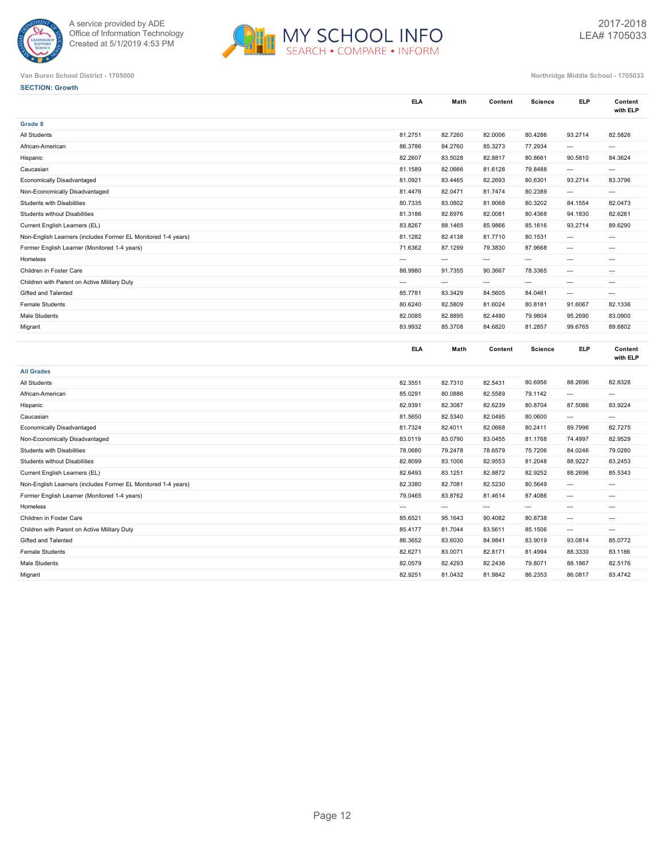



| <b>SECTION: Growth</b>                                        |                          |                          |                          |                          |                          |                     |
|---------------------------------------------------------------|--------------------------|--------------------------|--------------------------|--------------------------|--------------------------|---------------------|
|                                                               | <b>ELA</b>               | Math                     | Content                  | Science                  | <b>ELP</b>               | Content<br>with ELP |
| Grade 8                                                       |                          |                          |                          |                          |                          |                     |
| All Students                                                  | 81.2751                  | 82.7260                  | 82.0006                  | 80.4286                  | 93.2714                  | 82.5826             |
| African-American                                              | 86.3786                  | 84.2760                  | 85.3273                  | 77.2934                  | $\overline{\phantom{a}}$ | $---$               |
| Hispanic                                                      | 82.2607                  | 83.5028                  | 82.8817                  | 80.8661                  | 90.5810                  | 84.3624             |
| Caucasian                                                     | 81.1589                  | 82.0666                  | 81.6128                  | 79.8488                  | ---                      | ---                 |
| Economically Disadvantaged                                    | 81.0921                  | 83.4465                  | 82.2693                  | 80.6301                  | 93.2714                  | 83.3796             |
| Non-Economically Disadvantaged                                | 81.4476                  | 82.0471                  | 81.7474                  | 80.2389                  | ---                      | ---                 |
| Students with Disabilities                                    | 80.7335                  | 83.0802                  | 81.9068                  | 80.3202                  | 84.1554                  | 82.0473             |
| Students without Disabilities                                 | 81.3186                  | 82.6976                  | 82.0081                  | 80.4368                  | 94.1830                  | 82.6261             |
| Current English Learners (EL)                                 | 83.8267                  | 88.1465                  | 85.9866                  | 85.1616                  | 93.2714                  | 89.6290             |
| Non-English Learners (includes Former EL Monitored 1-4 years) | 81.1282                  | 82.4138                  | 81.7710                  | 80.1531                  | $\hspace{0.05cm} \ldots$ | ---                 |
| Former English Learner (Monitored 1-4 years)                  | 71.6362                  | 87.1299                  | 79.3830                  | 87.9668                  | $\overline{\phantom{a}}$ | $\overline{a}$      |
| Homeless                                                      | $---$                    | $\overline{\phantom{a}}$ | $\overline{\phantom{a}}$ | $---$                    | ---                      | $\overline{a}$      |
| Children in Foster Care                                       | 88.9980                  | 91.7355                  | 90.3667                  | 78.3365                  | $---$                    | $---$               |
| Children with Parent on Active Military Duty                  | $\overline{\phantom{a}}$ | $\cdots$                 | $\hspace{0.05cm} \cdots$ | $\overline{\phantom{a}}$ | ---                      | ---                 |
| Gifted and Talented                                           | 85.7781                  | 83.3429                  | 84.5605                  | 84.0461                  | $\cdots$                 | $\overline{a}$      |
| <b>Female Students</b>                                        | 80.6240                  | 82.5809                  | 81.6024                  | 80.8181                  | 91.6067                  | 82.1336             |
| Male Students                                                 | 82.0085                  | 82.8895                  | 82.4490                  | 79.9804                  | 95.2690                  | 83.0900             |
| Migrant                                                       | 83.9932                  | 85.3708                  | 84.6820                  | 81.2857                  | 99.6765                  | 89.6802             |
|                                                               |                          |                          |                          |                          |                          |                     |
|                                                               | <b>ELA</b>               | Math                     | Content                  | <b>Science</b>           | <b>ELP</b>               | Content<br>with ELP |
| <b>All Grades</b>                                             |                          |                          |                          |                          |                          |                     |
| All Students                                                  | 82.3551                  | 82.7310                  | 82.5431                  | 80.6956                  | 88.2696                  | 82.8328             |
| African-American                                              | 85.0291                  | 80.0886                  | 82.5589                  | 79.1142                  | $\overline{\phantom{a}}$ | ---                 |
| Hispanic                                                      | 82.9391                  | 82.3087                  | 82.6239                  | 80.8704                  | 87.5086                  | 83.9224             |
| Caucasian                                                     | 81.5650                  | 82.5340                  | 82.0495                  | 80.0600                  | ---                      | ---                 |
| Economically Disadvantaged                                    | 81.7324                  | 82.4011                  | 82.0668                  | 80.2411                  | 89.7996                  | 82.7275             |
| Non-Economically Disadvantaged                                | 83.0119                  | 83.0790                  | 83.0455                  | 81.1768                  | 74.4997                  | 82.9529             |
| Students with Disabilities                                    | 78.0680                  | 79.2478                  | 78.6579                  | 75.7206                  | 84.0246                  | 79.0280             |
| Students without Disabilities                                 | 82.8099                  | 83.1006                  | 82.9553                  | 81.2048                  | 88.9227                  | 83.2453             |
| Current English Learners (EL)                                 | 82.6493                  | 83.1251                  | 82.8872                  | 82.9252                  | 88.2696                  | 85.5343             |
| Non-English Learners (includes Former EL Monitored 1-4 years) | 82.3380                  | 82.7081                  | 82.5230                  | 80.5649                  | $\overline{\phantom{a}}$ | $---$               |
| Former English Learner (Monitored 1-4 years)                  | 79.0465                  | 83.8762                  | 81.4614                  | 87.4086                  | $---$                    | $\overline{a}$      |
| Homeless                                                      | $\overline{a}$           | $\overline{\phantom{a}}$ | $\overline{\phantom{a}}$ | $---$                    | ---                      | ---                 |
| Children in Foster Care                                       | 85.6521                  | 95.1643                  | 90.4082                  | 80.8738                  | $---$                    | $\overline{a}$      |
| Children with Parent on Active Military Duty                  | 85.4177                  | 81.7044                  | 83.5611                  | 85.1506                  | ---                      | $\overline{a}$      |

Gifted and Talented 86.3652 83.6030 84.9841 83.9019 93.0814 85.0772 Female Students 82.6271 83.0071 82.8171 81.4994 88.3330 83.1186 Male Students 88.1867 82.5176 82.93 82.2436 79.8071 88.1867 82.5176 482.9251 81.0432 81.0432 81.0432 82.9251 81.0432 82.9251 81.0432 82.9253 86.0817 83.4742 83.4742 & Migrant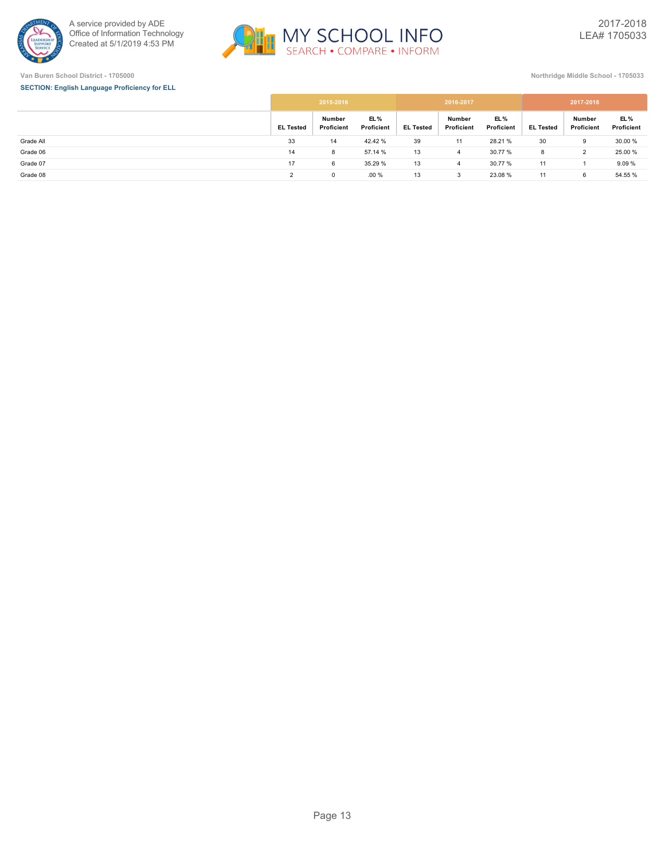



### **SECTION: English Language Proficiency for ELL**

|           |                  | 2015-2016                   |                    |                  | 2016-2017            |                    |                  | 2017-2018            |                    |
|-----------|------------------|-----------------------------|--------------------|------------------|----------------------|--------------------|------------------|----------------------|--------------------|
|           | <b>EL Tested</b> | <b>Number</b><br>Proficient | EL %<br>Proficient | <b>EL Tested</b> | Number<br>Proficient | EL %<br>Proficient | <b>EL Tested</b> | Number<br>Proficient | EL %<br>Proficient |
| Grade All | 33               | 14                          | 42.42 %            | 39               | 11                   | 28.21 %            | 30               | 9                    | 30.00 %            |
| Grade 06  | 14               | 8                           | 57.14 %            | 13               | 4                    | 30.77 %            | 8                | $\overline{2}$       | 25.00 %            |
| Grade 07  | 17               | 6                           | 35.29 %            | 13               | 4                    | 30.77 %            | 11               |                      | 9.09%              |
| Grade 08  | 2                | 0                           | $.00\%$            | 13               | 3                    | 23.08 %            | 11               | 6                    | 54.55 %            |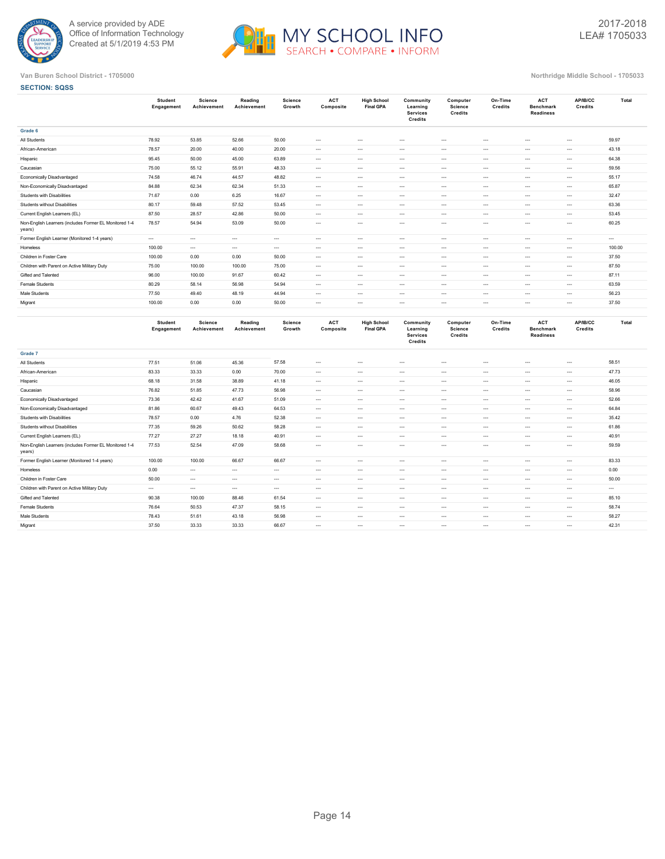

**SECTION: SQSS**



|                                                                  | <b>Student</b><br>Engagement | Science<br>Achievement | Reading<br>Achievement | Science<br>Growth | <b>ACT</b><br>Composite | <b>High School</b><br><b>Final GPA</b> | Community<br>Learning<br><b>Services</b><br>Credits | Computer<br>Science<br>Credits | On-Time<br>Credits | <b>ACT</b><br><b>Benchmark</b><br><b>Readiness</b> | AP/IB/CC<br>Credits | Total    |
|------------------------------------------------------------------|------------------------------|------------------------|------------------------|-------------------|-------------------------|----------------------------------------|-----------------------------------------------------|--------------------------------|--------------------|----------------------------------------------------|---------------------|----------|
| Grade 6                                                          |                              |                        |                        |                   |                         |                                        |                                                     |                                |                    |                                                    |                     |          |
| All Students                                                     | 78.92                        | 53.85                  | 52.66                  | 50.00             | $\cdots$                | $\cdots$                               | $\cdots$                                            | $\cdots$                       | $\cdots$           | $\cdots$                                           | $\cdots$            | 59.97    |
| African-American                                                 | 78.57                        | 20.00                  | 40.00                  | 20.00             | $\cdots$                | $\cdots$                               | $\cdots$                                            | $\cdots$                       | $\sim$             | $\cdots$                                           | $\cdots$            | 43.18    |
| Hispanic                                                         | 95.45                        | 50.00                  | 45.00                  | 63.89             | $\cdots$                | $\cdots$                               | $\cdots$                                            | $\cdots$                       | $\cdots$           | $\sim$                                             | $\cdots$            | 64.38    |
| Caucasian                                                        | 75.00                        | 55.12                  | 55.91                  | 48.33             | $\cdots$                | $\cdots$                               | $\cdots$                                            | $\cdots$                       | $\cdots$           | $\sim$                                             | $\cdots$            | 59.56    |
| Economically Disadvantaged                                       | 74.58                        | 46.74                  | 44.57                  | 48.82             | $\cdots$                | $\cdots$                               | $\cdots$                                            | $\cdots$                       | $\sim$             | $\cdots$                                           | $\cdots$            | 55.17    |
| Non-Economically Disadvantaged                                   | 84.88                        | 62.34                  | 62.34                  | 51.33             | $\cdots$                | $\cdots$                               | $\cdots$                                            | $\cdots$                       | $\sim$             | $\cdots$                                           | $\cdots$            | 65.87    |
| Students with Disabilities                                       | 71.67                        | 0.00                   | 6.25                   | 16.67             | $\cdots$                | $\cdots$                               | $\cdots$                                            | $\cdots$                       | $\sim$             | $\cdots$                                           | $\cdots$            | 32.47    |
| Students without Disabilities                                    | 80.17                        | 59.48                  | 57.52                  | 53.45             | $\cdots$                | $\cdots$                               | $\cdots$                                            | $\cdots$                       | $\cdots$           | $\cdots$                                           | $\cdots$            | 63.36    |
| Current English Learners (EL)                                    | 87.50                        | 28.57                  | 42.86                  | 50.00             | $\cdots$                | $\cdots$                               | $\cdots$                                            | $\cdots$                       | $\cdots$           | $\sim$                                             | $\cdots$            | 53.45    |
| Non-English Learners (includes Former EL Monitored 1-4<br>years) | 78.57                        | 54.94                  | 53.09                  | 50.00             | $\cdots$                | $\cdots$                               | $\cdots$                                            | $\cdots$                       | $\cdots$           | $\sim$                                             | $\cdots$            | 60.25    |
| Former English Learner (Monitored 1-4 years)                     | $\cdots$                     | $\cdots$               | $\cdots$               | $\cdots$          | $\cdots$                | $\cdots$                               | $\cdots$                                            | $\cdots$                       | $\cdots$           | $\sim$                                             | $\cdots$            | $\cdots$ |
| Homeless                                                         | 100.00                       | $\cdots$               | $\cdots$               | $\cdots$          | $\cdots$                | $\cdots$                               | $\cdots$                                            | $\cdots$                       | $\sim$             | $\cdots$                                           | $\cdots$            | 100.00   |
| Children in Foster Care                                          | 100.00                       | 0.00                   | 0.00                   | 50.00             | $\cdots$                | $- - -$                                | $\cdots$                                            | $\cdots$                       | $\cdots$           | $\cdots$                                           | $\cdots$            | 37.50    |
| Children with Parent on Active Military Duty                     | 75.00                        | 100.00                 | 100.00                 | 75.00             | $\cdots$                | $\cdots$                               | $\cdots$                                            | $\cdots$                       | $\sim$             | $\cdots$                                           | $\cdots$            | 87.50    |
| Gifted and Talented                                              | 96.00                        | 100.00                 | 91.67                  | 60.42             | $\cdots$                | $\cdots$                               | $\cdots$                                            | $\cdots$                       | $\sim$             | $\cdots$                                           | $\cdots$            | 87.11    |
| Female Students                                                  | 80.29                        | 58.14                  | 56.98                  | 54.94             | $\cdots$                | $\cdots$                               | $\cdots$                                            | $\cdots$                       | $\sim$             | $\cdots$                                           | $\cdots$            | 63.59    |
| Male Students                                                    | 77.50                        | 49.40                  | 48.19                  | 44.94             | $\cdots$                | $\cdots$                               | $\cdots$                                            | $\cdots$                       | $\sim$             | $\cdots$                                           | $\cdots$            | 56.23    |
| Migrant                                                          | 100.00                       | 0.00                   | 0.00                   | 50.00             | $\cdots$                | $\cdots$                               | $\cdots$                                            | $\cdots$                       | $\cdots$           | $\sim$                                             | $\cdots$            | 37.50    |
|                                                                  |                              |                        |                        |                   |                         |                                        |                                                     |                                |                    |                                                    |                     |          |

|                                                                  | <b>Student</b><br>Engagement | Science<br>Achievement | Reading<br>Achievement | Science<br>Growth | <b>ACT</b><br>Composite | <b>High School</b><br><b>Final GPA</b> | Community<br>Learning<br><b>Services</b><br>Credits | Computer<br>Science<br>Credits | On-Time<br>Credits | <b>ACT</b><br><b>Benchmark</b><br><b>Readiness</b> | AP/IB/CC<br>Credits | Total |
|------------------------------------------------------------------|------------------------------|------------------------|------------------------|-------------------|-------------------------|----------------------------------------|-----------------------------------------------------|--------------------------------|--------------------|----------------------------------------------------|---------------------|-------|
| Grade 7                                                          |                              |                        |                        |                   |                         |                                        |                                                     |                                |                    |                                                    |                     |       |
| All Students                                                     | 77.51                        | 51.06                  | 45.36                  | 57.58             | $\sim$                  | $\cdots$                               | $\cdots$                                            | $\cdots$                       | $\cdots$           | $\sim$                                             | $---$               | 58.51 |
| African-American                                                 | 83.33                        | 33.33                  | 0.00                   | 70.00             | $-1$                    | $\cdots$                               | $---$                                               | $---$                          | $\cdots$           | $\cdots$                                           | $---$               | 47.73 |
| Hispanic                                                         | 68.18                        | 31.58                  | 38.89                  | 41.18             | $\sim$                  | $\cdots$                               | $\cdots$                                            | $---$                          | $\cdots$           | $\cdots$                                           | $---$               | 46.05 |
| Caucasian                                                        | 76.82                        | 51.85                  | 47.73                  | 56.98             | $-1$                    | $\cdots$                               | $\cdots$                                            | $---$                          | $\cdots$           | $\cdots$                                           | $---$               | 58.96 |
| Economically Disadvantaged                                       | 73.36                        | 42.42                  | 41.67                  | 51.09             | $\sim$                  | $\cdots$                               | $\cdots$                                            | $\cdots$                       | $\sim$             | $\cdots$                                           | $---$               | 52.66 |
| Non-Economically Disadvantaged                                   | 81.86                        | 60.67                  | 49.43                  | 64.53             | $\sim$                  | $\cdots$                               | $\cdots$                                            | $---$                          | $\sim$             | $\cdots$                                           | $---$               | 64.84 |
| Students with Disabilities                                       | 78.57                        | 0.00                   | 4.76                   | 52.38             | $\sim$                  | $\cdots$                               | $\cdots$                                            | $\cdots$                       | $\sim$             | $\cdots$                                           | $\cdots$            | 35.42 |
| Students without Disabilities                                    | 77.35                        | 59.26                  | 50.62                  | 58.28             | $\sim$                  | $\cdots$                               | $\cdots$                                            | $---$                          | $\sim$             | $\cdots$                                           | $---$               | 61.86 |
| Current English Learners (EL)                                    | 77.27                        | 27.27                  | 18.18                  | 40.91             | $-1$                    | $\cdots$                               | $\cdots$                                            | $---$                          | $\sim$             | $\sim$                                             | $\cdots$            | 40.91 |
| Non-English Learners (includes Former EL Monitored 1-4<br>years) | 77.53                        | 52.54                  | 47.09                  | 58.68             | $-1$                    | $\cdots$                               | $\cdots$                                            | $---$                          | $\sim$             | $\sim$                                             | $\cdots$            | 59.59 |
| Former English Learner (Monitored 1-4 years)                     | 100.00                       | 100.00                 | 66.67                  | 66.67             | $\sim$                  | $- - -$                                | $\cdots$                                            | $\cdots$                       | $\sim$             | $\sim$                                             | $\cdots$            | 83.33 |
| Homeless                                                         | 0.00                         | $\cdots$               | $- - -$                | $- - -$           | $\sim$                  | $\cdots$                               | $\cdots$                                            | $\cdots$                       | $\cdots$           | $\cdots$                                           | $\cdots$            | 0.00  |
| Children in Foster Care                                          | 50.00                        | $\cdots$               | $\cdots$               | $\sim$            | $\sim$                  | $\cdots$                               | $\cdots$                                            | $\cdots$                       | $\sim$             | $\sim$                                             | $---$               | 50.00 |
| Children with Parent on Active Military Duty                     | $- - -$                      | $\cdots$               | $\cdots$               | $\sim$            | $\sim$                  | $\cdots$                               | $\cdots$                                            | $---$                          | $\cdots$           | $\cdots$                                           | $---$               | $---$ |
| Gifted and Talented                                              | 90.38                        | 100.00                 | 88.46                  | 61.54             | $-1$                    | $\cdots$                               | $\cdots$                                            | $---$                          | $\cdots$           | $\cdots$                                           | $---$               | 85.10 |
| Female Students                                                  | 76.64                        | 50.53                  | 47.37                  | 58.15             | $\sim$                  | $\cdots$                               | $\cdots$                                            | $---$                          | $\cdots$           | $\sim$                                             | $\cdots$            | 58.74 |
| Male Students                                                    | 78.43                        | 51.61                  | 43.18                  | 56.98             | $\sim$                  | $\cdots$                               | $\cdots$                                            | $---$                          | $\cdots$           | $\cdots$                                           | $\cdots$            | 58.27 |
| Migrant                                                          | 37.50                        | 33.33                  | 33.33                  | 66.67             | $-1$                    | $\cdots$                               | $\cdots$                                            | $\cdots$                       | $\cdots$           | $\cdots$                                           | $---$               | 42.31 |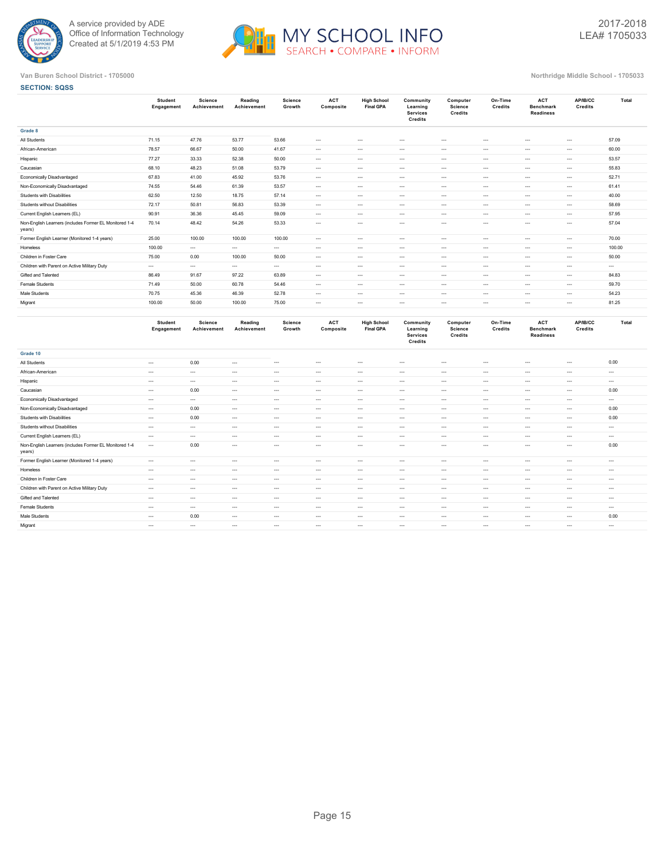

**SECTION: SQSS**



|                                                                  | <b>Student</b><br>Engagement | Science<br>Achievement | Reading<br>Achievement | Science<br>Growth | <b>ACT</b><br>Composite | <b>High School</b><br><b>Final GPA</b> | Community<br>Learning<br><b>Services</b><br>Credits | Computer<br><b>Science</b><br>Credits | On-Time<br>Credits | <b>ACT</b><br><b>Benchmark</b><br><b>Readiness</b> | AP/IB/CC<br>Credits | Total    |
|------------------------------------------------------------------|------------------------------|------------------------|------------------------|-------------------|-------------------------|----------------------------------------|-----------------------------------------------------|---------------------------------------|--------------------|----------------------------------------------------|---------------------|----------|
| Grade 8                                                          |                              |                        |                        |                   |                         |                                        |                                                     |                                       |                    |                                                    |                     |          |
| All Students                                                     | 71.15                        | 47.76                  | 53.77                  | 53.66             | $\cdots$                | $\cdots$                               | $\cdots$                                            | $\sim$ $\sim$                         | $\cdots$           | $\cdots$                                           | $\cdots$            | 57.09    |
| African-American                                                 | 78.57                        | 66.67                  | 50.00                  | 41.67             | $\sim$                  | $\sim$                                 | $---$                                               | $\cdots$                              | $\sim$             | $\sim$                                             | $\cdots$            | 60.00    |
| Hispanic                                                         | 77.27                        | 33.33                  | 52.38                  | 50.00             | $\sim$                  | $\cdots$                               | $---$                                               | $\cdots$                              | $\sim$             | $\sim$                                             | $\cdots$            | 53.57    |
| Caucasian                                                        | 68.10                        | 48.23                  | 51.08                  | 53.79             | $\sim$                  | $\cdots$                               | $\cdots$                                            | $\cdots$                              | $\sim$             | $\sim$                                             | $\cdots$            | 55.83    |
| Economically Disadvantaged                                       | 67.83                        | 41.00                  | 45.92                  | 53.76             | $\sim$                  | $\sim$                                 | $---$                                               | $\sim$ $\sim$                         | $\sim$             | $-1$                                               | $\cdots$            | 52.71    |
| Non-Economically Disadvantaged                                   | 74.55                        | 54.46                  | 61.39                  | 53.57             | $\sim$                  | $\cdots$                               | $---$                                               | $\sim$ $\sim$                         | $\sim$             | $-1$                                               | $\cdots$            | 61.41    |
| Students with Disabilities                                       | 62.50                        | 12.50                  | 18.75                  | 57.14             | $\sim$                  | $\cdots$                               | $---$                                               | $\cdots$                              | $\sim$             | $\sim$                                             | $\cdots$            | 40.00    |
| Students without Disabilities                                    | 72.17                        | 50.81                  | 56.83                  | 53.39             | $\sim$                  | $\cdots$                               | $---$                                               | $\cdots$                              | $\sim$             | $\sim$                                             | $\cdots$            | 58.69    |
| Current English Learners (EL)                                    | 90.91                        | 36.36                  | 45.45                  | 59.09             | $\sim$                  | $\sim$                                 | $---$                                               | $\sim$ $\sim$                         | $\sim$             | $\sim$ $\sim$                                      | $\cdots$            | 57.95    |
| Non-English Learners (includes Former EL Monitored 1-4<br>years) | 70.14                        | 48.42                  | 54.26                  | 53.33             | $\sim$                  | $\cdots$                               | $\cdots$                                            | $\cdots$                              | $\sim$             | $\sim$                                             | $\cdots$            | 57.04    |
| Former English Learner (Monitored 1-4 years)                     | 25.00                        | 100.00                 | 100.00                 | 100.00            | $\cdots$                | $\cdots$                               | $\cdots$                                            | $\cdots$                              | $\sim$             | $\cdots$                                           | $\cdots$            | 70.00    |
| Homeless                                                         | 100.00                       | $\ldots$               | $\cdots$               | $\sim$ $\sim$     | $\sim$                  | $\cdots$                               | $\cdots$                                            | $\cdots$                              | $\sim$             | $\sim$                                             | $\cdots$            | 100.00   |
| Children in Foster Care                                          | 75.00                        | 0.00                   | 100.00                 | 50.00             | $\sim$                  | $\cdots$                               | $---$                                               | $\sim$ $\sim$                         | $\sim$             | $\sim$                                             | $\cdots$            | 50.00    |
| Children with Parent on Active Military Duty                     | $\cdots$                     | $\ldots$               | $\cdots$               | $\sim$ $\sim$     | $\sim$                  | $\cdots$                               | $\cdots$                                            | $\cdots$                              | $\sim$             | $\sim$                                             | $\cdots$            | $\cdots$ |
| Gifted and Talented                                              | 86.49                        | 91.67                  | 97.22                  | 63.89             | $\sim$                  | $\sim$                                 | $---$                                               | $\cdots$                              | $\sim$             | $\sim$                                             | $\cdots$            | 84.83    |
| Female Students                                                  | 71.49                        | 50.00                  | 60.78                  | 54.46             | $\sim$                  | $\sim$                                 | $---$                                               | $\sim$ $\sim$                         | $\sim$             | $\sim$                                             | $\cdots$            | 59.70    |
| Male Students                                                    | 70.75                        | 45.36                  | 46.39                  | 52.78             | $\sim$                  | $\cdots$                               | $\cdots$                                            | $\cdots$                              | $\sim$             | $\sim$                                             | $\cdots$            | 54.23    |
| Migrant                                                          | 100.00                       | 50.00                  | 100.00                 | 75.00             | $\sim$                  | $\cdots$                               | $\cdots$                                            | $\cdots$                              | $\sim$             | $\sim$                                             | $\cdots$            | 81.25    |
|                                                                  |                              |                        |                        |                   |                         |                                        |                                                     |                                       |                    |                                                    |                     |          |

|                                                                  | Student<br>Engagement | Science<br>Achievement | Reading<br>Achievement | Science<br>Growth | ACT<br>Composite | <b>High School</b><br><b>Final GPA</b> | Community<br>Learning<br><b>Services</b><br>Credits | Computer<br><b>Science</b><br>Credits | On-Time<br>Credits | <b>ACT</b><br><b>Benchmark</b><br><b>Readiness</b> | <b>AP/IB/CC</b><br>Credits | Total    |
|------------------------------------------------------------------|-----------------------|------------------------|------------------------|-------------------|------------------|----------------------------------------|-----------------------------------------------------|---------------------------------------|--------------------|----------------------------------------------------|----------------------------|----------|
| Grade 10                                                         |                       |                        |                        |                   |                  |                                        |                                                     |                                       |                    |                                                    |                            |          |
| All Students                                                     | $\sim$                | 0.00                   | $\cdots$               | $\cdots$          | $\cdots$         | $---$                                  | $\cdots$                                            | $\cdots$                              | $\cdots$           | $\sim$                                             | $- - -$                    | 0.00     |
| African-American                                                 | $\sim$                | $---$                  | $\cdots$               | $\cdots$          | $\cdots$         |                                        | $\cdots$                                            | $\cdots$                              | $\sim$             | $-1$                                               | $\cdots$                   | $-1$     |
| Hispanic                                                         | $\cdots$              | $---$                  | $\cdots$               | $\sim$ $\sim$     | $\cdots$         |                                        | $\cdots$                                            | $\cdots$                              | $\sim$             | $-1$                                               | $\cdots$                   | $- - -$  |
| Caucasian                                                        | $\sim$                | 0.00                   | $\cdots$               | $\sim$ $\sim$     | $\cdots$         |                                        | $\cdots$                                            | $\sim$                                | $\sim$             | $-1$                                               | $\cdots$                   | 0.00     |
| <b>Economically Disadvantaged</b>                                | $\sim$                | $---$                  | $\cdots$               | $\cdots$          | $\cdots$         | ---                                    | $\cdots$                                            | $\cdots$                              | $\sim$             | $\sim$                                             | $\cdots$                   | $\cdots$ |
| Non-Economically Disadvantaged                                   | $\cdots$              | 0.00                   | $\cdots$               | $\cdots$          | $\cdots$         | $---$                                  | $\cdots$                                            | $\cdots$                              | $\sim$             | $\sim$                                             | $\cdots$                   | 0.00     |
| Students with Disabilities                                       | $\sim$                | 0.00                   | $-1$                   | $\sim$ $\sim$     | $\cdots$         |                                        | $\cdots$                                            | $\sim$                                | $\sim$             | $\sim$ $\sim$                                      | $\cdots$                   | 0.00     |
| Students without Disabilities                                    | $\sim$                | $---$                  | $\cdots$               | $\cdots$          | $\cdots$         | $---$                                  | $\cdots$                                            | $\cdots$                              | $\sim$             | $\sim$                                             | $\cdots$                   | $\cdots$ |
| Current English Learners (EL)                                    | $\sim$                | $---$                  | $\cdots$               | $\sim$ $\sim$     | $\cdots$         | $---$                                  | $\cdots$                                            | $\sim$                                | $\sim$             | $- - -$                                            | $\cdots$                   | $\cdots$ |
| Non-English Learners (includes Former EL Monitored 1-4<br>years) | $\sim$ $\sim$         | 0.00                   | $\cdots$               | $\sim$ $\sim$     | $\cdots$         |                                        | $\cdots$                                            | $\cdots$                              | $\sim$             | $\sim$ $\sim$                                      | $\cdots$                   | 0.00     |
| Former English Learner (Monitored 1-4 years)                     | $\sim$                | $\cdots$               | $\cdots$               | $\cdots$          | $\cdots$         | $---$                                  | $\cdots$                                            | $\cdots$                              | $\cdots$           | $\sim$                                             | $\cdots$                   | $\cdots$ |
| Homeless                                                         | $\sim$                | $\cdots$               | $\cdots$               | $\sim$ $\sim$     | $\cdots$         |                                        | $\cdots$                                            | $\cdots$                              | $\sim$             | $\sim$ $\sim$                                      | $\cdots$                   | $\cdots$ |
| Children in Foster Care                                          | $\cdots$              | $\cdots$               | $\cdots$               | $\cdots$          | $\cdots$         |                                        | $\cdots$                                            | $\sim$                                | $\sim$             | $\sim$ $\sim$                                      | $\cdots$                   | $\cdots$ |
| Children with Parent on Active Military Duty                     | $\sim$                | $---$                  | $\cdots$               | $\sim$ $\sim$     | $\cdots$         |                                        | $\cdots$                                            | $\cdots$                              | $\sim$             | $\sim$ $\sim$                                      | $\cdots$                   | $---$    |
| Gifted and Talented                                              | $\sim$                | $\cdots$               | $\cdots$               | $\cdots$          | $\cdots$         | $---$                                  | $\cdots$                                            | $\cdots$                              | $\sim$             | $\sim$                                             | $---$                      | $\cdots$ |
| Female Students                                                  | $\sim$                | $\cdots$               | $\cdots$               | $\cdots$          | $\cdots$         |                                        | $\cdots$                                            | $\cdots$                              | $\sim$             | $\sim$                                             | $\cdots$                   | $\cdots$ |
| Male Students                                                    | $\sim$                | 0.00                   | $\cdots$               | $\sim$ $\sim$     | $\cdots$         |                                        | $\cdots$                                            | $\cdots$                              | $\sim$             | $-1$                                               | $\cdots$                   | 0.00     |
| Migrant                                                          | $\cdots$              | $\cdots$               | $\cdots$               | $\cdots$          | $\cdots$         | $---$                                  | $\cdots$                                            | $\cdots$                              | $\cdots$           | $\sim$                                             | $---$                      | $\cdots$ |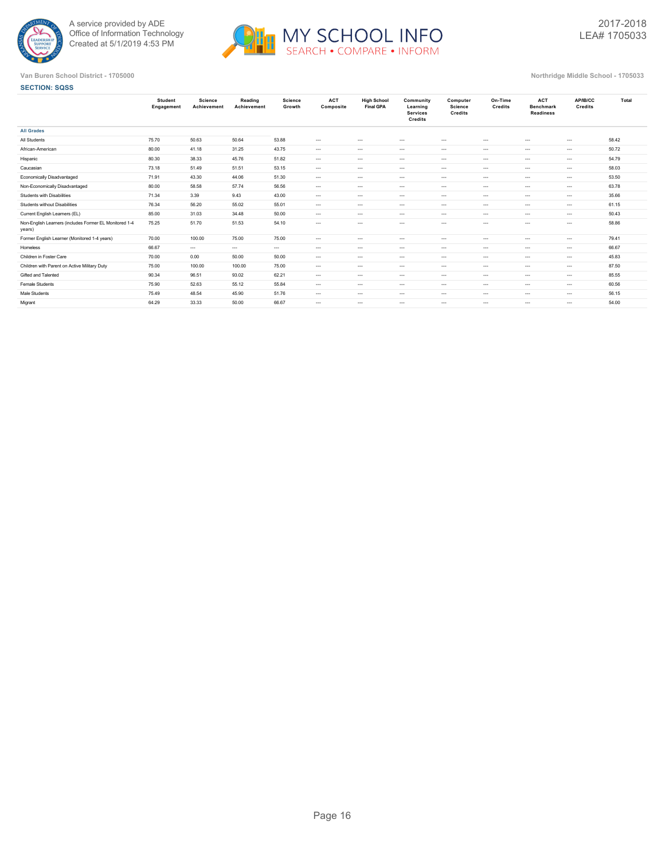



| <b>SECTION: SQSS</b>                                             |                              |                        |                        |                   |                         |                                        |                                                     |                                       |                    |                                                    |                     |       |
|------------------------------------------------------------------|------------------------------|------------------------|------------------------|-------------------|-------------------------|----------------------------------------|-----------------------------------------------------|---------------------------------------|--------------------|----------------------------------------------------|---------------------|-------|
|                                                                  | <b>Student</b><br>Engagement | Science<br>Achievement | Reading<br>Achievement | Science<br>Growth | <b>ACT</b><br>Composite | <b>High School</b><br><b>Final GPA</b> | Community<br>Learning<br><b>Services</b><br>Credits | Computer<br>Science<br><b>Credits</b> | On-Time<br>Credits | <b>ACT</b><br><b>Benchmark</b><br><b>Readiness</b> | AP/IB/CC<br>Credits | Total |
| <b>All Grades</b>                                                |                              |                        |                        |                   |                         |                                        |                                                     |                                       |                    |                                                    |                     |       |
| All Students                                                     | 75.70                        | 50.63                  | 50.64                  | 53.88             | $\cdots$                | $\cdots$                               | $---$                                               | $\cdots$                              | $\cdots$           | $\cdots$                                           | $\cdots$            | 58.42 |
| African-American                                                 | 80.00                        | 41.18                  | 31.25                  | 43.75             | $\sim$                  | $\cdots$                               | $\cdots$                                            | $- - -$                               | ---                | $-1$                                               | $\cdots$            | 50.72 |
| Hispanic                                                         | 80.30                        | 38.33                  | 45.76                  | 51.82             | $-1$                    | $-1$                                   | $---$                                               | $\cdots$                              | $\cdots$           | $\sim$                                             | $---$               | 54.79 |
| Caucasian                                                        | 73.18                        | 51.49                  | 51.51                  | 53.15             | $-1$                    | $\cdots$                               | $---$                                               | $\cdots$                              | $\cdots$           | $\cdots$                                           | $---$               | 58.03 |
| Economically Disadvantaged                                       | 71.91                        | 43.30                  | 44.06                  | 51.30             | $\sim$ $\sim$           | $\cdots$                               | $---$                                               | $\cdots$                              | $\cdots$           | $\sim$                                             | $---$               | 53.50 |
| Non-Economically Disadvantaged                                   | 80.00                        | 58.58                  | 57.74                  | 56.56             | $\sim$ $\sim$           | $\cdots$                               | $---$                                               | $\cdots$                              | $\cdots$           | $\cdots$                                           | $---$               | 63.78 |
| Students with Disabilities                                       | 71.34                        | 3.39                   | 9.43                   | 43.00             | $\sim$ $\sim$           | $\cdots$                               | $\cdots$                                            | $- - -$                               | $\cdots$           | $\cdots$                                           | $\cdots$            | 35.66 |
| Students without Disabilities                                    | 76.34                        | 56.20                  | 55.02                  | 55.01             | $\sim$ $\sim$           | $\cdots$                               | $---$                                               | $\cdots$                              | $\sim$             | $\cdots$                                           | $---$               | 61.15 |
| Current English Learners (EL)                                    | 85.00                        | 31.03                  | 34.48                  | 50.00             | $\sim$                  | $\cdots$                               | $\cdots$                                            | $\cdots$                              | $\cdots$           | $\cdots$                                           | $\cdots$            | 50.43 |
| Non-English Learners (includes Former EL Monitored 1-4<br>years) | 75.25                        | 51.70                  | 51.53                  | 54.10             | $\sim$ $\sim$           | $\cdots$                               | $---$                                               | $\cdots$                              | $\cdots$           | $\cdots$                                           | $---$               | 58.86 |
| Former English Learner (Monitored 1-4 years)                     | 70.00                        | 100.00                 | 75.00                  | 75.00             | $\sim$ $\sim$           | $\cdots$                               | $\cdots$                                            | $\cdots$                              | $\sim$             | $\cdots$                                           | $\cdots$            | 79.41 |
| Homeless                                                         | 66.67                        | $---$                  | $\cdots$               | $\cdots$          | $-1$                    | $\cdots$                               | $---$                                               | $\cdots$                              | $\sim$             | $\cdots$                                           | $---$               | 66.67 |
| Children in Foster Care                                          | 70.00                        | 0.00                   | 50.00                  | 50.00             | $\sim$                  | $\cdots$                               | $\cdots$                                            | $\cdots$                              | $\cdots$           | $\cdots$                                           | $\cdots$            | 45.83 |
| Children with Parent on Active Military Duty                     | 75.00                        | 100.00                 | 100.00                 | 75.00             | $-1$                    | $-1$                                   | $---$                                               | $\cdots$                              | $\cdots$           | $\sim$                                             | $---$               | 87.50 |
| Gifted and Talented                                              | 90.34                        | 96.51                  | 93.02                  | 62.21             | $-1$                    | $\cdots$                               | $---$                                               | $\cdots$                              | $\cdots$           | $\sim$                                             | $\cdots$            | 85.55 |
| Female Students                                                  | 75.90                        | 52.63                  | 55.12                  | 55.84             | $-1$                    | $\cdots$                               | $---$                                               | $\cdots$                              | $\cdots$           | $\cdots$                                           | $\cdots$            | 60.56 |
| Male Students                                                    | 75.49                        | 48.54                  | 45.90                  | 51.76             | $-1$                    | $\cdots$                               | $\cdots$                                            | $\cdots$                              | $\cdots$           | $\cdots$                                           | $\cdots$            | 56.15 |
| Migrant                                                          | 64.29                        | 33.33                  | 50.00                  | 66.67             | $\cdots$                | $\cdots$                               | $\cdots$                                            | $\cdots$                              | $\cdots$           | $\cdots$                                           | $\cdots$            | 54.00 |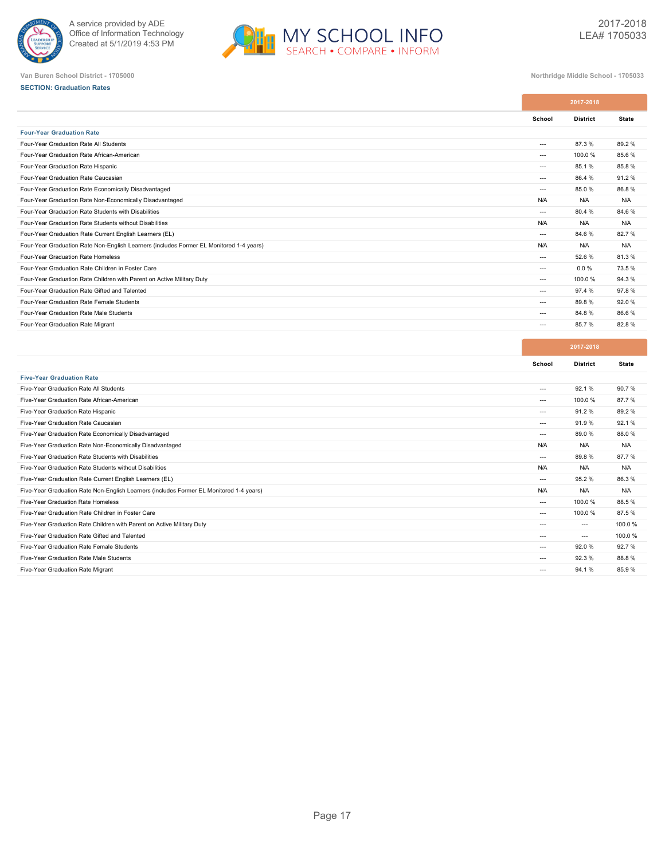



### **SECTION: Graduation Rates**

|                                                                                         |                          | 2017-2018       |              |
|-----------------------------------------------------------------------------------------|--------------------------|-----------------|--------------|
|                                                                                         | School                   | <b>District</b> | <b>State</b> |
| <b>Four-Year Graduation Rate</b>                                                        |                          |                 |              |
| Four-Year Graduation Rate All Students                                                  | $---$                    | 87.3%           | 89.2%        |
| Four-Year Graduation Rate African-American                                              | $---$                    | 100.0%          | 85.6%        |
| Four-Year Graduation Rate Hispanic                                                      | $---$                    | 85.1%           | 85.8%        |
| Four-Year Graduation Rate Caucasian                                                     | $---$                    | 86.4%           | 91.2%        |
| Four-Year Graduation Rate Economically Disadvantaged                                    | $---$                    | 85.0%           | 86.8%        |
| Four-Year Graduation Rate Non-Economically Disadvantaged                                | N/A                      | <b>N/A</b>      | N/A          |
| Four-Year Graduation Rate Students with Disabilities                                    | $\hspace{0.05cm} \ldots$ | 80.4%           | 84.6%        |
| Four-Year Graduation Rate Students without Disabilities                                 | N/A                      | <b>N/A</b>      | N/A          |
| Four-Year Graduation Rate Current English Learners (EL)                                 | $---$                    | 84.6%           | 82.7%        |
| Four-Year Graduation Rate Non-English Learners (includes Former EL Monitored 1-4 years) | N/A                      | <b>N/A</b>      | N/A          |
| Four-Year Graduation Rate Homeless                                                      | $---$                    | 52.6%           | 81.3%        |
| Four-Year Graduation Rate Children in Foster Care                                       | $---$                    | $0.0 \%$        | 73.5%        |
| Four-Year Graduation Rate Children with Parent on Active Military Duty                  | $---$                    | 100.0%          | 94.3%        |
| Four-Year Graduation Rate Gifted and Talented                                           | $---$                    | 97.4 %          | 97.8%        |
| Four-Year Graduation Rate Female Students                                               | $\cdots$                 | 89.8%           | 92.0%        |
| Four-Year Graduation Rate Male Students                                                 | $---$                    | 84.8%           | 86.6%        |
| Four-Year Graduation Rate Migrant                                                       | $---$                    | 85.7%           | 82.8%        |
|                                                                                         |                          |                 |              |

|                                                                                         |          | 2017-2018       |              |
|-----------------------------------------------------------------------------------------|----------|-----------------|--------------|
|                                                                                         | School   | <b>District</b> | <b>State</b> |
| <b>Five-Year Graduation Rate</b>                                                        |          |                 |              |
| Five-Year Graduation Rate All Students                                                  | $---$    | 92.1%           | 90.7%        |
| Five-Year Graduation Rate African-American                                              | $---$    | 100.0%          | 87.7%        |
| Five-Year Graduation Rate Hispanic                                                      | $---$    | 91.2%           | 89.2%        |
| Five-Year Graduation Rate Caucasian                                                     | $---$    | 91.9%           | 92.1%        |
| Five-Year Graduation Rate Economically Disadvantaged                                    | $---$    | 89.0%           | 88.0%        |
| Five-Year Graduation Rate Non-Economically Disadvantaged                                | N/A      | N/A             | N/A          |
| Five-Year Graduation Rate Students with Disabilities                                    | $---$    | 89.8%           | 87.7%        |
| Five-Year Graduation Rate Students without Disabilities                                 | N/A      | N/A             | N/A          |
| Five-Year Graduation Rate Current English Learners (EL)                                 | $---$    | 95.2%           | 86.3%        |
| Five-Year Graduation Rate Non-English Learners (includes Former EL Monitored 1-4 years) | N/A      | N/A             | N/A          |
| Five-Year Graduation Rate Homeless                                                      | $\cdots$ | 100.0%          | 88.5%        |
| Five-Year Graduation Rate Children in Foster Care                                       | $---$    | 100.0%          | 87.5%        |
| Five-Year Graduation Rate Children with Parent on Active Military Duty                  | $---$    | $---$           | 100.0%       |
| Five-Year Graduation Rate Gifted and Talented                                           | $---$    | $---$           | 100.0%       |
| Five-Year Graduation Rate Female Students                                               | $---$    | 92.0%           | 92.7%        |
| Five-Year Graduation Rate Male Students                                                 | $---$    | 92.3%           | 88.8%        |
| Five-Year Graduation Rate Migrant                                                       | $---$    | 94.1%           | 85.9%        |
|                                                                                         |          |                 |              |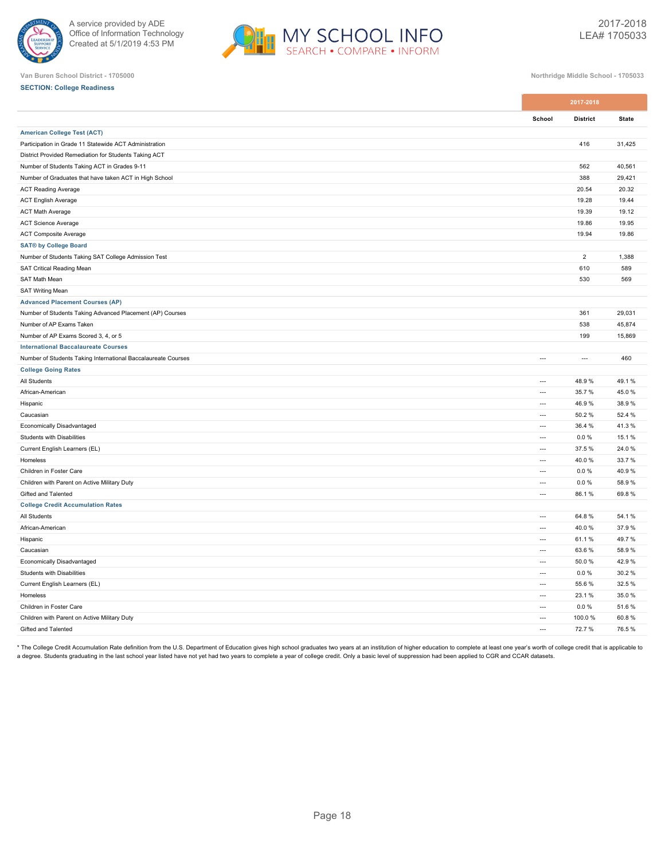

**SECTION: College Readiness**



**Van Buren School District - 1705000 Northridge Middle School - 1705033**

|                                                               | 2017-2018                |                 |              |  |
|---------------------------------------------------------------|--------------------------|-----------------|--------------|--|
|                                                               | School                   | <b>District</b> | <b>State</b> |  |
| <b>American College Test (ACT)</b>                            |                          |                 |              |  |
| Participation in Grade 11 Statewide ACT Administration        |                          | 416             | 31,425       |  |
| District Provided Remediation for Students Taking ACT         |                          |                 |              |  |
| Number of Students Taking ACT in Grades 9-11                  |                          | 562             | 40,561       |  |
| Number of Graduates that have taken ACT in High School        |                          | 388             | 29,421       |  |
| <b>ACT Reading Average</b>                                    |                          | 20.54           | 20.32        |  |
| <b>ACT English Average</b>                                    |                          | 19.28           | 19.44        |  |
| <b>ACT Math Average</b>                                       |                          | 19.39           | 19.12        |  |
| <b>ACT Science Average</b>                                    |                          | 19.86           | 19.95        |  |
| <b>ACT Composite Average</b>                                  |                          | 19.94           | 19.86        |  |
| <b>SAT® by College Board</b>                                  |                          |                 |              |  |
| Number of Students Taking SAT College Admission Test          |                          | $\overline{2}$  | 1,388        |  |
| SAT Critical Reading Mean                                     |                          | 610             | 589          |  |
| SAT Math Mean                                                 |                          | 530             | 569          |  |
| SAT Writing Mean                                              |                          |                 |              |  |
| <b>Advanced Placement Courses (AP)</b>                        |                          |                 |              |  |
| Number of Students Taking Advanced Placement (AP) Courses     |                          | 361             | 29,031       |  |
| Number of AP Exams Taken                                      |                          | 538             | 45,874       |  |
| Number of AP Exams Scored 3, 4, or 5                          |                          | 199             | 15,869       |  |
| <b>International Baccalaureate Courses</b>                    |                          |                 |              |  |
| Number of Students Taking International Baccalaureate Courses | $\overline{\phantom{a}}$ | $\overline{a}$  | 460          |  |
| <b>College Going Rates</b>                                    |                          |                 |              |  |
| All Students                                                  | $\overline{a}$           | 48.9%           | 49.1%        |  |
| African-American                                              | $\overline{a}$           | 35.7%           | 45.0%        |  |
| Hispanic                                                      | $\overline{\phantom{a}}$ | 46.9%           | 38.9%        |  |
| Caucasian                                                     | $\overline{\phantom{a}}$ | 50.2%           | 52.4 %       |  |
| Economically Disadvantaged                                    | $\overline{a}$           | 36.4%           | 41.3%        |  |
| Students with Disabilities                                    | $\overline{\phantom{a}}$ | 0.0 %           | 15.1 %       |  |
| Current English Learners (EL)                                 | $\overline{a}$           | 37.5%           | 24.0%        |  |
| Homeless                                                      | $\overline{\phantom{a}}$ | 40.0%           | 33.7%        |  |
| Children in Foster Care                                       | $\overline{a}$           | $0.0 \%$        | 40.9%        |  |
| Children with Parent on Active Military Duty                  | $\hspace{0.05cm} \cdots$ | 0.0%            | 58.9%        |  |
| Gifted and Talented                                           | $\overline{a}$           | 86.1%           | 69.8%        |  |
| <b>College Credit Accumulation Rates</b>                      |                          |                 |              |  |
| All Students                                                  | $\overline{\phantom{a}}$ | 64.8%           | 54.1%        |  |
| African-American                                              | $\overline{a}$           | 40.0%           | 37.9%        |  |
| Hispanic                                                      | $\hspace{0.05cm} \cdots$ | 61.1%           | 49.7%        |  |
| Caucasian                                                     | $\overline{\phantom{a}}$ | 63.6%           | 58.9%        |  |
| Economically Disadvantaged                                    | $\overline{\phantom{a}}$ | 50.0%           | 42.9%        |  |
| Students with Disabilities                                    | $\overline{a}$           | $0.0 \%$        | 30.2%        |  |
| Current English Learners (EL)                                 | $\overline{a}$           | 55.6%           | 32.5%        |  |
| Homeless                                                      | $\overline{\phantom{a}}$ | 23.1%           | 35.0%        |  |
| Children in Foster Care                                       | $---$                    | 0.0 %           | 51.6%        |  |
| Children with Parent on Active Military Duty                  | $\overline{\phantom{a}}$ | 100.0%          | 60.8%        |  |
| Gifted and Talented                                           | $\overline{a}$           | 72.7%           | 76.5%        |  |

\* The College Credit Accumulation Rate definition from the U.S. Department of Education gives high school graduates two years at an institution of higher education to complete at least one year's worth of college credit th a degree. Students graduating in the last school year listed have not yet had two years to complete a year of college credit. Only a basic level of suppression had been applied to CGR and CCAR datasets.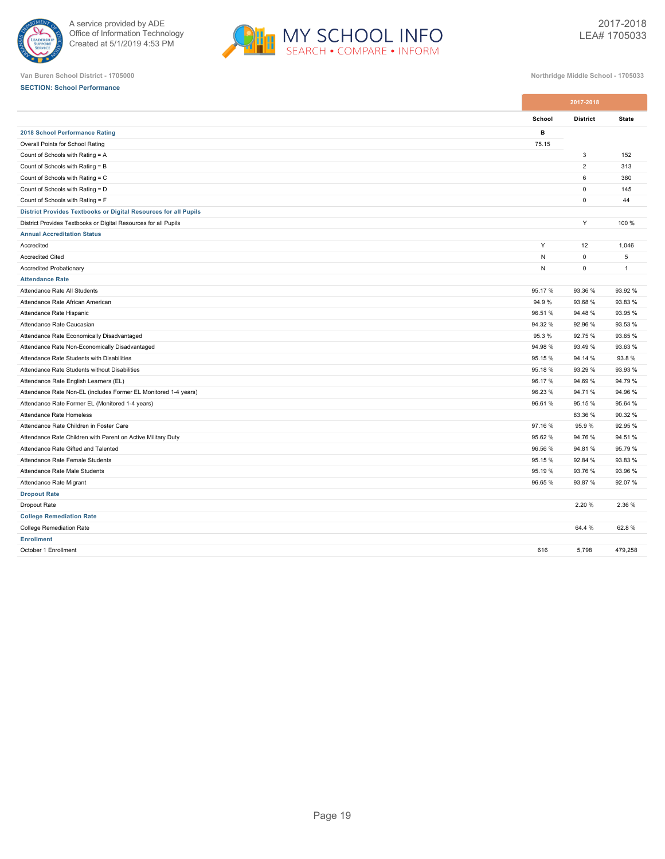



# **SECTION: School Performance**

|                                                                 |           | 2017-2018       |              |
|-----------------------------------------------------------------|-----------|-----------------|--------------|
|                                                                 | School    | <b>District</b> | <b>State</b> |
| 2018 School Performance Rating                                  | B         |                 |              |
| Overall Points for School Rating                                | 75.15     |                 |              |
| Count of Schools with Rating = A                                |           | 3               | 152          |
| Count of Schools with Rating = B                                |           | $\overline{2}$  | 313          |
| Count of Schools with Rating = C                                |           | 6               | 380          |
| Count of Schools with Rating = D                                |           | $\mathbf 0$     | 145          |
| Count of Schools with Rating = F                                |           | 0               | 44           |
| District Provides Textbooks or Digital Resources for all Pupils |           |                 |              |
| District Provides Textbooks or Digital Resources for all Pupils |           | Υ               | 100 %        |
| <b>Annual Accreditation Status</b>                              |           |                 |              |
| Accredited                                                      | Y         | 12              | 1,046        |
| <b>Accredited Cited</b>                                         | ${\sf N}$ | 0               | 5            |
| <b>Accredited Probationary</b>                                  | N         | $\mathbf 0$     | $\mathbf{1}$ |
| <b>Attendance Rate</b>                                          |           |                 |              |
| Attendance Rate All Students                                    | 95.17%    | 93.36 %         | 93.92 %      |
| Attendance Rate African American                                | 94.9%     | 93.68 %         | 93.83%       |
| Attendance Rate Hispanic                                        | 96.51%    | 94.48 %         | 93.95 %      |
| Attendance Rate Caucasian                                       | 94.32%    | 92.96 %         | 93.53 %      |
| Attendance Rate Economically Disadvantaged                      | 95.3%     | 92.75 %         | 93.65 %      |
| Attendance Rate Non-Economically Disadvantaged                  | 94.98%    | 93.49 %         | 93.63%       |
| Attendance Rate Students with Disabilities                      | 95.15%    | 94.14 %         | 93.8%        |
| Attendance Rate Students without Disabilities                   | 95.18%    | 93.29 %         | 93.93 %      |
| Attendance Rate English Learners (EL)                           | 96.17%    | 94.69 %         | 94.79 %      |
| Attendance Rate Non-EL (includes Former EL Monitored 1-4 years) | 96.23%    | 94.71%          | 94.96%       |
| Attendance Rate Former EL (Monitored 1-4 years)                 | 96.61%    | 95.15 %         | 95.64 %      |
| Attendance Rate Homeless                                        |           | 83.36 %         | 90.32 %      |
| Attendance Rate Children in Foster Care                         | 97.16%    | 95.9%           | 92.95 %      |
| Attendance Rate Children with Parent on Active Military Duty    | 95.62%    | 94.76%          | 94.51 %      |
| Attendance Rate Gifted and Talented                             | 96.56%    | 94.81%          | 95.79%       |
| Attendance Rate Female Students                                 | 95.15%    | 92.84 %         | 93.83 %      |
| Attendance Rate Male Students                                   | 95.19%    | 93.76 %         | 93.96 %      |
| Attendance Rate Migrant                                         | 96.65%    | 93.87%          | 92.07%       |
| <b>Dropout Rate</b>                                             |           |                 |              |
| Dropout Rate                                                    |           | 2.20%           | 2.36 %       |
| <b>College Remediation Rate</b>                                 |           |                 |              |
| College Remediation Rate                                        |           | 64.4 %          | 62.8%        |
| <b>Enrollment</b>                                               |           |                 |              |
| October 1 Enrollment                                            | 616       | 5,798           | 479,258      |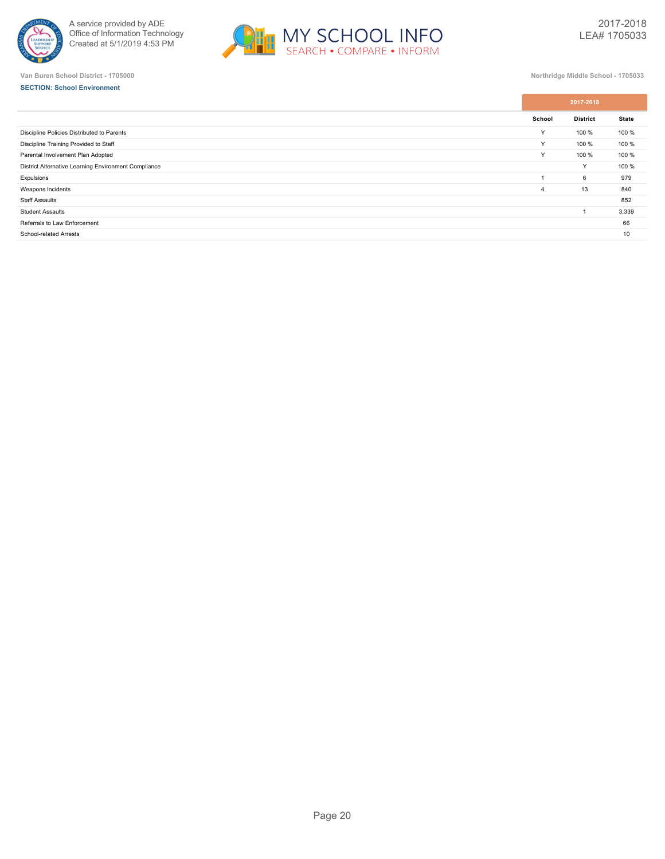



# **SECTION: School Environment**

|                                                      |                | 2017-2018       |       |
|------------------------------------------------------|----------------|-----------------|-------|
|                                                      | School         | <b>District</b> | State |
| Discipline Policies Distributed to Parents           | Y              | 100 %           | 100 % |
| Discipline Training Provided to Staff                | Y              | 100 %           | 100 % |
| Parental Involvement Plan Adopted                    | Y              | 100 %           | 100 % |
| District Alternative Learning Environment Compliance |                | Y               | 100 % |
| Expulsions                                           |                | 6               | 979   |
| Weapons Incidents                                    | $\overline{4}$ | 13              | 840   |
| <b>Staff Assaults</b>                                |                |                 | 852   |
| <b>Student Assaults</b>                              |                |                 | 3,339 |
| Referrals to Law Enforcement                         |                |                 | 66    |
| School-related Arrests                               |                |                 | 10    |
|                                                      |                |                 |       |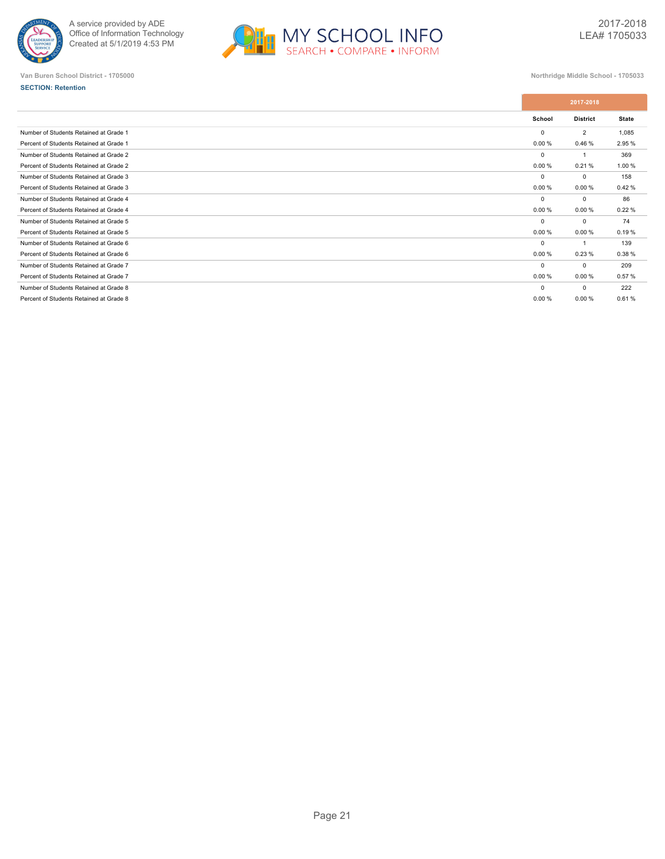



### **SECTION: Retention**

|                                         |        | 2017-2018       |        |
|-----------------------------------------|--------|-----------------|--------|
|                                         | School | <b>District</b> | State  |
| Number of Students Retained at Grade 1  | 0      | 2               | 1,085  |
| Percent of Students Retained at Grade 1 | 0.00%  | 0.46%           | 2.95 % |
| Number of Students Retained at Grade 2  | 0      |                 | 369    |
| Percent of Students Retained at Grade 2 | 0.00%  | 0.21%           | 1.00 % |
| Number of Students Retained at Grade 3  | 0      | 0               | 158    |
| Percent of Students Retained at Grade 3 | 0.00%  | 0.00%           | 0.42%  |
| Number of Students Retained at Grade 4  | 0      | 0               | 86     |
| Percent of Students Retained at Grade 4 | 0.00%  | 0.00%           | 0.22%  |
| Number of Students Retained at Grade 5  | 0      | 0               | 74     |
| Percent of Students Retained at Grade 5 | 0.00%  | 0.00%           | 0.19%  |
| Number of Students Retained at Grade 6  | 0      | 1               | 139    |
| Percent of Students Retained at Grade 6 | 0.00%  | 0.23%           | 0.38%  |
| Number of Students Retained at Grade 7  | 0      | 0               | 209    |
| Percent of Students Retained at Grade 7 | 0.00%  | 0.00%           | 0.57%  |
| Number of Students Retained at Grade 8  | 0      | 0               | 222    |
| Percent of Students Retained at Grade 8 | 0.00%  | 0.00%           | 0.61%  |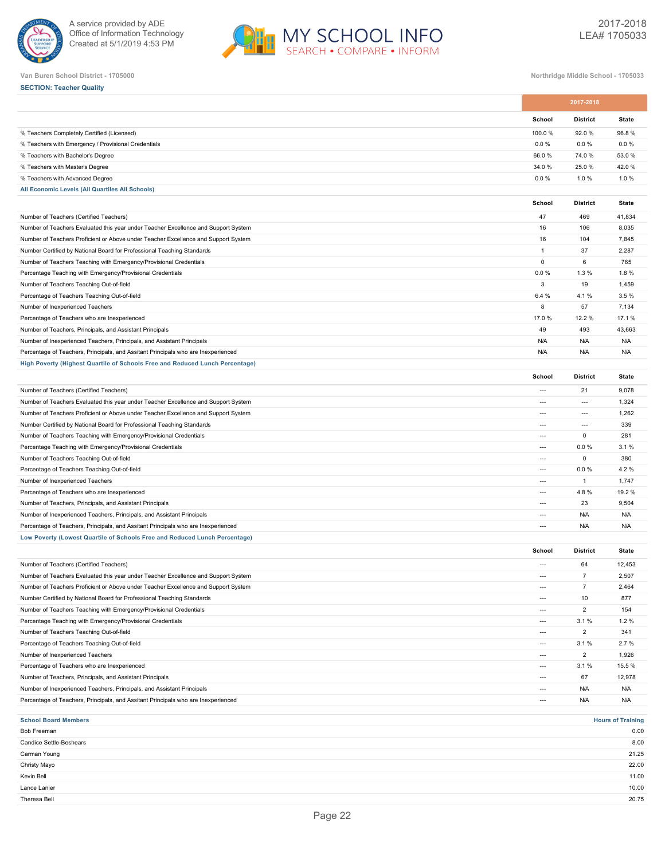



### **SECTION: Teacher Quality**

|                                                                                    |                          | 2017-2018                |                          |
|------------------------------------------------------------------------------------|--------------------------|--------------------------|--------------------------|
|                                                                                    | School                   | <b>District</b>          | <b>State</b>             |
| % Teachers Completely Certified (Licensed)                                         | 100.0%                   | 92.0%                    | 96.8%                    |
| % Teachers with Emergency / Provisional Credentials                                | 0.0%                     | 0.0%                     | 0.0%                     |
| % Teachers with Bachelor's Degree                                                  | 66.0%                    | 74.0%                    | 53.0%                    |
| % Teachers with Master's Degree                                                    | 34.0 %                   | 25.0%                    | 42.0%                    |
| % Teachers with Advanced Degree                                                    | 0.0%                     | 1.0%                     | 1.0%                     |
| All Economic Levels (All Quartiles All Schools)                                    |                          |                          |                          |
|                                                                                    | School                   | <b>District</b>          | <b>State</b>             |
| Number of Teachers (Certified Teachers)                                            | 47                       | 469                      | 41,834                   |
| Number of Teachers Evaluated this year under Teacher Excellence and Support System | 16                       | 106                      | 8,035                    |
| Number of Teachers Proficient or Above under Teacher Excellence and Support System | 16                       | 104                      | 7,845                    |
| Number Certified by National Board for Professional Teaching Standards             | $\mathbf{1}$             | 37                       | 2,287                    |
| Number of Teachers Teaching with Emergency/Provisional Credentials                 | $\pmb{0}$                | 6                        | 765                      |
| Percentage Teaching with Emergency/Provisional Credentials                         | 0.0%                     | 1.3%                     | 1.8%                     |
| Number of Teachers Teaching Out-of-field                                           | 3                        | 19                       | 1,459                    |
| Percentage of Teachers Teaching Out-of-field                                       | 6.4 %                    | 4.1%                     | 3.5%                     |
| Number of Inexperienced Teachers                                                   | 8                        | 57                       | 7,134                    |
| Percentage of Teachers who are Inexperienced                                       | 17.0%                    | 12.2 %                   | 17.1 %                   |
| Number of Teachers, Principals, and Assistant Principals                           | 49                       | 493                      | 43,663                   |
| Number of Inexperienced Teachers, Principals, and Assistant Principals             | N/A                      | N/A                      | N/A                      |
| Percentage of Teachers, Principals, and Assitant Principals who are Inexperienced  | N/A                      | N/A                      | N/A                      |
| High Poverty (Highest Quartile of Schools Free and Reduced Lunch Percentage)       |                          |                          |                          |
|                                                                                    | School                   | <b>District</b>          | <b>State</b>             |
| Number of Teachers (Certified Teachers)                                            | $\overline{a}$           | 21                       | 9,078                    |
| Number of Teachers Evaluated this year under Teacher Excellence and Support System | $\overline{\phantom{a}}$ | $\overline{\phantom{a}}$ | 1,324                    |
| Number of Teachers Proficient or Above under Teacher Excellence and Support System | $---$                    | $---$                    | 1,262                    |
| Number Certified by National Board for Professional Teaching Standards             | $\hspace{0.05cm} \ldots$ | $\overline{\phantom{a}}$ | 339                      |
| Number of Teachers Teaching with Emergency/Provisional Credentials                 | ---                      | $\mathsf 0$              | 281                      |
| Percentage Teaching with Emergency/Provisional Credentials                         | $\hspace{0.05cm} \ldots$ | 0.0%                     | 3.1%                     |
| Number of Teachers Teaching Out-of-field                                           | $\hspace{0.05cm} \ldots$ | $\mathsf 0$              | 380                      |
| Percentage of Teachers Teaching Out-of-field                                       | $---$                    | 0.0%                     | 4.2%                     |
| Number of Inexperienced Teachers                                                   | $---$                    | $\mathbf{1}$             | 1,747                    |
| Percentage of Teachers who are Inexperienced                                       | $\overline{\phantom{a}}$ | 4.8%                     | 19.2 %                   |
| Number of Teachers, Principals, and Assistant Principals                           | $\hspace{0.05cm} \ldots$ | 23                       | 9,504                    |
| Number of Inexperienced Teachers, Principals, and Assistant Principals             | ---                      | N/A                      | N/A                      |
| Percentage of Teachers, Principals, and Assitant Principals who are Inexperienced  | $\cdots$                 | N/A                      | N/A                      |
| Low Poverty (Lowest Quartile of Schools Free and Reduced Lunch Percentage)         |                          |                          |                          |
|                                                                                    | School                   | <b>District</b>          | <b>State</b>             |
| Number of Teachers (Certified Teachers)                                            | $\overline{a}$           | 64                       | 12,453                   |
| Number of Teachers Evaluated this year under Teacher Excellence and Support System | $---$                    | $\overline{7}$           | 2,507                    |
| Number of Teachers Proficient or Above under Teacher Excellence and Support System |                          | $\overline{7}$           | 2,464                    |
| Number Certified by National Board for Professional Teaching Standards             | ---                      | 10                       | 877                      |
| Number of Teachers Teaching with Emergency/Provisional Credentials                 | $---$                    | $\overline{2}$           | 154                      |
| Percentage Teaching with Emergency/Provisional Credentials                         | $---$                    | 3.1%                     | 1.2%                     |
| Number of Teachers Teaching Out-of-field                                           | $---$                    | $\overline{\mathbf{c}}$  | 341                      |
| Percentage of Teachers Teaching Out-of-field                                       | $---$                    | 3.1%                     | 2.7%                     |
| Number of Inexperienced Teachers                                                   | ---                      | $\overline{\mathbf{c}}$  | 1,926                    |
| Percentage of Teachers who are Inexperienced                                       | $\hspace{0.05cm} \ldots$ | 3.1%                     | 15.5 %                   |
| Number of Teachers, Principals, and Assistant Principals                           | ---                      | 67                       | 12,978                   |
| Number of Inexperienced Teachers, Principals, and Assistant Principals             | $\overline{\phantom{a}}$ | N/A                      | N/A                      |
| Percentage of Teachers, Principals, and Assitant Principals who are Inexperienced  | ---                      | N/A                      | N/A                      |
| <b>School Board Members</b>                                                        |                          |                          | <b>Hours of Training</b> |
| Bob Freeman                                                                        |                          |                          | 0.00                     |
| Candice Settle-Beshears                                                            |                          |                          | 8.00                     |
| Carman Young                                                                       |                          |                          | 21.25                    |
| Christy Mayo                                                                       |                          |                          | 22.00                    |
| Kevin Bell                                                                         |                          |                          | 11.00                    |

Lance Lanier 10.00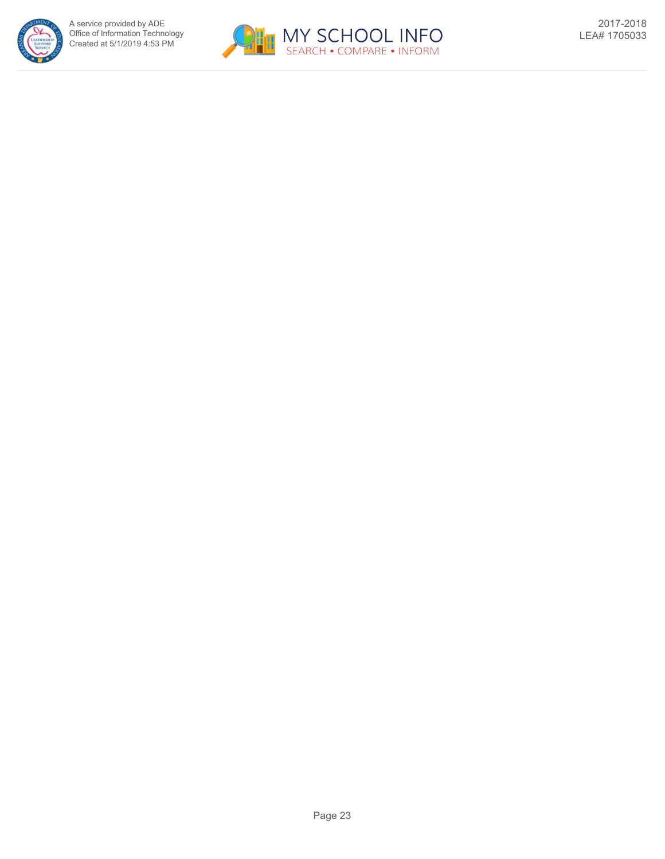

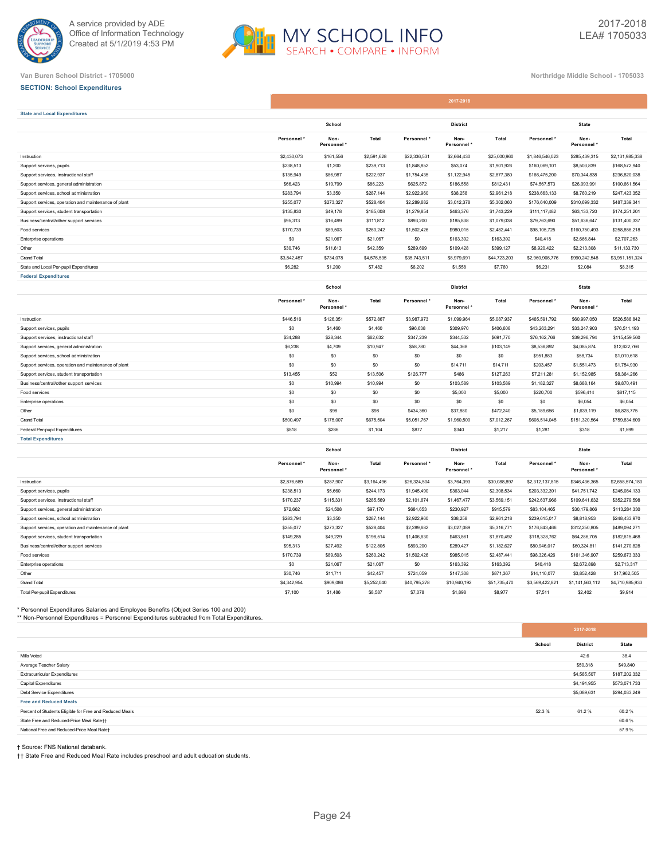



### **SECTION: School Expenditures**

|                                                      |             |                                |             |              | 2017-2018                      |              |                 |                     |                 |
|------------------------------------------------------|-------------|--------------------------------|-------------|--------------|--------------------------------|--------------|-----------------|---------------------|-----------------|
| <b>State and Local Expenditures</b>                  |             |                                |             |              |                                |              |                 |                     |                 |
|                                                      |             | School                         |             |              | <b>District</b>                |              |                 | <b>State</b>        |                 |
|                                                      | Personnel * | Non-<br>Personnel              | Total       | Personnel *  | Non-<br>Personnel <sup>®</sup> | Total        | Personnel *     | Non-<br>Personnel * | Total           |
| Instruction                                          | \$2,430,073 | \$161,556                      | \$2,591,628 | \$22,336,531 | \$2,664,430                    | \$25,000,960 | \$1,846,546,023 | \$285,439,315       | \$2,131,985,338 |
| Support services, pupils                             | \$238,513   | \$1,200                        | \$239,713   | \$1,848,852  | \$53,074                       | \$1,901,926  | \$160,069,101   | \$8,503,839         | \$168,572,940   |
| Support services, instructional staff                | \$135,949   | \$86,987                       | \$222,937   | \$1,754,435  | \$1,122,945                    | \$2,877,380  | \$166,475,200   | \$70,344,838        | \$236,820,038   |
| Support services, general administration             | \$66,423    | \$19,799                       | \$86,223    | \$625,872    | \$186,558                      | \$812,431    | \$74,567,573    | \$26,093,991        | \$100,661,564   |
| Support services, school administration              | \$283,794   | \$3,350                        | \$287,144   | \$2,922,960  | \$38,258                       | \$2,961,218  | \$238,663,133   | \$8,760,219         | \$247,423,352   |
| Support services, operation and maintenance of plant | \$255,077   | \$273,327                      | \$528,404   | \$2,289,682  | \$3,012,378                    | \$5,302,060  | \$176,640,009   | \$310,699,332       | \$487,339,341   |
| Support services, student transportation             | \$135,830   | \$49,178                       | \$185,008   | \$1,279,854  | \$463,376                      | \$1,743,229  | \$111,117,482   | \$63,133,720        | \$174,251,201   |
| Business/central/other support services              | \$95,313    | \$16,499                       | \$111,812   | \$893,200    | \$185,838                      | \$1,079,038  | \$79,763,690    | \$51,636,647        | \$131,400,337   |
| Food services                                        | \$170,739   | \$89,503                       | \$260,242   | \$1,502,426  | \$980,015                      | \$2,482,441  | \$98,105,725    | \$160,750,493       | \$258,856,218   |
| Enterprise operations                                | \$0         | \$21,067                       | \$21,067    | \$0          | \$163,392                      | \$163,392    | \$40,418        | \$2,666,844         | \$2,707,263     |
| Other                                                | \$30,746    | \$11,613                       | \$42,359    | \$289,699    | \$109,428                      | \$399,127    | \$8,920,422     | \$2,213,308         | \$11,133,730    |
| <b>Grand Total</b>                                   | \$3,842,457 | \$734,078                      | \$4,576,535 | \$35,743,511 | \$8,979,691                    | \$44,723,203 | \$2,960,908,776 | \$990,242,548       | \$3,951,151,324 |
| State and Local Per-pupil Expenditures               | \$6,282     | \$1,200                        | \$7,482     | \$6,202      | \$1,558                        | \$7,760      | \$6,231         | \$2,084             | \$8,315         |
| <b>Federal Expenditures</b>                          |             |                                |             |              |                                |              |                 |                     |                 |
|                                                      |             | School                         |             |              | <b>District</b>                |              |                 | <b>State</b>        |                 |
|                                                      | Personnel   | Non-                           | Total       | Personnel *  | Non-                           | Total        | Personnel*      | Non-                | Total           |
|                                                      |             | Personnel *                    |             |              | Personnel *                    |              |                 | Personnel *         |                 |
| Instruction                                          | \$446,516   | \$126,351                      | \$572,867   | \$3,987,973  | \$1,099,964                    | \$5,087,937  | \$465,591,792   | \$60,997,050        | \$526,588,842   |
| Support services, pupils                             | \$0         | \$4,460                        | \$4,460     | \$96,638     | \$309,970                      | \$406,608    | \$43,263,291    | \$33,247,903        | \$76,511,193    |
| Support services, instructional staff                | \$34,288    | \$28,344                       | \$62,632    | \$347,239    | \$344,532                      | \$691,770    | \$76,162,766    | \$39,296,794        | \$115,459,560   |
| Support services, general administration             | \$6,238     | \$4,709                        | \$10,947    | \$58,780     | \$44,368                       | \$103,149    | \$8,536,892     | \$4,085,874         | \$12,622,766    |
| Support services, school administration              | \$0         | \$0                            | \$0         | \$0          | \$0                            | \$0          | \$951,883       | \$58,734            | \$1,010,618     |
| Support services, operation and maintenance of plant | \$0         | \$0                            | \$0         | \$0          | \$14,711                       | \$14,711     | \$203,457       | \$1,551,473         | \$1,754,930     |
| Support services, student transportation             | \$13,455    | \$52                           | \$13,506    | \$126,777    | \$486                          | \$127,263    | \$7,211,281     | \$1,152,985         | \$8,364,266     |
| Business/central/other support services              | \$0         | \$10,994                       | \$10,994    | \$0          | \$103,589                      | \$103,589    | \$1,182,327     | \$8,688,164         | \$9,870,491     |
| Food services                                        | \$0         | \$0                            | \$0         | \$0          | \$5,000                        | \$5,000      | \$220,700       | \$596,414           | \$817,115       |
| Enterprise operations                                | \$0         | \$0                            | \$0         | \$0          | \$0                            | \$0          | \$0             | \$6,054             | \$6,054         |
| Other                                                | \$0         | \$98                           | \$98        | \$434.360    | \$37,880                       | \$472.240    | \$5,189,656     | \$1,639,119         | \$6,828,775     |
| <b>Grand Total</b>                                   | \$500,497   | \$175,007                      | \$675,504   | \$5,051,767  | \$1,960,500                    | \$7,012,267  | \$608,514,045   | \$151,320,564       | \$759,834,609   |
| Federal Per-pupil Expenditures                       | \$818       | \$286                          | \$1,104     | <b>\$877</b> | \$340                          | \$1,217      | \$1,281         | \$318               | \$1,599         |
| <b>Total Expenditures</b>                            |             |                                |             |              |                                |              |                 |                     |                 |
|                                                      |             | School                         |             |              | <b>District</b>                |              |                 | <b>State</b>        |                 |
|                                                      | Personnel   | Non-<br>Personnel <sup>'</sup> | Total       | Personnel *  | Non-<br>Personnel *            | Total        | Personnel *     | Non-<br>Personnel*  | Total           |
| Instruction                                          | \$2,876,589 | \$287,907                      | \$3,164,496 | \$26,324,504 | \$3,764,393                    | \$30,088,897 | \$2,312,137,815 | \$346,436,365       | \$2,658,574,180 |
| Support services, pupils                             | \$238,513   | \$5,660                        | \$244,173   | \$1,945,490  | \$363,044                      | \$2,308,534  | \$203,332,391   | \$41,751,742        | \$245,084,133   |

| Support services, general administration             | \$72,662    | \$24,508  | \$97,170    | \$684,653    | \$230,927    | \$915,579    | \$83,104,465    | \$30,179,866    | \$113,284,330   |
|------------------------------------------------------|-------------|-----------|-------------|--------------|--------------|--------------|-----------------|-----------------|-----------------|
| Support services, school administration              | \$283.794   | \$3,350   | \$287.144   | \$2,922,960  | \$38,258     | \$2,961.218  | \$239,615,017   | \$8,818,953     | \$248,433,970   |
| Support services, operation and maintenance of plant | \$255.077   | \$273,327 | \$528,404   | \$2,289,682  | \$3,027,089  | \$5,316,771  | \$176,843,466   | \$312,250,805   | \$489.094.271   |
| Support services, student transportation             | \$149.285   | \$49,229  | \$198,514   | \$1,406,630  | \$463,861    | \$1,870,492  | \$118,328,762   | \$64,286,705    | \$182,615,468   |
| Business/central/other support services              | \$95,313    | \$27,492  | \$122,805   | \$893,200    | \$289,427    | \$1,182,627  | \$80,946,017    | \$60,324,811    | \$141,270,828   |
| Food services                                        | \$170.739   | \$89,503  | \$260,242   | \$1,502,426  | \$985,015    | \$2,487,441  | \$98,326,426    | \$161.346.907   | \$259,673,333   |
| Enterprise operations                                | \$0         | \$21,067  | \$21,067    | \$0          | \$163,392    | \$163,392    | \$40,418        | \$2,672,898     | \$2,713,317     |
| Other                                                | \$30,746    | \$11,711  | \$42,457    | \$724.059    | \$147,308    | \$871.367    | \$14,110,077    | \$3,852,428     | \$17,962,505    |
| <b>Grand Total</b>                                   | \$4,342,954 | \$909,086 | \$5,252,040 | \$40,795,278 | \$10,940.192 | \$51,735,470 | \$3,569,422,821 | \$1,141,563,112 | \$4,710,985,933 |
| <b>Total Per-pupil Expenditures</b>                  | \$7,100     | \$1,486   | \$8,587     | \$7,078      | \$1,898      | \$8,977      | \$7,511         | \$2,402         | \$9,914         |

\* Personnel Expenditures Salaries and Employee Benefits (Object Series 100 and 200)

\*\* Non-Personnel Expenditures = Personnel Expenditures subtracted from Total Expenditures.

|                                                         |        | 2017-2018       |               |
|---------------------------------------------------------|--------|-----------------|---------------|
|                                                         | School | <b>District</b> | <b>State</b>  |
| Mills Voted                                             |        | 42.6            | 38.4          |
| Average Teacher Salary                                  |        | \$50,318        | \$49,840      |
| <b>Extracurricular Expenditures</b>                     |        | \$4,585,507     | \$187,202,332 |
| Capital Expenditures                                    |        | \$4,191,955     | \$573,071,733 |
| Debt Service Expenditures                               |        | \$5,089,631     | \$294,033,249 |
| <b>Free and Reduced Meals</b>                           |        |                 |               |
| Percent of Students Eligible for Free and Reduced Meals | 52.3%  | 61.2%           | 60.2%         |
| State Free and Reduced-Price Meal Ratett                |        |                 | 60.6%         |
| National Free and Reduced-Price Meal Rate+              |        |                 | 57.9%         |
|                                                         |        |                 |               |

† Source: FNS National databank.

†† State Free and Reduced Meal Rate includes preschool and adult education students.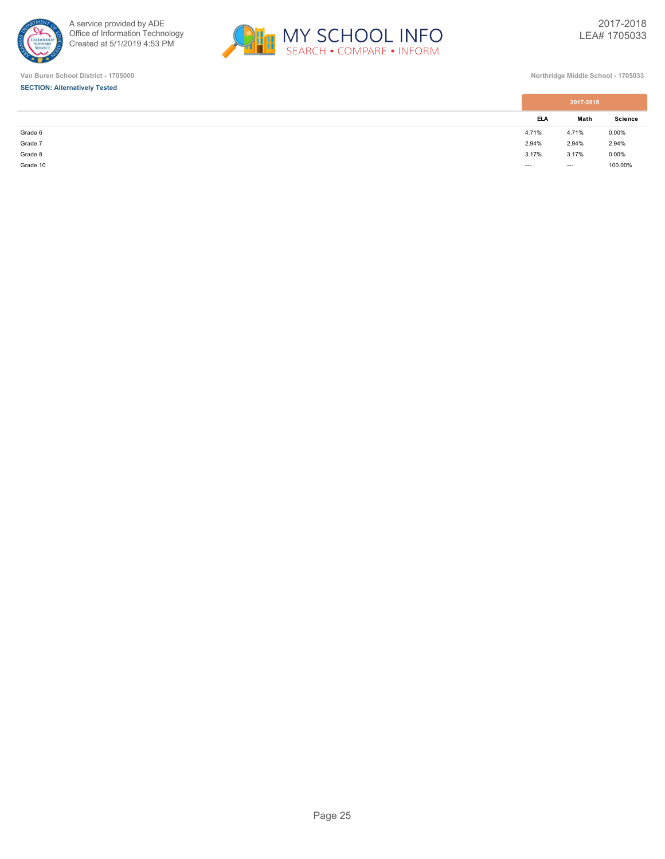





|                    |                                        | 2017-2018 |                |
|--------------------|----------------------------------------|-----------|----------------|
|                    | <b>ELA</b>                             | Math      | <b>Science</b> |
|                    | 4.71%                                  | 4.71%     | $0.00\%$       |
| Grade 6<br>Grade 7 | 2.94%                                  | 2.94%     | 2.94%          |
| Grade 8            | 3.17%                                  | 3.17%     | 0.00%          |
| Grade 10           | $\hspace{0.1em} \ldots \hspace{0.1em}$ | $\cdots$  | 100.00%        |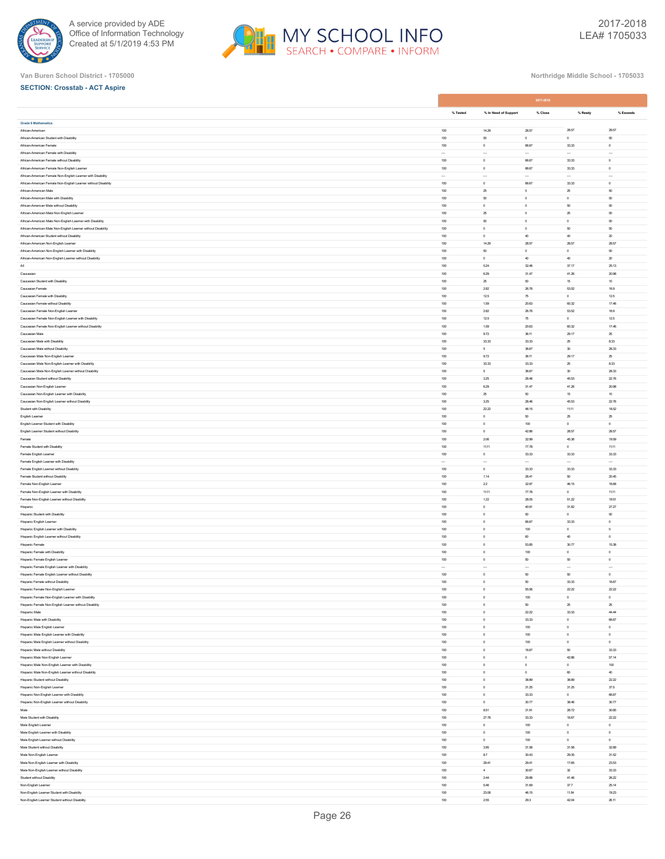



|                                                                                              |                  |                           | 2017-2018                       |                          |                            |
|----------------------------------------------------------------------------------------------|------------------|---------------------------|---------------------------------|--------------------------|----------------------------|
|                                                                                              | % Tested         | % In Need of Support      | % Close                         | % Ready                  | % Exceeds                  |
| <b>Grade 6 Mathematics</b>                                                                   |                  |                           |                                 |                          |                            |
| African-American                                                                             | $100\,$          | 14.29                     | 28.57                           | 28.57                    | 28.57                      |
| African-American Student with Disability                                                     | 100              | 60                        | $\mathbf 0$                     | $\mathbb O$              | 60                         |
| African-American Female                                                                      | 100              | $\circ$                   | 66.67                           | 33.33                    | $\mathbb O$                |
| African-American Female with Disability<br>African-American Female without Disability        | $\ddotsc$<br>100 | $\sim$<br>$^{\circ}$      | $\ddot{\phantom{0}}$<br>66.67   | <br>33.33                | <br>$\circ$                |
| African-American Female Non-English Learner                                                  | 100              | $\circ$                   | 66.67                           | 33.33                    | $\mathbb O$                |
| African-American Female Non-English Learner with Disability                                  | $\cdots$         | $\cdots$                  | $\ddotsc$                       | $\cdots$                 | $\cdots$                   |
| African-American Female Non-English Learner without Disability                               | 100              | $^{\circ}$                | 66.67                           | 33.33                    | $\circ$                    |
| African-American Male                                                                        | $100\,$          | $\rm{25}$                 | $\,$ 0 $\,$                     | $\rm{25}$                | $_{\rm 50}$                |
| African-American Male with Disability<br>African-American Male without Disability            | 100<br>100       | 60<br>$\,$ 0 $\,$         | $\,$ 0 $\,$<br>$\,$ 0 $\,$      | $\,$ 0<br>$_{\rm 50}$    | $_{50}$<br>$_{50}$         |
| African-American Male Non-English Learner                                                    | $100\,$          | $\rm{25}$                 | $\,$ 0 $\,$                     | $\rm{25}$                | $_{\rm 50}$                |
| African-American Male Non-English Learner with Disability                                    | 100              | 60                        | $\mathbf 0$                     | $\mathbf{0}$             | 60                         |
| African-American Male Non-English Learner without Disability                                 | 100              | $\,$ 0 $\,$               | $\mathbf 0$                     | $_{\rm 50}$              | $_{50}$                    |
| African-American Student without Disability                                                  | 100              | $\,0\,$                   | $40\,$                          | $40\,$                   | $20\,$                     |
| African-American Non-English Learner<br>African-American Non-English Learner with Disability | 100<br>$100\,$   | 14.29<br>$_{50}$          | 28.57<br>$\,$ 0 $\,$            | 28.57<br>$\,$ 0          | 28.57<br>$_{\rm 50}$       |
| African-American Non-English Learner without Disability                                      | 100              | $\circ$                   | $40\,$                          | $40\,$                   | $20\,$                     |
| All                                                                                          | 100              | 5.24                      | 32.46                           | 37.17                    | 25.13                      |
| Caucasian                                                                                    | $100\,$          | 6.29                      | 31.47                           | 41.26                    | 20.98                      |
| Caucasian Student with Disability                                                            | 100              | $\rm{z}$                  | $_{50}$                         | $15\,$                   | $10\,$                     |
| Caucasian Female                                                                             | 100              | 2.82                      | 26.76                           | 53.52                    | 16.9                       |
| Caucasian Female with Disability                                                             | 100              | 12.5                      | 75                              | $\mathbb O$              | 12.5<br>17.46              |
| Caucasian Female without Disability<br>Caucasian Female Non-English Learner                  | 100<br>$100\,$   | 1.59<br>$2\,82$           | 20.63<br>26.76                  | 60.32<br>53.52           | 16.9                       |
| Caucasian Female Non-English Learner with Disability                                         | 100              | 12.5                      | 75                              | $\mathbb O$              | 12.5                       |
| Caucasian Female Non-English Learner without Disability                                      | 100              | 1.59                      | 20.63                           | 60.32                    | 17.46                      |
| Caucasian Male                                                                               | $100\,$          | $9.72\,$                  | 36.11                           | 29.17                    | $2\!$                      |
| Caucasian Male with Disability                                                               | 100              | 33.33                     | 33.33                           | 25                       | 8.33                       |
| Caucasian Male without Disability                                                            | 100              | $\overline{5}$            | 36.67                           | $30\,$                   | 28.33                      |
| Caucasian Male Non-English Learner<br>Caucasian Male Non-English Learner with Disability     | 100<br>100       | 9.72<br>33.33             | 36.11<br>33.33                  | 29.17<br>$\rm{25}$       | $\rm 25$<br>8.33           |
| Caucasian Male Non-English Learner without Disability                                        | $100\,$          | $\mathsf{s}$              | 36.67                           | $_{\rm 30}$              | 28.33                      |
| Caucasian Student without Disability                                                         | 100              | 3.25                      | 28.46                           | 45.53                    | 22.76                      |
| Caucasian Non-English Learner                                                                | 100              | 6.29                      | 31.47                           | 41.26                    | 20.98                      |
| Caucasian Non-English Learner with Disability                                                | $100\,$          | $\rm{25}$                 | $_{\rm 50}$                     | $15\,$                   | $10\,$                     |
| Caucasian Non-English Learner without Disability                                             | 100              | 3.25                      | 28.46                           | 45.53                    | 22.76                      |
| Student with Disability<br>English Learner                                                   | 100<br>100       | 22.22<br>$\,$ 0 $\,$      | 48.15<br>$_{50}$                | 11.11<br>$\rm 25$        | 18.52<br>$\rm 25$          |
| English Learner Student with Disability                                                      | 100              | $^{\circ}$                | 100                             | $\circ$                  | $\circ$                    |
| English Learner Student without Disability                                                   | $100\,$          | $\,0\,$                   | 42.86                           | 28.57                    | 28.57                      |
| Female                                                                                       | 100              | 2.06                      | 32.99                           | 45.36                    | 19.59                      |
| Female Student with Disability                                                               | 100              | 11.11                     | 77.78                           | $\mathbb O$              | 11.11                      |
| Female English Learner                                                                       | $100\,$          | $\,$ 0 $\,$               | 33.33                           | 33.33                    | 33.33                      |
| Female English Learner with Disability<br>Female English Learner without Disability          | $\cdots$<br>100  | $\cdots$<br>$\,$ 0 $\,$   | $\ddotsc$<br>33.33              | $\cdots$<br>33.33        | $\ldots$<br>33.33          |
| Female Student without Disability                                                            | 100              | 1.14                      | 28.41                           | $_{\rm 50}$              | 20.45                      |
| Female Non-English Learner                                                                   | 100              | 22                        | 32.97                           | 46.15                    | 18.68                      |
| Female Non-English Learner with Disability                                                   | $100\,$          | 11.11                     | 77.78                           | $\mathbb O$              | 11.11                      |
| Female Non-English Learner without Disability                                                | 100              | 1.22                      | 28.05                           | 51.22                    | 19.51                      |
| Hispanic<br>Hispanic Student with Disability                                                 | 100<br>$100\,$   | $\circ$<br>$\,$ 0 $\,$    | 40.91<br>$_{\rm 50}$            | 31.82<br>$\,$ 0          | 27.27<br>$_{\rm 50}$       |
| Hispanic English Learner                                                                     | 100              | $^{\circ}$                | 66.67                           | 33.33                    | $\circ$                    |
| Hispanic English Learner with Disability                                                     | 100              | $\circ$                   | 100                             | $\circ$                  | $\mathbb O$                |
| Hispanic English Learner without Disability                                                  | 100              | $\,$ 0 $\,$               | $60\,$                          | $40\,$                   | $\mathbb O$                |
| Hispanic Female                                                                              | 100              | $^{\circ}$                | 53.85                           | 30.77                    | 15.38                      |
| Hispanic Female with Disability<br>Hispanic Female English Learner                           | $100\,$<br>100   | $\,0\,$                   | 100                             | $\,0\,$                  | $\mathbb O$<br>$\mathbb O$ |
| Hispanic Female English Learner with Disability                                              | $\cdots$         | $\,$ 0 $\,$<br>$\cdots$   | $_{50}$<br>$\ddot{\phantom{0}}$ | $_{\rm 50}$<br>$\ddotsc$ | $\cdots$                   |
| Hispanic Female English Learner without Disability                                           | 100              | $\circ$                   | $_{\rm 50}$                     | $_{\rm 50}$              | $\circ$                    |
| Hispanic Female without Disability                                                           | 100              | $\circ$                   | 50                              | 33.33                    | 16.67                      |
| Hispanic Female Non-English Learner                                                          | 100              | $\,$ 0 $\,$               | 55.56                           | 22.22                    | 22.22                      |
| Hispanic Female Non-English Learner with Disability                                          | 100              | $\,0\,$                   | 100                             | $\mathbb O$              | $\circ$                    |
| Hispanic Female Non-English Learner without Disability<br>Hispanic Male                      | 100<br>100       | $^{\circ}$<br>$\,$ 0 $\,$ | $_{50}$<br>$\mathbf{222}$       | $\rm{25}$<br>33.33       | 25<br>44.44                |
| Hispanic Male with Disability                                                                | 100              | $\,$ 0 $\,$               | 33.33                           | $\,$ 0                   | 66.67                      |
| Hispanic Male English Learner                                                                | 100              | $\circ$                   | 100                             | $\mathbb O$              | $\mathbb O$                |
| Hispanic Male English Learner with Disability                                                | 100              | $\,$ 0 $\,$               | 100                             | $\,$ 0                   | $\mathbf 0$                |
| Hispanic Male English Learner without Disability                                             | 100              | $^{\circ}$                | 100                             | $\circ$                  | $\circ$                    |
| Hispanic Male without Disability                                                             | 100              | $\circ$                   | 16.67                           | $_{\rm 50}$<br>42.86     | 33.33                      |
| Hispanic Male Non-English Learner<br>Hispanic Male Non-English Learner with Disability       | 100<br>100       | $\,$ 0 $\,$<br>$^{\circ}$ | $\,$ 0 $\,$<br>$\circ$          | $\mathbf{0}$             | 57.14<br>100               |
| Hispanic Male Non-English Learner without Disability                                         | $100\,$          | $\,0\,$                   | $\,$ 0 $\,$                     | $_{60}$                  | $40\,$                     |
| Hispanic Student without Disability                                                          | 100              | $\circ$                   | 38.89                           | 38.89                    | 22.22                      |
| Hispanic Non-English Learner                                                                 | 100              | $\,$ 0 $\,$               | 31.25                           | 31.25                    | 37.5                       |
| Hispanic Non-English Learner with Disability                                                 | $100\,$          | $\,0\,$                   | 33.33                           | $\,0\,$                  | 66.67                      |
| Hispanic Non-English Learner without Disability                                              | 100              | $\circ$                   | 30.77                           | 38.46                    | 30.77                      |
| Male<br>Male Student with Disability                                                         | 100<br>100       | 8.51<br>27.78             | 31.91<br>33.33                  | 28.72<br>16.67           | 30.85<br>22.22             |
| Male English Learner                                                                         | 100              | $^{\circ}$                | 100                             | $^{\circ}$               | $\circ$                    |
| Male English Learner with Disability                                                         | 100              | $\,$ 0 $\,$               | $100\,$                         | $\,$ 0                   | $\mathbf 0$                |
| Male English Learner without Disability                                                      | 100              | $\circ$                   | 100                             | $\circ$                  | $\mathbb O$                |
| Male Student without Disability                                                              | 100              | 3.95                      | 31.58                           | 31.58                    | 32.89                      |
| Male Non-English Learner                                                                     | 100              | 8.7                       | 30.43                           | 29.35                    | 31.52                      |
| Male Non-English Learner with Disability<br>Male Non-English Learner without Disability      | 100<br>100       | 29.41<br>$\sim$           | 29.41<br>30.67                  | 17.65<br>$\mathfrak V$   | 23.53<br>33.33             |
| Student without Disability                                                                   | 100              | 2.44                      | 29.88                           | 41.46                    | 26.22                      |
| Non-English Learner                                                                          | 100              | 5.46                      | 31.69                           | 37.7                     | 25.14                      |
| Non-English Learner Student with Disability                                                  | $100\,$          | 23.08                     | 46.15                           | 11.54                    | 19.23                      |
| Non-English Learner Student without Disability                                               | 100              | 2.55                      | 29.3                            | 42.04                    | 26.11                      |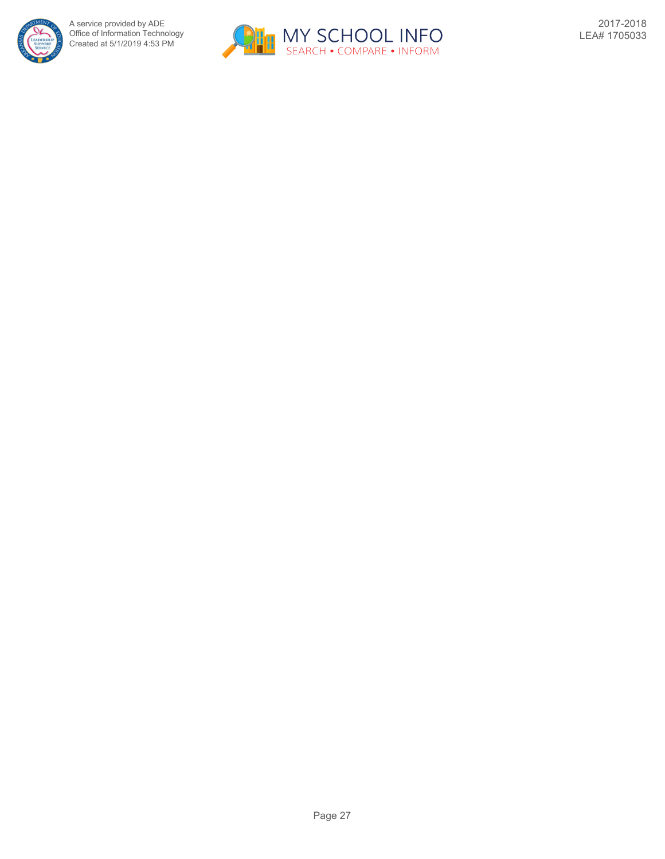

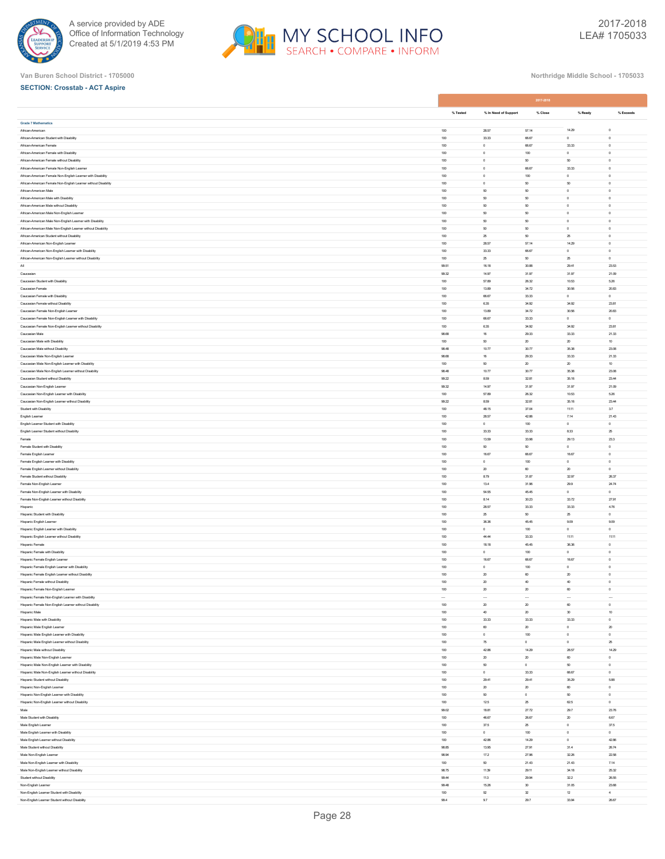



|                                                                                                        |                |                        | 2017-2018             |                   |                            |
|--------------------------------------------------------------------------------------------------------|----------------|------------------------|-----------------------|-------------------|----------------------------|
|                                                                                                        | $%$ Tested     | % In Need of Support   | $\%$ Close            | % Ready           | % Exceeds                  |
| <b>Grade 7 Mathematics</b>                                                                             |                |                        |                       |                   |                            |
| African-American                                                                                       | 100            | 28.57                  | 57.14                 | 14.29             | $\circ$                    |
| African-American Student with Disability                                                               | 100            | 33.33                  | 66.67                 | $\circ$           | $\circ$                    |
| African-American Female                                                                                | 100            | $\,$ 0                 | 66.67                 | 33.33             | $\,$ 0 $\,$                |
| African-American Female with Disability                                                                | 100            | $\circ$                | 100                   | $\circ$           | $\circ$                    |
| African-American Female without Disability                                                             | 100            | $\,$ 0 $\,$            | 60                    | 60                | $\circ$                    |
| African-American Female Non-English Learner                                                            | 100            | $\,$ 0 $\,$            | 66.67                 | 33.33             | $\,$ 0                     |
| African-American Female Non-English Learner with Disability                                            | 100            | $\circ$                | 100                   | $\circ$           | $\circ$                    |
| African-American Female Non-English Learner without Disability                                         | 100            | $\,$ 0 $\,$            | 60                    | $_{50}$           | $\circ$                    |
| African-American Male                                                                                  | 100            | 60                     | $_{50}$               | $\,0\,$           | $\,$ 0 $\,$                |
| African-American Male with Disability                                                                  | 100            | $_{50}$                | $_{50}$               | $\circ$           | $\circ$                    |
| African-American Male without Disability                                                               | 100            | $_{50}$                | $_{50}$               | $\,$ 0            | $\,$ 0                     |
| African-American Male Non-English Learner<br>African-American Male Non-English Learner with Disability | 100<br>100     | 60<br>$_{50}$          | $_{50}$<br>$_{50}$    | $\circ$<br>$\,$ 0 | $\,$ 0 $\,$<br>$\,$ 0 $\,$ |
| African-American Male Non-English Learner without Disability                                           | 100            | $_{50}$                | $_{\rm 50}$           | $\,0\,$           | $\,$ 0                     |
| African-American Student without Disability                                                            | 100            | 25                     | $_{50}$               | 25                | $\circ$                    |
| African-American Non-English Learner                                                                   | 100            | 28.57                  | 57.14                 | 14.29             | $\,$ 0 $\,$                |
| African-American Non-English Learner with Disability                                                   | 100            | 33.33                  | 66.67                 | $\circ$           | $\,$ 0                     |
| African-American Non-English Learner without Disability                                                | 100            | 25                     | 50                    | 25                | $\circ$                    |
| $\mathsf{All}$                                                                                         | 99.51          | 16.18                  | 30.88                 | 29.41             | 23.53                      |
| Caucasian                                                                                              | 99.32          | 14.97                  | 31.97                 | 31.97             | 21.09                      |
| Caucasian Student with Disability                                                                      | 100            | 57.89                  | 26.32                 | 10.53             | 5.26                       |
| Caucasian Female                                                                                       | 100            | 13.89                  | 34.72                 | 30.56             | 20.83                      |
| Caucasian Female with Disability                                                                       | 100            | 66.67                  | 33.33                 | $\circ$           | $\circ$                    |
| Caucasian Female without Disability                                                                    | 100            | 6.35                   | 34.92                 | 34.92             | 23.81                      |
| Caucasian Female Non-English Learner                                                                   | 100            | 13.89                  | 34.72                 | 30.56             | 20.83                      |
| Caucasian Female Non-English Learner with Disability                                                   | 100            | 66.67                  | 33.33                 | $\circ$           | $\circ$                    |
| Caucasian Female Non-English Learner without Disability                                                | 100            | $6.35\,$               | 34.92                 | 34.92             | 23.81                      |
| Caucasian Male                                                                                         | 98.68          | $16\,$                 | 29.33                 | 33.33             | 21.33                      |
| Caucasian Male with Disability                                                                         | 100            | 60                     | $20\,$                | $\rm{20}$         | $10$                       |
| Caucasian Male without Disability                                                                      | 98.48          | 10.77                  | 30.77                 | 35.38             | 23.08                      |
| Caucasian Male Non-English Learner                                                                     | 98.68          | 16                     | 29.33                 | 33.33             | 21.33                      |
| Caucasian Male Non-English Learner with Disability                                                     | 100            | 60                     | $20\,$                | $\rm{20}$         | $10\,$                     |
| Caucasian Male Non-English Learner without Disability                                                  | 98.48          | 10.77<br>8.59          | 30.77<br>32.81        | 35.38             | 23.08<br>23.44             |
| Caucasian Student without Disability<br>Caucasian Non-English Learner                                  | 99.22<br>99.32 | 14.97                  | 31.97                 | 35.16<br>31.97    | 21.09                      |
| Caucasian Non-English Learner with Disability                                                          | 100            | 57.89                  | 26.32                 | 10.53             | 5.26                       |
| Caucasian Non-English Learner without Disability                                                       | 99.22          | 8.59                   | 32.81                 | 35.16             | 23.44                      |
| Student with Disability                                                                                | 100            | 48.15                  | 37.04                 | 11.11             | $3.7\,$                    |
| English Learner                                                                                        | 100            | 28.57                  | 42.86                 | 7.14              | 21.43                      |
| English Learner Student with Disability                                                                | 100            | $\circ$                | 100                   | $\circ$           | $\circ$                    |
| English Learner Student without Disability                                                             | 100            | 33.33                  | 33.33                 | 8.33              | $\rm 25$                   |
| Female                                                                                                 | 100            | 13.59                  | 33.98                 | 29.13             | 23.3                       |
| Female Student with Disability                                                                         | 100            | $_{50}$                | $_{\rm 50}$           | $\,0\,$           | $\,0\,$                    |
| Female English Learner                                                                                 | 100            | 16.67                  | 66.67                 | 16.67             | $\,$ 0 $\,$                |
| Female English Learner with Disability                                                                 | 100            | $\,$ 0 $\,$            | 100                   | $\,$ 0 $\,$       | $\,$ 0 $\,$                |
| Female English Learner without Disability                                                              | 100            | $\rm{20}$              | $_{60}$               | $\rm 20$          | $\,$ 0                     |
| Female Student without Disability                                                                      | 100            | 8.79                   | 31.87                 | 32.97             | 26.37                      |
| Female Non-English Learner                                                                             | 100            | 13.4                   | 31.96                 | 29.9              | 24.74                      |
| Female Non-English Learner with Disability                                                             | 100            | 54.55                  | 45.45                 | $\,$ 0            | $\,0\,$                    |
| Female Non-English Learner without Disability                                                          | 100            | 8.14                   | 30.23                 | 33.72             | 27.91                      |
| Hispanic                                                                                               | 100            | 28.57                  | 33.33                 | 33.33             | 4.76                       |
| Hispanic Student with Disability                                                                       | 100<br>100     | $\rm{25}$<br>36.36     | 50<br>45.45           | $\rm 25$<br>9.09  | $\circ$<br>9.09            |
| Hispanic English Learner<br>Hispanic English Learner with Disability                                   | 100            | $\,$ 0                 | 100                   | $\,$ 0 $\,$       | $\,$ 0 $\,$                |
| Hispanic English Learner without Disability                                                            | 100            | 44.44                  | 33.33                 | 11.11             | 11.11                      |
| Hispanic Female                                                                                        | 100            | 18.18                  | 45.45                 | 36.36             | $\circ$                    |
| Hispanic Female with Disability                                                                        | 100            | $\,$ 0                 | 100                   | $\,0\,$           | $\,$ 0 $\,$                |
| Hispanic Female English Learner                                                                        | 100            | 16.67                  | 66.67                 | 16.67             | $\circ$                    |
| Hispanic Female English Learner with Disability                                                        | 100            | $\,$ 0 $\,$            | 100                   | $\circ$           | $\,$ 0                     |
| Hispanic Female English Learner without Disability                                                     | 100            | 20                     | 60                    | 20                | $\,$ 0 $\,$                |
| Hispanic Female without Disability                                                                     | 100            | $\rm{20}$              | $40\,$                | 40                | $\,$ 0                     |
| Hispanic Female Non-English Learner                                                                    | 100            | $\rm{20}$              | $\rm{20}$             | $_{60}$           | $\,0\,$                    |
| Hispanic Female Non-English Learner with Disability                                                    | $\cdots$       | $\sim$                 | $\cdots$              | $\ddotsc$         | $\cdots$                   |
| Hispanic Female Non-English Learner without Disability                                                 | 100            | $20\,$                 | $20\,$                | $60\,$            | $\,$ 0 $\,$                |
| Hispanic Male                                                                                          | 100            | 40                     | 20                    | 30                | 10                         |
| Hispanic Male with Disability                                                                          | 100            | 33.33                  | 33.33                 | 33.33             | $\circ$                    |
| Hispanic Male English Learner                                                                          | 100            | $_{60}$                | $20\,$                | $\,$ 0 $\,$       | $\rm 20$                   |
| Hispanic Male English Learner with Disability                                                          | 100            | $\,0\,$                | 100                   | $\circ$           | $\circ$                    |
| Hispanic Male English Learner without Disability<br>Hispanic Male without Disability                   | 100            | 75                     | $\circ$               | $\circ$           | $\rm{25}$                  |
|                                                                                                        | 100<br>100     | 42.86<br>20            | 14.29<br>20           | 28.57<br>60       | 14.29<br>$\circ$           |
| Hispanic Male Non-English Learner<br>Hispanic Male Non-English Learner with Disability                 | 100            | 60                     | $\,$ 0 $\,$           | 60                | $\circ$                    |
| Hispanic Male Non-English Learner without Disability                                                   | 100            | $\circ$                | 33.33                 | 66.67             | $\,$ 0 $\,$                |
| Hispanic Student without Disability                                                                    | 100            | 29.41                  | 29.41                 | 35.29             | 5.88                       |
| Hispanic Non-English Learner                                                                           | 100            | $\rm{20}$              | $\rm{20}$             | $_{60}$           | $\,0\,$                    |
| Hispanic Non-English Learner with Disability                                                           | 100            | $_{50}$                | $\,$ 0 $\,$           | 50                | $\,$ 0 $\,$                |
| Hispanic Non-English Learner without Disability                                                        | 100            | 12.5                   | $\rm{2S}$             | 62.5              | $\,$ 0 $\,$                |
| Male                                                                                                   | 99.02          | 18.81                  | 27.72                 | 29.7              | 23.76                      |
| Male Student with Disability                                                                           | 100            | 46.67                  | 26.67                 | $\mathbf{20}$     | 6.67                       |
| Male English Learner                                                                                   | 100            | 37.5                   | $\rm{2S}$             | $\,$ 0 $\,$       | 37.5                       |
| Male English Learner with Disability                                                                   |                | $\circ$                | 100                   | $\,$ 0            | $\circ$                    |
| Male English Learner without Disability                                                                | 100            |                        |                       | $\circ$           | 42.86                      |
| Male Student without Disability                                                                        | 100            | 42.86                  | 14.29                 |                   |                            |
|                                                                                                        | 98.85          | 13.95                  | 27.91                 | 31.4              | 26.74                      |
| Male Non-English Learner                                                                               | 98.94          | 17.2                   | 27.96                 | 32.26             | 22.58                      |
| Male Non-English Learner with Disability                                                               | 100            | 60                     | 21.43                 | 21.43             | 7.14                       |
| Male Non-English Learner without Disability                                                            | 98.75          | 11.39                  | 29.11                 | 34.18             | 25.32                      |
| Student without Disability                                                                             | 99.44          | 11.3                   | 29.94                 | 32.2              | 26.55                      |
| Non-English Learner                                                                                    | 99.48          | 15.26                  | 30                    | 31.05             | 23.68                      |
| Non-English Learner Student with Disability<br>Non-English Learner Student without Disability          | 100<br>99.4    | $\mathfrak{S}2$<br>9.7 | $\mathbf{32}$<br>29.7 | $12\,$<br>33.94   | $\sim$<br>26.67            |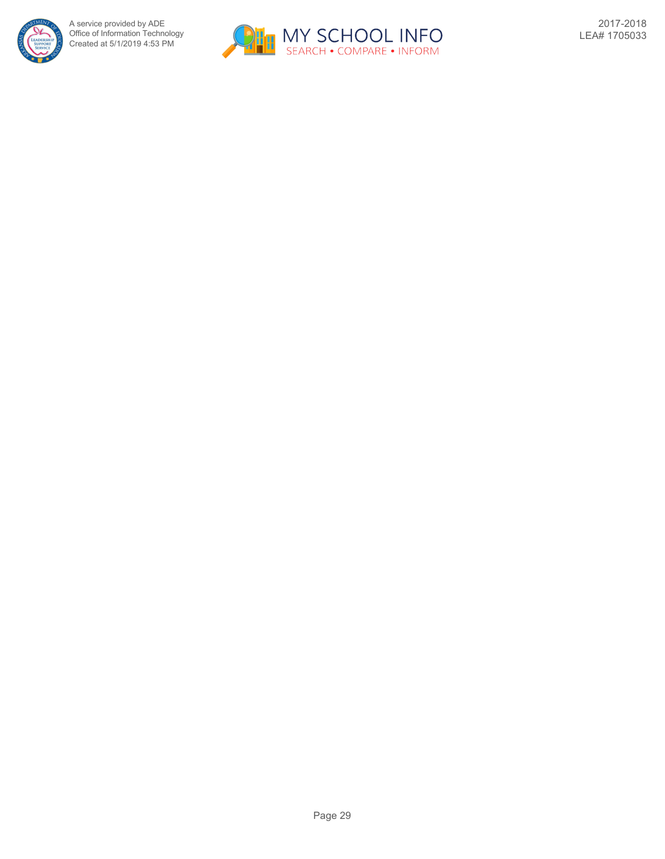

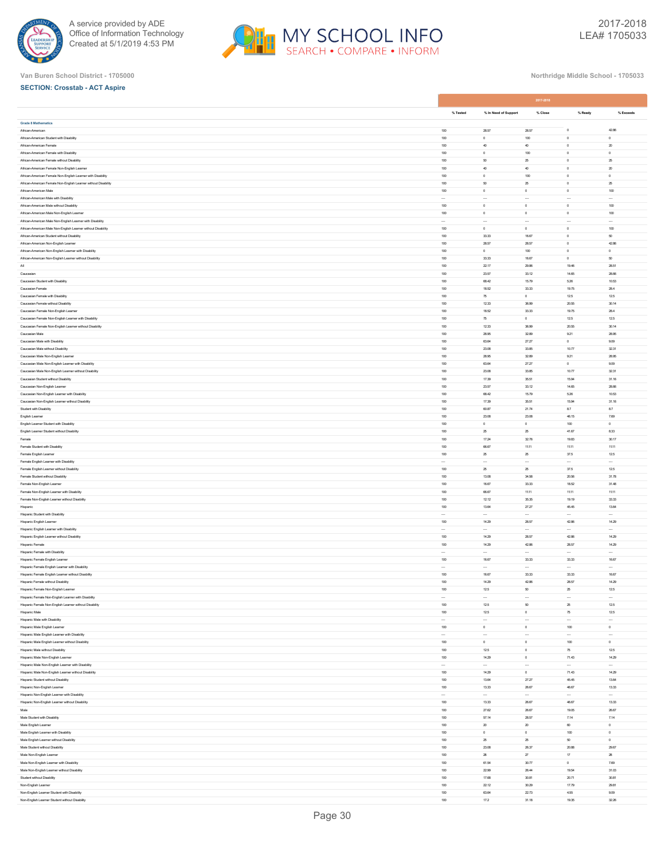



|                                                                                                        |                     |                         | 2017-2018                  |                        |                      |
|--------------------------------------------------------------------------------------------------------|---------------------|-------------------------|----------------------------|------------------------|----------------------|
|                                                                                                        | % Tested            | % In Need of Support    | $\%$ Close                 | % Ready                | % Exceeds            |
| <b>Grade 8 Mathematics</b>                                                                             |                     |                         |                            |                        |                      |
| African-American                                                                                       | 100                 | 28.57                   | 28.57                      | $\,$ 0 $\,$            | 42.86                |
| African-American Student with Disability                                                               | 100                 | $\circ$                 | 100                        | $\,$ 0 $\,$            | $\mathbb O$          |
| African-American Female                                                                                | 100                 | 40                      | $40\,$                     | $\,$ 0 $\,$            | $\rm{20}$            |
| African-American Female with Disability                                                                | 100                 | $^{\circ}$              | 100                        | $\mathbf{0}$           | $\mathbf{0}$         |
| African-American Female without Disability                                                             | $100\,$             | $_{50}$                 | $\rm{2S}$                  | $\mathbb O$            | $\rm{25}$            |
| African-American Female Non-English Learner                                                            | 100                 | 40                      | $40\,$                     | $\,$ 0 $\,$            | $\rm{20}$            |
| African-American Female Non-English Learner with Disability                                            | 100                 | $\,$ 0 $\,$             | 100                        | $\,$ 0 $\,$            | $\,$ 0 $\,$          |
| African-American Female Non-English Learner without Disability                                         | $100\,$             | $_{50}$                 | $\rm{2S}$                  | $\,$ 0 $\,$            | $\rm{25}$            |
| African-American Male                                                                                  | 100                 | $\circ$                 | $\mathbf 0$                | $\mathbb O$            | 100                  |
| African-American Male with Disability                                                                  | $\cdots$            | $\ddotsc$<br>$^{\circ}$ | $\ddotsc$                  | $\cdots$               | $\cdots$             |
| African-American Male without Disability                                                               | 100<br>100          | $\circ$                 | $\,0\,$<br>$\circ$         | $\mathbb O$<br>$\circ$ | 100<br>100           |
| African-American Male Non-English Learner<br>African-American Male Non-English Learner with Disability | $\ddotsc$           | $\ddot{\phantom{0}}$    | $\ddot{\phantom{0}}$       | $\ddotsc$              | $\cdots$             |
| African-American Male Non-English Learner without Disability                                           | 100                 | $\circ$                 | $\,$ 0 $\,$                | $\,$ 0 $\,$            | 100                  |
| African-American Student without Disability                                                            | 100                 | 33.33                   | 16.67                      | $\,$ 0 $\,$            | $_{\rm 50}$          |
| African-American Non-English Learner                                                                   | $100\,$             | 28.57                   | 28.57                      | $\,$ 0 $\,$            | 42.86                |
| African-American Non-English Learner with Disability                                                   | 100                 | $^{\circ}$              | 100                        | $\ddot{\phantom{0}}$   | $\ddot{\phantom{0}}$ |
| African-American Non-English Learner without Disability                                                | 100                 | 33.33                   | 16.67                      | $\,$ 0 $\,$            | $_{\rm 50}$          |
| All                                                                                                    | 100                 | 22.17                   | 29.86                      | 19.46                  | 28.51                |
| Caucasian                                                                                              | 100                 | 23.57                   | 33.12                      | 14.65                  | 28.66                |
| Caucasian Student with Disability                                                                      | $100\,$             | 68.42                   | 15.79                      | 5.26                   | 10.53                |
| Caucasian Female                                                                                       | 100                 | 18.52                   | 33.33                      | 19.75                  | 28.4                 |
| Caucasian Female with Disability                                                                       | 100                 | 75                      | $\,$ 0 $\,$                | 12.5                   | 12.5                 |
| Caucasian Female without Disability                                                                    | $100\,$             | 12.33                   | 36.99                      | 20.55                  | 30.14                |
| Caucasian Female Non-English Learner                                                                   | 100                 | 18.52                   | 33.33                      | 19.75                  | 28.4                 |
| Caucasian Female Non-English Learner with Disability                                                   | 100                 | $75\,$                  | $\,$ 0 $\,$                | 12.5                   | 12.5                 |
| Caucasian Female Non-English Learner without Disability<br>Caucasian Male                              | 100<br>100          | 12.33<br>28.95          | 36.99<br>32.89             | 20.55<br>9.21          | 30.14<br>28.95       |
| Caucasian Male with Disability                                                                         | $100\,$             | 63.64                   | 27.27                      | $\,$ 0 $\,$            | 9.09                 |
| Caucasian Male without Disability                                                                      | 100                 | 23.08                   | 33.85                      | 10.77                  | 32.31                |
| Caucasian Male Non-English Learner                                                                     | 100                 | 28.95                   | 32.89                      | 9.21                   | 28.95                |
| Caucasian Male Non-English Learner with Disability                                                     | $100\,$             | 63.64                   | 27.27                      | $\,$ 0 $\,$            | 9.09                 |
| Caucasian Male Non-English Learner without Disability                                                  | 100                 | 23.08                   | 33.85                      | 10.77                  | 32.31                |
| Caucasian Student without Disability                                                                   | 100                 | 17.39                   | 35.51                      | 15.94                  | 31.16                |
| Caucasian Non-English Learner                                                                          | 100                 | 23.57                   | 33.12                      | 14.65                  | 28.66                |
| Caucasian Non-English Learner with Disability                                                          | 100                 | 68.42                   | 15.79                      | 5.26                   | 10.53                |
| Caucasian Non-English Learner without Disability                                                       | $100\,$             | 17.39                   | 35.51                      | 15.94                  | 31.16                |
| Student with Disability                                                                                | 100                 | 60.87                   | 21.74                      | 8.7                    | 8.7                  |
| English Learner                                                                                        | 100                 | 23.08                   | 23.08                      | 46.15                  | 7.69                 |
| English Learner Student with Disability                                                                | $100\,$             | $\circ$                 | $\,$ 0 $\,$                | 100                    | $\,$ 0               |
| English Learner Student without Disability                                                             | 100                 | $\rm{z}$                | $\rm{2S}$                  | 41.67                  | 8.33                 |
| Female                                                                                                 | 100                 | 17.24<br>66.67          | 32.76                      | 19.83                  | 30.17                |
| Female Student with Disability<br>Female English Learner                                               | 100<br>100          | 25                      | 11.11<br>25                | 11.11<br>37.5          | 11.11<br>12.5        |
| Female English Learner with Disability                                                                 | $\ddotsc$           | $\ddot{\phantom{a}}$    | $\ddot{\phantom{0}}$       | $\ddotsc$              |                      |
| Female English Learner without Disability                                                              | 100                 | $\rm{25}$               | $\rm{2S}$                  | 37.5                   | 12.5                 |
| Female Student without Disability                                                                      | 100                 | 13.08                   | 34.58                      | 20.56                  | 31.78                |
| Female Non-English Learner                                                                             | $100\,$             | 16.67                   | 33.33                      | 18.52                  | 31.48                |
| Female Non-English Learner with Disability                                                             | 100                 | 66.67                   | 11.11                      | 11.11                  | 11.11                |
| Female Non-English Learner without Disability                                                          | 100                 | 12.12                   | 35.35                      | 19.19                  | 33.33                |
| Hispanic                                                                                               | 100                 | 13.64                   | 27.27                      | 45.45                  | 13.64                |
| Hispanic Student with Disability                                                                       | $\cdots$            | $\sim$                  | $\sim$                     | $\sim$                 | $\ddotsc$            |
| Hispanic English Learner                                                                               | $100\,$             | 14.29                   | 28.57                      | 42.86                  | 14.29                |
| Hispanic English Learner with Disability                                                               | $\cdots$            | $\ddot{\phantom{0}}$    | $\ddot{\phantom{0}}$       | $\cdots$               | $\cdots$             |
| Hispanic English Learner without Disability                                                            | 100                 | 14.29                   | 28.57                      | 42.86                  | 14.29                |
| Hispanic Female                                                                                        | $100\,$<br>$\cdots$ | 14.29<br>$\cdots$       | 42.86<br>$\cdots$          | 28.57<br>$\cdots$      | 14.29<br>$\cdots$    |
| Hispanic Female with Disability<br>Hispanic Female English Learner                                     | 100                 | 16.67                   | 33.33                      | 33.33                  | 16.67                |
| Hispanic Female English Learner with Disability                                                        |                     |                         |                            |                        |                      |
| Hispanic Female English Learner without Disability                                                     | 100                 | 16.67                   | 33.33                      | 33.33                  | 16.67                |
| Hispanic Female without Disability                                                                     | 100                 | 14.29                   | 42.86                      | 28.57                  | 14.29                |
| Hispanic Female Non-English Lean                                                                       | 100                 | 12.5                    | $_{50}$                    | $\rm 25$               | 12.5                 |
| Hispanic Female Non-English Learner with Disability                                                    | $\cdots$            | $\cdots$                | $\cdots$                   | $\cdots$               | $\cdots$             |
| Hispanic Female Non-English Learner without Disability                                                 | 100                 | 12.5                    | $_{50}$                    | $\rm 25$               | 12.5                 |
| Hispanic Male                                                                                          | 100                 | 12.5                    | $\circ$                    | $75\,$                 | 12.5                 |
| Hispanic Male with Disability                                                                          | $\cdots$            | $\cdots$                | $\cdots$                   | $\cdots$               | $\cdots$             |
| Hispanic Male English Learner                                                                          | 100                 | $\,$ 0 $\,$             | $\,$ 0 $\,$                | 100                    | $\mathsf{O}$         |
| Hispanic Male English Learner with Disability                                                          | $\cdots$            | $\cdots$                | $\sim$                     | $\ddotsc$              | $\cdots$             |
| Hispanic Male English Learner without Disability<br>Hispanic Male without Disability                   | $100\,$<br>100      | $\circ$<br>12.5         | $\,$ 0 $\,$<br>$\,$ 0 $\,$ | 100<br>75              | $\,$ 0<br>12.5       |
| Hispanic Male Non-English Learner                                                                      | 100                 | 14.29                   | $\,$ 0 $\,$                | 71.43                  | 14.29                |
| Hispanic Male Non-English Learner with Disability                                                      |                     |                         |                            |                        |                      |
| Hispanic Male Non-English Learner without Disability                                                   | 100                 | 14.29                   | $\mathbf 0$                | 71.43                  | 14.29                |
| Hispanic Student without Disability                                                                    | 100                 | 13.64                   | 27.27                      | 45.45                  | 13.64                |
| Hispanic Non-English Learner                                                                           | 100                 | 13.33                   | 26.67                      | 46.67                  | 13.33                |
| Hispanic Non-English Learner with Disability                                                           | $\cdots$            | $\cdots$                | $\ddotsc$                  | $\cdots$               | $\cdots$             |
| Hispanic Non-English Learner without Disability                                                        | 100                 | 13.33                   | 26.67                      | 46.67                  | 13.33                |
| Male                                                                                                   | 100                 | 27.62                   | 26.67                      | 19.05                  | 26.67                |
| Male Student with Disability                                                                           | 100                 | 57.14                   | 28.57                      | 7.14                   | 7.14                 |
| Male English Learner                                                                                   | 100                 | $\rm{20}$               | $\rm{20}$                  | $_{60}$                | $\mathbb O$          |
| Male English Learner with Disability                                                                   | 100                 | $\circ$                 | $\circ$                    | 100                    | $^{\circ}$           |
| Male English Learner without Disability                                                                | 100                 | $\rm{25}$<br>23.08      | 25                         | $_{50}$                | $\mathbb O$          |
| Male Student without Disability<br>Male Non-English Learner                                            | 100<br>100          | 28                      | 26.37<br>$\boldsymbol{z}$  | 20.88<br>$\sqrt{7}$    | 29.67<br>28          |
| Male Non-English Learner with Disability                                                               | $100\,$             | 61.54                   | 30.77                      | $\mathbb O$            | 7.69                 |
| Male Non-English Learner without Disability                                                            | 100                 | 22.99                   | 26.44                      | 19.54                  | 31.03                |
| Student without Disability                                                                             | 100                 | 17.68                   | 30.81                      | 20.71                  | 30.81                |
| Non-English Learner                                                                                    | $100\,$             | 22.12                   | 30.29                      | 17.79                  | 29.81                |
| Non-English Learner Student with Disability                                                            | 100                 | 63.64                   | 22.73                      | 4.55                   | 9.09                 |
| Non-English Learner Student without Disability                                                         | 100                 | 17.2                    | 31.18                      | 19.35                  | 32.26                |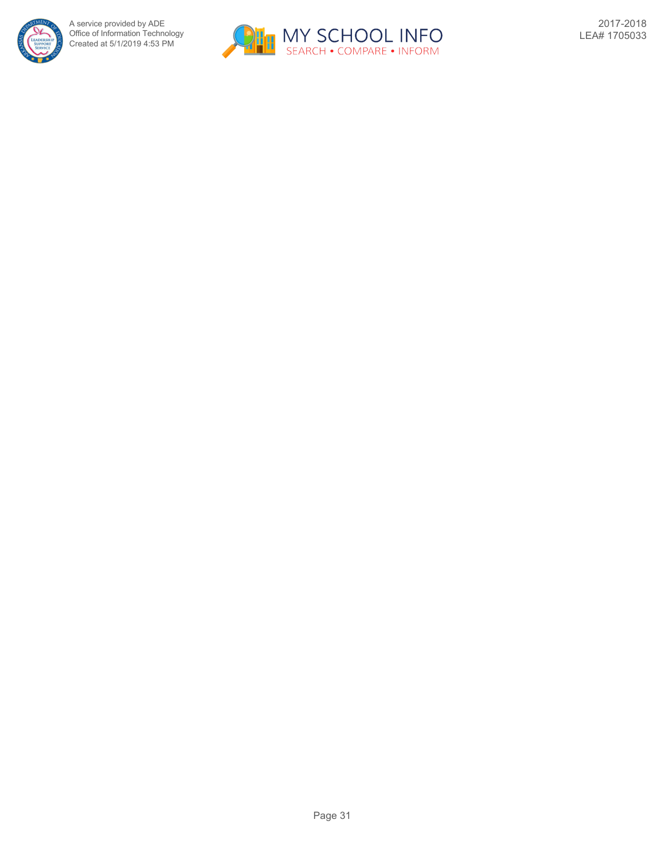

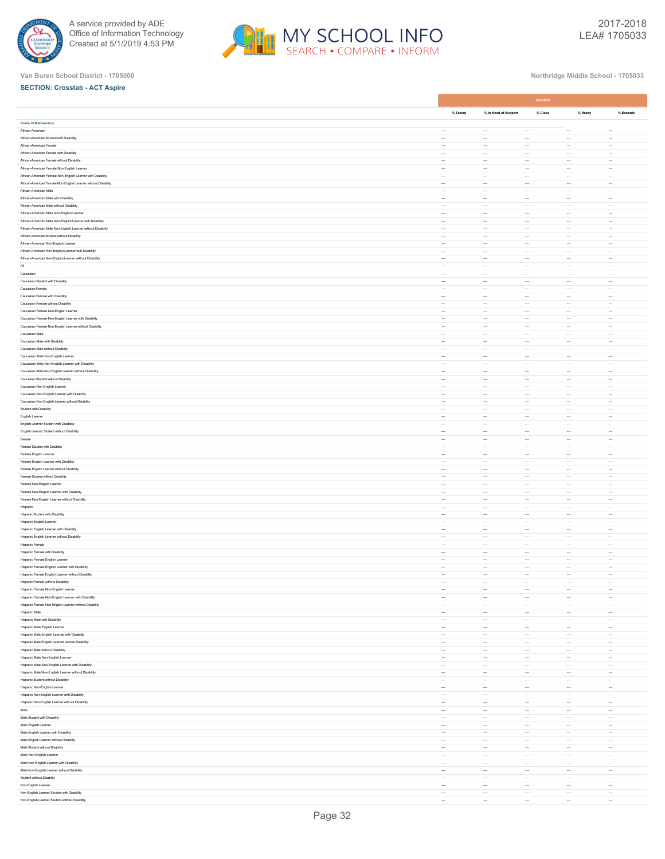



|                                                                                          |                       |                                              | 2017-2018                        |                       |                          |
|------------------------------------------------------------------------------------------|-----------------------|----------------------------------------------|----------------------------------|-----------------------|--------------------------|
|                                                                                          | % Tested              | % In Need of Support                         | $\%$ Close                       | % Ready               | % Exceeds                |
| Grade 10 Mathematics                                                                     |                       |                                              |                                  |                       |                          |
| African-American                                                                         | $\cdots$              | $\cdots$                                     | $\cdots$                         | $\cdots$              | $\cdots$                 |
| African-American Student with Disability                                                 | $\cdots$              | $\cdots$                                     | $\cdots$                         | $\cdots$              | $\cdots$                 |
| African-American Female                                                                  | $\cdots$              | $\cdots$                                     | $\cdots$                         | $\cdots$              | $\cdots$                 |
| African-American Female with Disability                                                  | $\cdots$              | $\cdots$                                     | $\ddotsc$                        | $\cdots$              | $\cdots$                 |
| African-American Female without Disability                                               | $\cdots$              | $\sim$                                       | $\cdots$                         | $\ddotsc$             | $\cdots$                 |
| African-American Female Non-English Learner                                              | $\cdots$              | $\ddot{\phantom{0}}$                         | $\ddotsc$                        | $\cdots$              | $\cdots$                 |
| African-American Female Non-English Learner with Disability                              | $\cdots$              | $\cdots$                                     | $\cdots$                         | $\cdots$              | $\cdots$                 |
| African-American Female Non-English Learner without Disability                           | $\cdots$              | $\cdots$                                     | $\cdots$                         | $\cdots$              | $\cdots$                 |
| African-American Male<br>African-American Male with Disability                           | $\cdots$<br>$\cdots$  | $\cdots$<br>$\cdots$                         | $\cdots$<br>$\cdots$             | $\cdots$<br>$\cdots$  | $\cdots$<br>$\cdots$     |
| African-American Male without Disability                                                 | à.                    | $\sim$                                       | $\ddot{\phantom{a}}$             | $\ddotsc$             | $\ddotsc$                |
| African-American Male Non-English Learner                                                | $\cdots$              | $\cdots$                                     | $\cdots$                         | $\cdots$              | $\cdots$                 |
| African-American Male Non-English Learner with Disability                                | $\cdots$              | $\ddot{\phantom{0}}$                         | $\ddot{\phantom{0}}$             | $\ddotsc$             |                          |
| African-American Male Non-English Learner without Disability                             | $\cdots$              | $\sim$                                       | $\sim$                           | $\ddotsc$             | $\overline{\phantom{a}}$ |
| African-American Student without Disability                                              | $\cdots$              | $\cdots$                                     | $\cdots$                         | $\cdots$              | $\cdots$                 |
| African-American Non-English Learner                                                     | $\cdots$              | $\ddot{\phantom{0}}$                         | $\cdots$                         | $\cdots$              | $\cdots$                 |
| African-American Non-English Learner with Disability                                     | $\cdots$              | $\cdots$                                     | $\ddotsc$                        | $\cdots$              | $\cdots$                 |
| African-American Non-English Learner without Disability                                  | $\cdots$              | $\cdots$                                     | $\cdots$                         | $\cdots$              | $\cdots$                 |
| All                                                                                      | $\cdots$              | $\ddot{\phantom{0}}$                         | $\ddotsc$                        | $\cdots$              | $\cdots$                 |
| Caucasian<br>Caucasian Student with Disability                                           | $\cdots$<br>$\cdots$  | $\cdots$<br>$\cdots$                         | $\cdots$<br>$\ddot{\phantom{0}}$ | $\cdots$<br>$\cdots$  | $\cdots$                 |
| Caucasian Female                                                                         | $\cdots$              | $\cdots$                                     | $\cdots$                         | $\cdots$              | $\cdots$<br>$\cdots$     |
| Caucasian Female with Disability                                                         | $\cdots$              | $\cdots$                                     | $\ddot{\phantom{0}}$             | $\cdots$              | $\cdots$                 |
| Caucasian Female without Disability                                                      | $\sim$                | $\sim$                                       | $\ddot{\phantom{0}}$             | $\ddotsc$             | $\cdots$                 |
| Caucasian Female Non-English Learner                                                     | $\cdots$              | $\sim$                                       | $\cdots$                         | $\cdots$              | $\cdots$                 |
| Caucasian Female Non-English Learner with Disability                                     | $\ldots$              | $\cdots$                                     | $\cdots$                         | $\cdots$              | $\cdots$                 |
| Caucasian Female Non-English Learner without Disability                                  | $\cdots$              | $\sim$                                       | $\sim$                           |                       |                          |
| Caucasian Male                                                                           | $\cdots$              | $\cdots$                                     | $\cdots$                         | $\cdots$              | $\cdots$                 |
| Caucasian Male with Disability                                                           | $\cdots$              | $\ddotsc$                                    | $\cdots$                         |                       |                          |
| Caucasian Male without Disability                                                        | $\ddot{\phantom{a}}$  | $\ddotsc$                                    | $\sim$                           | $\ddotsc$             | $\cdots$                 |
| Caucasian Male Non-English Learner<br>Caucasian Male Non-English Learner with Disability | $\cdots$<br>$\cdots$  | $\cdots$<br>$\cdots$                         | $\cdots$<br>$\cdots$             | $\cdots$<br>$\cdots$  | $\cdots$<br>$\cdots$     |
| Caucasian Male Non-English Learner without Disability                                    | $\cdots$              | $\cdots$                                     | $\ddotsc$                        | $\cdots$              | $\cdots$                 |
| Caucasian Student without Disability                                                     | $\cdots$              | $\cdots$                                     | $\cdots$                         | $\cdots$              | $\cdots$                 |
| Caucasian Non-English Learner                                                            | $\cdots$              | $\ddotsc$                                    | $\ddotsc$                        | $\cdots$              | $\cdots$                 |
| Caucasian Non-English Learner with Disability                                            | $\cdots$              | $\cdots$                                     | $\ddotsc$                        | $\cdots$              | $\cdots$                 |
| Caucasian Non-English Learner without Disability                                         | $\cdots$              | $\sim$                                       | $\cdots$                         | $\cdots$              | $\cdots$                 |
| Student with Disability                                                                  | $\cdots$              | $\ddot{\phantom{0}}$                         | $\cdots$                         | $\cdots$              | $\cdots$                 |
| English Learner                                                                          | $\cdots$              | $\cdots$                                     | $\ddot{\phantom{0}}$             | $\cdots$              | $\cdots$                 |
| English Learner Student with Disability                                                  | $\cdots$              | $\ddot{\phantom{a}}$                         | $\ddot{\phantom{0}}$             | $\ddot{\phantom{0}}$  | $\cdots$                 |
| English Learner Student without Disability                                               | $\cdots$              | $\sim$                                       | $\cdots$                         | $\cdots$              | $\cdots$                 |
| Female<br>Female Student with Disability                                                 | $\cdots$<br>$\ddotsc$ | $\cdots$<br>$\sim$                           | $\cdots$<br>$\ddotsc$            | $\cdots$<br>$\ddotsc$ | $\cdots$<br>$\ddotsc$    |
| Female English Learner                                                                   | $\cdots$              | $\cdots$                                     | $\cdots$                         | $\cdots$              | $\cdots$                 |
| Female English Learner with Disability                                                   | $\cdots$              | $\ddot{\phantom{0}}$                         | $\cdots$                         |                       | $\cdots$                 |
| Female English Learner without Disability                                                | $\ddotsc$             | $\sim$                                       | $\sim$                           | $\ddotsc$             | $\overline{\phantom{a}}$ |
| Female Student without Disability                                                        | $\cdots$              | $\cdots$                                     | $\cdots$                         | $\cdots$              | $\cdots$                 |
| Female Non-English Learner                                                               | $\cdots$              | $\cdots$                                     | $\cdots$                         | $\cdots$              | $\cdots$                 |
| Female Non-English Learner with Disability                                               | $\cdots$              | $\cdots$                                     | $\ddotsc$                        | $\cdots$              | $\cdots$                 |
| Female Non-English Learner without Disability                                            | $\cdots$              | $\cdots$                                     | $\cdots$                         | $\cdots$              | $\cdots$                 |
| Hispanic                                                                                 | $\cdots$              | $\ddot{\phantom{0}}$                         | $\ddot{\phantom{0}}$             | $\cdots$              | $\cdots$                 |
| Hispanic Student with Disability                                                         | $\cdots$              | $\cdots$                                     | $\ddotsc$                        | $\cdots$              | $\cdots$                 |
| Hispanic English Learner                                                                 | $\cdots$<br>$\cdots$  | $\ddot{\phantom{a}}$<br>$\ddot{\phantom{0}}$ | $\ddot{\phantom{0}}$             | $\ddotsc$<br>$\cdots$ | $\cdots$                 |
| Hispanic English Learner with Disability<br>Hispanic English Learner without Disability  | $\cdots$              | $\cdots$                                     | $\cdots$<br>$\cdots$             | $\cdots$              | $\cdots$<br>$\cdots$     |
| Hispanic Female                                                                          | $\cdots$              | $\sim$                                       | $\cdots$                         | $\ddotsc$             | $\cdots$                 |
| Hispanic Female with Disability                                                          | $\cdots$              | $\sim$                                       | $\cdots$                         | $\cdots$              | $\cdots$                 |
| Hispanic Female English Learner                                                          | $\cdots$              | $\cdots$                                     | $\cdots$                         | $\cdots$              | $\cdots$                 |
| Hispanic Female English Learner with Disability                                          | ä,                    | $\sim$                                       | $\ddot{\phantom{a}}$             | $\ddotsc$             | $\ddotsc$                |
| Hispanic Female English Learner without Disability                                       | $\cdots$              | $\cdots$                                     | $\cdots$                         | $\cdots$              | $\cdots$                 |
| Hispanic Female without Disability                                                       | $\ddotsc$             | $\sim$                                       | $\ddot{\phantom{0}}$             | $\ddotsc$             | $\cdots$                 |
| Hispanic Female Non-English Learn                                                        | $\cdots$              | $\sim$                                       | $\sim$                           | $\cdots$              | $\ddotsc$                |
| Hispanic Female Non-English Learner with Disability                                      | $\cdots$<br>$\ldots$  | $\cdots$<br>$\cdots$                         | $\cdots$                         | $\cdots$              | $\cdots$<br>             |
| Hispanic Female Non-English Learner without Disability<br>Hispanic Male                  | $\cdots$              | $\sim$                                       | $\cdots$<br>$\cdots$             | $\cdots$<br>$\cdots$  | $\cdots$                 |
| Hispanic Male with Disability                                                            | $\cdots$              | $\cdots$                                     | $\cdots$                         | $\cdots$              | $\cdots$                 |
| Hispanic Male English Learner                                                            | $\ldots$              | $\cdots$                                     | $\cdots$                         | $\cdots$              | $\cdots$                 |
| Hispanic Male English Learner with Disability                                            | $\cdots$              | $\sim$                                       | $\cdots$                         | $\cdots$              | $\cdots$                 |
| Hispanic Male English Learner without Disability                                         | $\cdots$              | $\cdots$                                     | $\cdots$                         | $\cdots$              | $\cdots$                 |
| Hispanic Male without Disability                                                         | $\ldots$              | $\cdots$                                     | $\cdots$                         | $\cdots$              | $\cdots$                 |
| Hispanic Male Non-English Learner                                                        | $\cdots$              | $\cdots$                                     | $\cdots$                         | $\cdots$              | $\cdots$                 |
| Hispanic Male Non-English Learner with Disability                                        | $\cdots$              | $\ddot{\phantom{a}}$                         | $\cdots$                         |                       | $\cdots$                 |
| Hispanic Male Non-English Learner without Disability                                     | $\cdots$              | $\sim$                                       | $\cdots$                         | $\cdots$              | $\ldots$                 |
| <b>Hispanic Student without Disability</b><br>Hispanic Non-English Learner               | $\ldots$<br>$\ddotsc$ | $\cdots$<br>$\sim$                           | $\cdots$<br>$\sim$               | $\ldots$<br>$\ddotsc$ | $\ldots$<br>$\cdots$     |
| Hispanic Non-English Learner with Disability                                             | $\cdots$              | $\sim$                                       | $\cdots$                         | $\cdots$              | $\ldots$                 |
| Hispanic Non-English Learner without Disability                                          | $\ldots$              | $\ddot{\phantom{0}}$                         | $\cdots$                         |                       |                          |
| Male                                                                                     | $\cdots$              | $\sim$                                       | $\sim$                           | $\ddotsc$             | $\overline{\phantom{a}}$ |
| Male Student with Disability                                                             | $\cdots$              | $\cdots$                                     | $\cdots$                         | $\cdots$              | $\cdots$                 |
| Male English Learner                                                                     | $\cdots$              | $\cdots$                                     | $\cdots$                         | $\cdots$              | $\cdots$                 |
| Male English Learner with Disability                                                     | $\cdots$              | $\cdots$                                     | $\cdots$                         | $\cdots$              | $\cdots$                 |
| Male English Learner without Disability                                                  | $\cdots$              | $\cdots$                                     | $\cdots$                         | $\cdots$              | $\cdots$                 |
| Male Student without Disability                                                          | $\ldots$              | $\cdots$                                     | $\cdots$                         | $\cdots$              | $\cdots$                 |
| Male Non-English Learner                                                                 | $\cdots$              | $\cdots$                                     | $\sim$                           | $\cdots$<br>$\ddotsc$ | $\cdots$                 |
| Male Non-English Learner with Disability                                                 | $\cdots$<br>$\ldots$  | $\ddot{\phantom{a}}$<br>$\cdots$             | $\cdots$<br>$\cdots$             | $\cdots$              | $\cdots$<br>$\ldots$     |
| Male Non-English Learner without Disability<br>Student without Disability                | $\ldots$              | $\cdots$                                     | $\ldots$                         | $\ldots$              | $\cdots$                 |
| Non-English Learner                                                                      | $\cdots$              | $\ddot{\phantom{a}}$                         | $\cdots$                         | $\cdots$              | $\cdots$                 |
| Non-English Learner Student with Disability                                              | $\cdots$              | $\cdots$                                     | $\cdots$                         | $\cdots$              | $\cdots$                 |
| Non-English Learner Student without Disability                                           | $\ldots$              | $\cdots$                                     | $\cdots$                         | $\cdots$              | $\ldots$                 |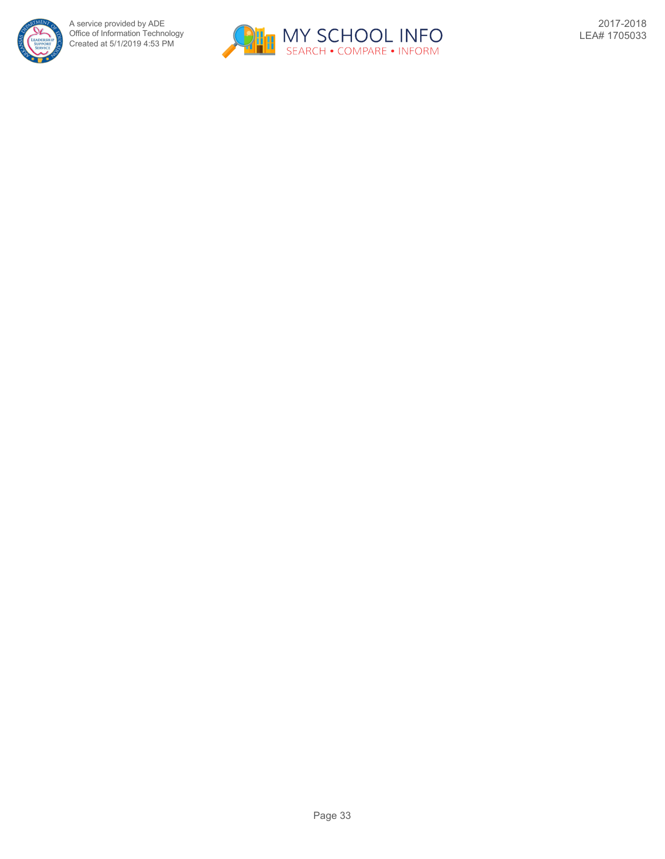

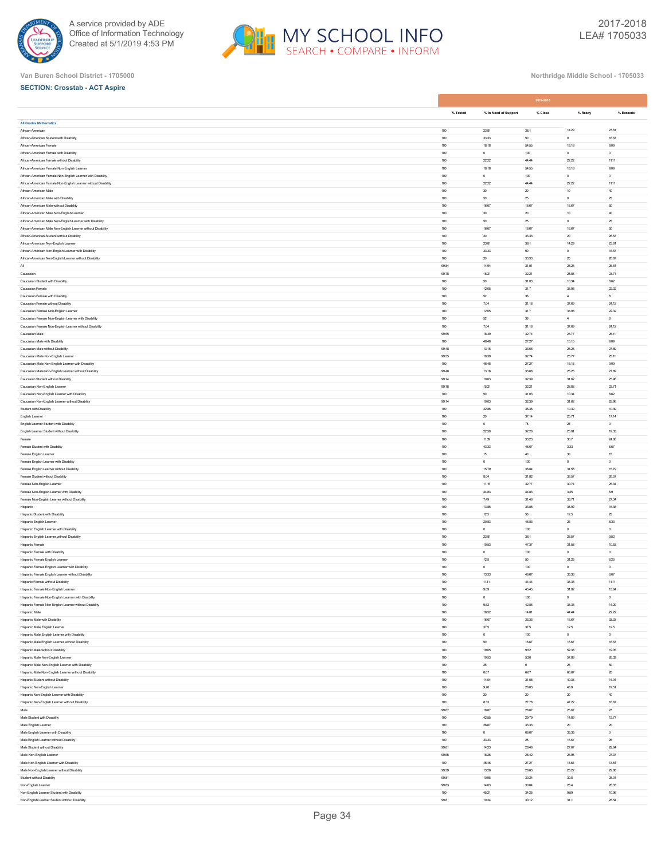



|                                                                                               |                 |                      | 2017-2018      |                      |                            |
|-----------------------------------------------------------------------------------------------|-----------------|----------------------|----------------|----------------------|----------------------------|
|                                                                                               | % Tested        | % In Need of Support | % Close        | % Ready              | % Exceeds                  |
| <b>All Grades Mathematics</b>                                                                 |                 |                      |                |                      |                            |
| African-American                                                                              | $100\,$         | 23.81                | 38.1           | 14.29                | 23.81                      |
| African-American Student with Disability                                                      | 100             | 33.33                | $_{50}$        | $\mathbb O$          | 16.67                      |
| African-American Female                                                                       | 100             | 18.18                | 54.55          | 18.18                | 9.09                       |
| African-American Female with Disability                                                       | $100\,$         | $\circ$              | 100            | $\,0\,$              | $\,$ 0                     |
| African-American Female without Disability                                                    | 100             | 22.22                | 44.44          | 22.22                | 11.11                      |
| African-American Female Non-English Learner                                                   | 100             | 18.18                | 54.55          | 18.18                | 9.09                       |
| African-American Female Non-English Learner with Disability                                   | 100             | $^{\circ}$           | 100            | $\mathbb O$          | $\mathbb O$                |
| African-American Female Non-English Learner without Disability                                | 100             | 22.22                | 44.44          | 22.22                | 11.11                      |
| African-American Male                                                                         | $100\,$         | $_{30}$              | $\rm{20}$      | $10\,$               | $40\,$                     |
| African-American Male with Disability                                                         | 100             | 60                   | $\rm{2S}$      | $\mathbb O$          | $\rm 25$                   |
| African-American Male without Disability                                                      | 100             | 16.67                | 16.67          | 16.67                | $_{\rm 50}$                |
| African-American Male Non-English Learner                                                     | $100\,$         | $_{30}$              | $\rm{20}$      | $10\,$               | $40\,$                     |
| African-American Male Non-English Learner with Disability                                     | 100             | 50                   | $\rm{2S}$      | $^{\circ}$           | $\rm{25}$                  |
| African-American Male Non-English Learner without Disability                                  | 100             | 16.67                | 16.67          | 16.67                | $_{\rm 50}$                |
| African-American Student without Disability                                                   | 100             | $\rm{20}$            | 33.33          | $\rm{20}$            | 26.67                      |
| African-American Non-English Learner                                                          | 100             | 23.81                | 38.1           | 14.29                | 23.81                      |
| African-American Non-English Learner with Disability                                          | $100\,$         | 33.33                | $_{50}$        | $\,$ 0 $\,$          | 16.67                      |
| African-American Non-English Learner without Disability<br>$\mathsf{All}$                     | 100<br>99.84    | $\rm{20}$<br>14.94   | 33.33<br>31.01 | $\rm{20}$<br>28.25   | 26.67<br>25.81             |
| Caucasian                                                                                     | 99.78           | 15.21                | 32.21          | 28.86                | 23.71                      |
| Caucasian Student with Disability                                                             | 100             | $_{50}$              | 31.03          | 10.34                | 8.62                       |
| Caucasian Female                                                                              | 100             | 12.05                | 31.7           | 33.93                | 22.32                      |
| Caucasian Female with Disability                                                              | 100             | $_{52}$              | $_{36}$        | $\sqrt{4}$           | 8                          |
| Caucasian Female without Disability                                                           | 100             | 7.04                 | 31.16          | 37.69                | 24.12                      |
| Caucasian Female Non-English Learner                                                          | $100\,$         | 12.05                | 31.7           | 33.93                | 22.32                      |
| Caucasian Female Non-English Learner with Disability                                          | 100             | 62                   | $36\,$         | $\overline{4}$       | $\mathbf{R}$               |
| Caucasian Female Non-English Learner without Disability                                       | 100             | 7.04                 | 31.16          | 37.69                | 24.12                      |
| Caucasian Male                                                                                | 99.55           | 18.39                | 32.74          | 23.77                | 25.11                      |
| Caucasian Male with Disability                                                                | 100             | 48.48                | 27.27          | 15.15                | 9.09                       |
| Caucasian Male without Disability                                                             | 99.48           | 13.16                | 33.68          | 25.26                | 27.89                      |
| Caucasian Male Non-English Learner                                                            | 99.55           | 18.39                | 32.74          | 23.77                | 25.11                      |
| Caucasian Male Non-English Learner with Disability                                            | 100             | 48.48                | 27.27          | 15.15                | 9.09                       |
| Caucasian Male Non-English Learner without Disability                                         | 99.48           | 13.16                | 33.68          | 25.26                | 27.89                      |
| Caucasian Student without Disability                                                          | 99.74           | 10.03                | 32.39          | 31.62                | 25.96                      |
| Caucasian Non-English Learner                                                                 | 99.78           | 15.21                | 32.21          | 28.86                | 23.71                      |
| Caucasian Non-English Learner with Disability                                                 | $100\,$         | $_{50}$              | 31.03          | 10.34                | 8.62                       |
| Caucasian Non-English Learner without Disability                                              | 99.74           | 10.03                | 32.39          | 31.62                | 25.96                      |
| Student with Disability                                                                       | 100             | 42.86                | 36.36          | 10.39                | 10.39                      |
| English Learner                                                                               | 100             | $\rm{20}$            | 37.14          | 25.71                | 17.14                      |
| English Learner Student with Disability                                                       | 100<br>$100\,$  | $\circ$<br>22.58     | 75<br>32.26    | 25<br>25.81          | $\circ$<br>19.35           |
| English Learner Student without Disability<br>Female                                          | 100             | 11.39                | 33.23          | 30.7                 | 24.68                      |
| Female Student with Disability                                                                | 100             | 43.33                | 46.67          | 3.33                 | 6.67                       |
| Female English Learner                                                                        | $100\,$         | 15                   | $40\,$         | $30\,$               | $15\,$                     |
| Female English Learner with Disability                                                        | 100             | $^{\circ}$           | 100            | $^{\circ}$           | $^{\circ}$                 |
| Female English Learner without Disability                                                     | 100             | 15.79                | 36.84          | 31.58                | 15.79                      |
| Female Student without Disability                                                             | 100             | 8.04                 | 31.82          | 33.57                | 26.57                      |
| Female Non-English Learner                                                                    | 100             | 11.15                | 32.77          | 30.74                | 25.34                      |
| Female Non-English Learner with Disability                                                    | $100\,$         | 44.83                | 44.83          | 3.45                 | $_{6.9}$                   |
| Female Non-English Learner without Disability                                                 | 100             | 7.49                 | 31.46          | 33.71                | 27.34                      |
| Hispanic                                                                                      | 100             | 13.85                | 33.85          | 36.92                | 15.38                      |
| Hispanic Student with Disability                                                              | $100\,$         | $12.5\,$             | $_{50}$        | 12.5                 | $\rm{25}$                  |
| Hispanic English Learner                                                                      | 100             | 20.83                | 45.83          | $\rm 25$             | 8.33                       |
| Hispanic English Learner with Disability                                                      | 100             | $\,$ 0 $\,$          | 100            | $\,$ 0 $\,$          | $\,$ 0 $\,$                |
| Hispanic English Learner without Disability                                                   | 100             | 23.81                | 38.1           | 28.57                | 9.52                       |
| Hispanic Female                                                                               | 100             | 10.53                | 47.37          | 31.58                | 10.53                      |
| Hispanic Female with Disability                                                               | $100\,$         | $\,$ 0 $\,$          | 100            | $\mathbb O$          | $\mathbb O$                |
| Hispanic Female English Learner<br>Hispanic Female English Learner with Disability            | 100<br>100      | 12.5<br>$\circ$      | $_{50}$<br>100 | 31.25<br>$\mathbb O$ | 6.25<br>$\,$ 0 $\,$        |
| Hispanic Female English Learner without Disability                                            | 100             | 13.33                | 46.67          | 33.33                | 6.67                       |
| Hispanic Female without Disability                                                            | 100             | 11.11                | 44.44          | 33.33                | 11.11                      |
| Hispanic Female Non-English Learner                                                           | 100             | 9.09                 | 45.45          | 31.82                | 13.64                      |
| Hispanic Female Non-English Learner with Disability                                           | 100             | $\circ$              | 100            | $\circ$              | $\circ$                    |
| Hispanic Female Non-English Learner without Disability                                        | 100             | 9.52                 | 42.86          | 33.33                | 14.29                      |
| Hispanic Male                                                                                 | $100\,$         | 18.52                | 14.81          | 44.44                | 22.22                      |
| Hispanic Male with Disability                                                                 | 100             | 16.67                | 33.33          | 16.67                | 33.33                      |
| Hispanic Male English Learner                                                                 | 100             | 37.5                 | 37.5           | 12.5                 | 12.5                       |
| Hispanic Male English Learner with Disability                                                 | $100\,$         | $\circ$              | $100\,$        | $\,$ 0 $\,$          | $\,$ 0                     |
| Hispanic Male English Learner without Disability                                              | 100             | 60                   | 16.67          | 16.67                | 16.67                      |
| Hispanic Male without Disability                                                              | 100             | 19.05                | 9.52           | 52.38                | 19.05                      |
| Hispanic Male Non-English Learner                                                             | 100             | 10.53                | 5.26           | 57.89                | 26.32                      |
| Hispanic Male Non-English Learner with Disability                                             | 100             | 25                   | $\circ$        | 25                   | 50                         |
| Hispanic Male Non-English Learner without Disability                                          | $100\,$<br>100  | 6.67<br>14.04        | 6.67<br>31.58  | 66.67                | $\rm{20}$<br>14.04         |
| Hispanic Student without Disability<br>Hispanic Non-English Learner                           | 100             | 9.76                 | 26.83          | 40.35<br>43.9        | 19.51                      |
| Hispanic Non-English Learner with Disability                                                  | 100             | $\,$ 20 $\,$         | $\rm{20}$      | $\rm{20}$            | $40\,$                     |
| Hispanic Non-English Learner without Disability                                               | 100             | 8.33                 | 27.78          | 47.22                | 16.67                      |
| Male                                                                                          | 99.67           | 18.67                | 28.67          | 25.67                | $\boldsymbol{\mathit{27}}$ |
| Male Student with Disability                                                                  | 100             | 42.55                | 29.79          | 14.89                | 12.77                      |
| Male English Learner                                                                          | 100             | 26.67                | 33.33          | $20\,$               | $\rm{20}$                  |
| Male English Learner with Disability                                                          | $100\,$         | $\circ$              | 66.67          | 33.33                | $\,$ 0                     |
| Male English Learner without Disability                                                       | 100             | 33.33                | 25             | 16.67                | $\rm 25$                   |
| Male Student without Disability                                                               | 99.61           | 14.23                | 28.46          | 27.67                | 29.64                      |
| Male Non-English Learner                                                                      |                 |                      | 28.42          | 25.96                | 27.37                      |
|                                                                                               | 99.65           | 18.25                |                |                      |                            |
| Male Non-English Learner with Disability                                                      | 100             | 45.45                | 27.27          | 13.64                | 13.64                      |
| Male Non-English Learner without Disability                                                   | 99.59           | 13.28                | 28.63          | 28.22                | 29.88                      |
| Student without Disability                                                                    | 99.81           | 10.95                | 30.24          | 30.8                 | 28.01                      |
| Non-English Learner                                                                           | 99.83           | 14.63                | 30.64          | 28.4                 | 26.33                      |
| Non-English Learner Student with Disability<br>Non-English Learner Student without Disability | $100\,$<br>99.8 | 45.21<br>10.24       | 34.25<br>30.12 | 9.59<br>31.1         | 10.96<br>28.54             |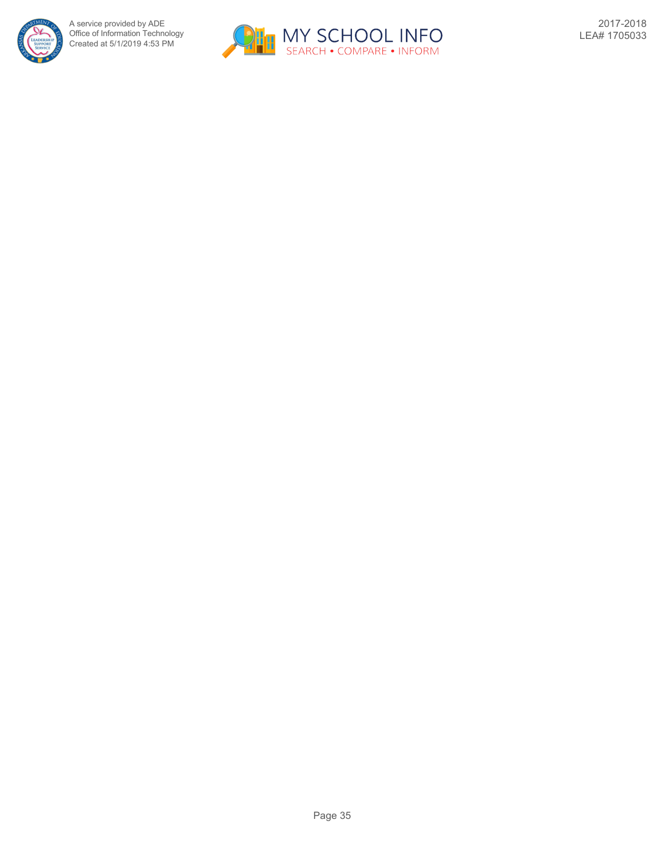

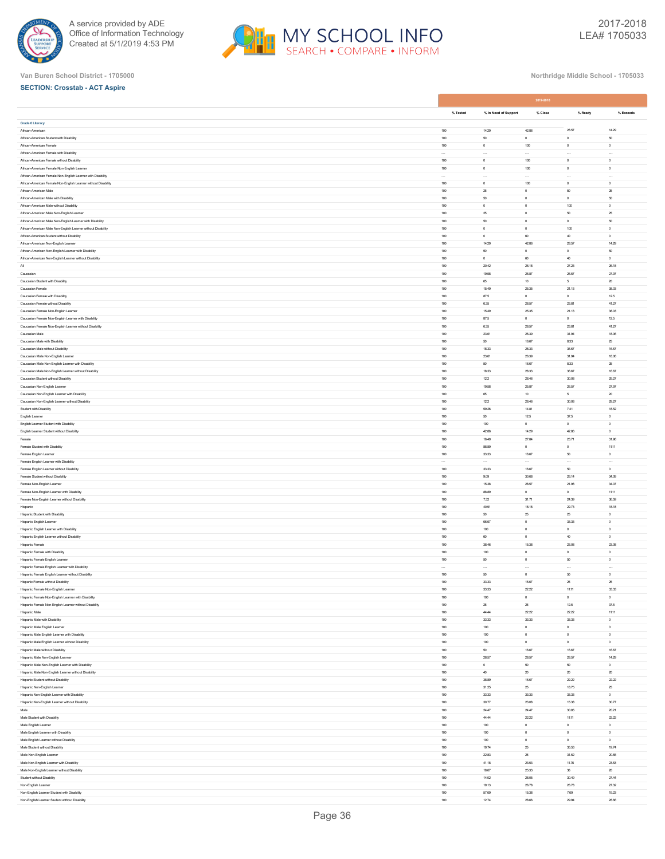



|                                                                                                             | % Tested        | % In Need of Support | % Close                  | % Ready                 | % Exceeds                  |
|-------------------------------------------------------------------------------------------------------------|-----------------|----------------------|--------------------------|-------------------------|----------------------------|
| Grade 6 Literacy                                                                                            |                 |                      |                          |                         |                            |
| African-American                                                                                            | 100             | 14.29                | 42.86                    | 28.57                   | 14.29                      |
| African-American Student with Disability                                                                    | 100             | $_{50}$              | $\mathbf 0$              | $\mathbb O$             | $_{\rm 50}$                |
| African-American Female                                                                                     | 100             | $\circ$              | 100                      | $\circ$                 | $\circ$                    |
| African-American Female with Disability<br>African-American Female without Disability                       | $\ldots$<br>100 | $\cdots$<br>$\circ$  | $\cdots$<br>100          | $\cdots$<br>$\,$ 0 $\,$ | $\cdots$<br>$\,$ 0 $\,$    |
| African-American Female Non-English Learner                                                                 | 100             | $\,$ 0 $\,$          | 100                      | $\circ$                 | $\circ$                    |
| African-American Female Non-English Learner with Disability                                                 | $\ddotsc$       | $\sim$               | $\ddot{\phantom{0}}$     | $\ddotsc$               |                            |
| African-American Female Non-English Learner without Disability                                              | 100             | $\circ$              | 100                      | $\mathbb O$             | $\mathbb O$                |
| African-American Male                                                                                       | 100             | $\rm{25}$            | $\circ$                  | $_{50}$                 | $\rm 25$                   |
| African-American Male with Disability<br>African-American Male without Disability                           | 100<br>100      | $_{50}$<br>$\circ$   | $\,$ 0<br>$\circ$        | $\,$ 0 $\,$<br>100      | $_{\rm 50}$<br>$^{\circ}$  |
| African-American Male Non-English Learner                                                                   | 100             | $\rm{z}\rm{s}$       | $\,$ 0 $\,$              | $_{50}$                 | $\rm{25}$                  |
| African-American Male Non-English Learner with Disability                                                   | 100             | $_{\rm 50}$          | $\,$ 0 $\,$              | $\mathbb O$             | $_{\rm 50}$                |
| African-American Male Non-English Learner without Disability                                                | 100             | $\circ$              | $\circ$                  | 100                     | $\circ$                    |
| African-American Student without Disability                                                                 | 100             | $\,$ 0               | $_{60}$                  | $40\,$                  | $\,$ 0                     |
| African-American Non-English Learner<br>African-American Non-English Learner with Disability                | 100<br>100      | 14.29<br>$_{50}$     | 42.86<br>$\,$ 0 $\,$     | 28.57<br>$\mathbb O$    | 14.29<br>$_{50}$           |
| African-American Non-English Learner without Disability                                                     | 100             | $\,$ 0 $\,$          | $_{60}$                  | $40\,$                  | $\,$ 0 $\,$                |
| All                                                                                                         | 100             | 20.42                | 26.18                    | 27.23                   | 26.18                      |
| Caucasian                                                                                                   | 100             | 19.58                | 25.87                    | 26.57                   | 27.97                      |
| Caucasian Student with Disability                                                                           | 100             | 65                   | $10\,$                   | $\,$ 5 $\,$             | $\rm{20}$                  |
| Caucasian Female                                                                                            | 100             | 15.49                | 25.35                    | 21.13                   | 38.03                      |
| Caucasian Female with Disability                                                                            | 100             | $87.5\,$             | $\,$ 0 $\,$              | $\mathbb O$             | 12.5                       |
| Caucasian Female without Disability<br>Caucasian Female Non-English Learner                                 | 100<br>100      | 6.35<br>15.49        | 28.57<br>25.35           | 23.81<br>21.13          | 41.27<br>38.03             |
| Caucasian Female Non-English Learner with Disability                                                        | 100             | $87.5\,$             | $\,$ 0 $\,$              | $\mathbb O$             | 12.5                       |
| Caucasian Female Non-English Learner without Disability                                                     | 100             | 6.35                 | 28.57                    | 23.81                   | 41.27                      |
| Caucasian Male                                                                                              | 100             | 23.61                | 26.39                    | 31.94                   | 18.06                      |
| Caucasian Male with Disability                                                                              | 100             | 60                   | 16.67                    | 8.33                    | $\rm 25$                   |
| Caucasian Male without Disability                                                                           | 100             | 18.33                | 28.33                    | 36.67                   | 16.67                      |
| Caucasian Male Non-English Learner                                                                          | 100             | 23.61                | 26.39<br>16.67           | 31.94                   | 18.06                      |
| Caucasian Male Non-English Learner with Disability<br>Caucasian Male Non-English Learner without Disability | 100<br>100      | 60<br>18.33          | 28.33                    | 8.33<br>36.67           | $\rm 25$<br>16.67          |
| Caucasian Student without Disability                                                                        | 100             | $12.2$               | 28.46                    | 30.08                   | 29.27                      |
| Caucasian Non-English Learner                                                                               | 100             | 19.58                | 25.87                    | 26.57                   | 27.97                      |
| Caucasian Non-English Learner with Disability                                                               | 100             | 65                   | $10$                     | $\mathsf{s}$            | $\rm{20}$                  |
| Caucasian Non-English Learner without Disability                                                            | 100             | $12.2\,$             | 28.46                    | 30.08                   | 29.27                      |
| Student with Disability                                                                                     | 100<br>100      | 59.26<br>$_{\rm 50}$ | 14.81<br>$12.5\,$        | 7.41<br>$37.5\,$        | 18.52<br>$\,$ 0 $\,$       |
| English Learner<br>English Learner Student with Disability                                                  | 100             | 100                  | $\circ$                  | $\circ$                 | $\mathbb O$                |
| English Learner Student without Disability                                                                  | 100             | 42.86                | 14.29                    | 42.86                   | $\,$ 0 $\,$                |
| Female                                                                                                      | 100             | 16.49                | 27.84                    | 23.71                   | 31.96                      |
| Female Student with Disability                                                                              | 100             | 88.89                | $\circ$                  | $^{\circ}$              | 11.11                      |
| Female English Learner                                                                                      | 100             | 33.33                | 16.67                    | $_{50}$                 | $\circ$                    |
| Female English Learner with Disability                                                                      | $\sim$<br>100   | $\cdots$<br>33.33    | $\cdots$<br>16.67        | <br>50                  | $\cdots$<br>$\circ$        |
| Female English Learner without Disability<br>Female Student without Disability                              | 100             | $9.09$               | 30.68                    | 26.14                   | 34.09                      |
| Female Non-English Learner                                                                                  | 100             | 15.38                | 28.57                    | 21.98                   | 34.07                      |
| Female Non-English Learner with Disability                                                                  | 100             | 88.89                | $\,$ 0 $\,$              | $\,$ 0 $\,$             | 11.11                      |
| Female Non-English Learner without Disability                                                               | 100             | $7.32\,$             | 31.71                    | 24.39                   | 36.59                      |
| Hispanic                                                                                                    | 100             | 40.91                | 18.18                    | 22.73                   | 18.18                      |
| Hispanic Student with Disability<br>Hispanic English Learner                                                | 100<br>100      | 60<br>66.67          | $\rm{2S}$<br>$\,$ 0      | $\rm 25$<br>33.33       | $\,$ 0 $\,$<br>$\mathbb O$ |
| Hispanic English Learner with Disability                                                                    | 100             | 100                  | $\circ$                  | $\circ$                 | $\circ$                    |
| Hispanic English Learner without Disability                                                                 | 100             | $_{60}$              | $\,$ 0 $\,$              | $40\,$                  | $\,$ 0 $\,$                |
| Hispanic Female                                                                                             | 100             | 38.46                | 15.38                    | 23.08                   | 23.08                      |
| Hispanic Female with Disability                                                                             | 100             | 100                  | $\,$ 0 $\,$              | $\,$ 0 $\,$             | $\,$ 0 $\,$                |
| Hispanic Female English Learner                                                                             | 100             | $_{50}$              | $\,$ 0 $\,$              | $_{\rm 50}$             | $\,$ 0 $\,$                |
| Hispanic Female English Learner with Disability<br>Hispanic Female English Learner without Disability       | $\cdots$<br>100 | $\sim$<br>50         | $\sim$<br>$\circ$        | $\cdots$<br>$_{50}$     | $\cdots$<br>$\mathbb O$    |
| Hispanic Female without Disability                                                                          | 100             | 33.33                | 16.67                    | $\rm 25$                | $\rm 25$                   |
| Hispanic Female Non-English Learner                                                                         | 100             | 33.33                | 22.22                    | 11.11                   | 33.33                      |
| Hispanic Female Non-English Learner with Disability                                                         | 100             | $100\,$              | $\,$ 0 $\,$              | $\,$ 0 $\,$             | $\,$ 0 $\,$                |
| Hispanic Female Non-English Learner without Disability                                                      | 100             | 25                   | $_{\rm 25}$              | 12.5                    | 37.5                       |
| Hispanic Male                                                                                               | 100             | 44.44                | 22.22                    | 22.22                   | 11.11                      |
| Hispanic Male with Disability<br>Hispanic Male English Learner                                              | 100<br>100      | 33.33<br>100         | 33.33<br>$\circ$         | 33.33<br>$\circ$        | $\,$ 0 $\,$<br>$\circ$     |
| Hispanic Male English Learner with Disability                                                               | 100             | 100                  | $\,$ 0 $\,$              | $\mathbb O$             | $\mathbb O$                |
| Hispanic Male English Learner without Disability                                                            | 100             | 100                  | $\circ$                  | $^{\circ}$              | $^{\circ}$                 |
| Hispanic Male without Disability                                                                            | 100             | 50                   | 16.67                    | 16.67                   | 16.67                      |
| Hispanic Male Non-English Learner                                                                           | 100             | 28.57                | 28.57                    | 28.57                   | 14.29                      |
| Hispanic Male Non-English Learner with Disability<br>Hispanic Male Non-English Learner without Disability   | 100<br>100      | $\circ$<br>40        | $_{50}$<br>$\rm{20}$     | $_{50}$<br>$\rm{20}$    | $\mathbb O$<br>$\rm{20}$   |
| Hispanic Student without Disability                                                                         | 100             | 38.89                | 16.67                    | 22.22                   | 22.22                      |
| Hispanic Non-English Learner                                                                                | 100             | 31.25                | 25                       | 18.75                   | 25                         |
| Hispanic Non-English Learner with Disability                                                                | 100             | 33.33                | 33.33                    | 33.33                   | $\mathbb O$                |
| Hispanic Non-English Learner without Disability                                                             | 100             | 30.77                | 23.08                    | 15.38                   | 30.77                      |
| Male                                                                                                        | 100             | 24.47                | 24.47                    | 30.85                   | 20.21                      |
| Male Student with Disability                                                                                | 100             | 44.44<br>100         | $22.22\,$<br>$\,$ 0 $\,$ | 11.11<br>$\circ$        | 22.22<br>$\circ$           |
| Male English Learner<br>Male English Learner with Disability                                                | 100<br>100      | 100                  | $\,$ 0 $\,$              | $\,$ 0 $\,$             | $\mathbb O$                |
| Male English Learner without Disability                                                                     | 100             | 100                  | $\,$ 0                   | $\,$ 0 $\,$             | $\,$ 0 $\,$                |
| Male Student without Disability                                                                             | 100             | 19.74                | $\rm{2S}$                | 35.53                   | 19.74                      |
| Male Non-English Learner                                                                                    | 100             | 22.83                | $\rm{z}\rm{s}$           | 31.52                   | 20.65                      |
| Male Non-English Learner with Disability                                                                    | 100             | 41.18                | 23.53                    | 11.76                   | 23.53                      |
| Male Non-English Learner without Disability                                                                 | 100             | 18.67                | 25.33                    | 36                      | $20\,$                     |
| Student without Disability<br>Non-English Learner                                                           | 100<br>100      | 14.02<br>19.13       | 28.05<br>26.78           | 30.49<br>26.78          | 27.44<br>27.32             |
| Non-English Learner Student with Disability                                                                 | 100             | 57.69                | 15.38                    | 7.69                    | 19.23                      |
| Non-English Learner Student without Disability                                                              | 100             | 12.74                | 28.66                    | 29.94                   | 28.66                      |
|                                                                                                             |                 |                      |                          |                         |                            |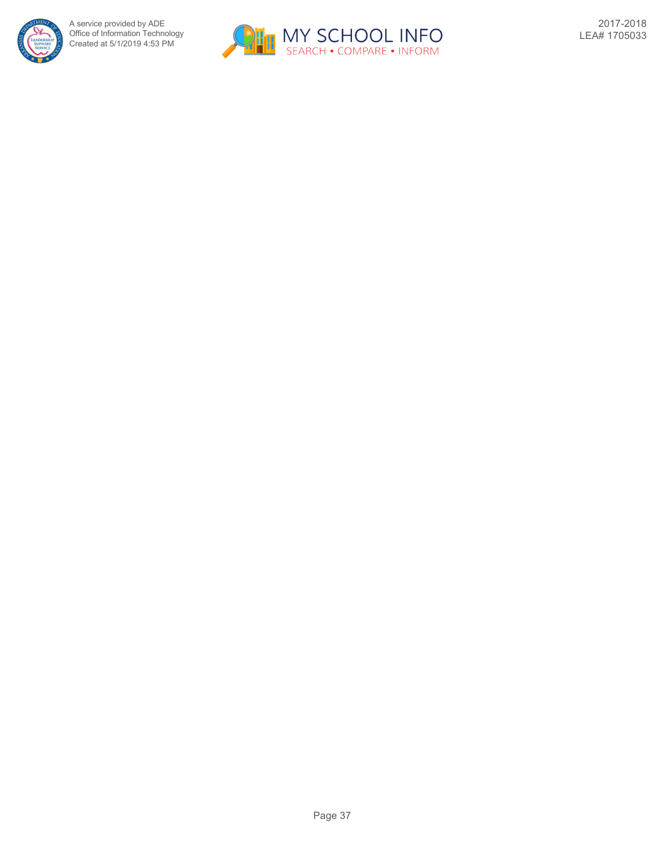

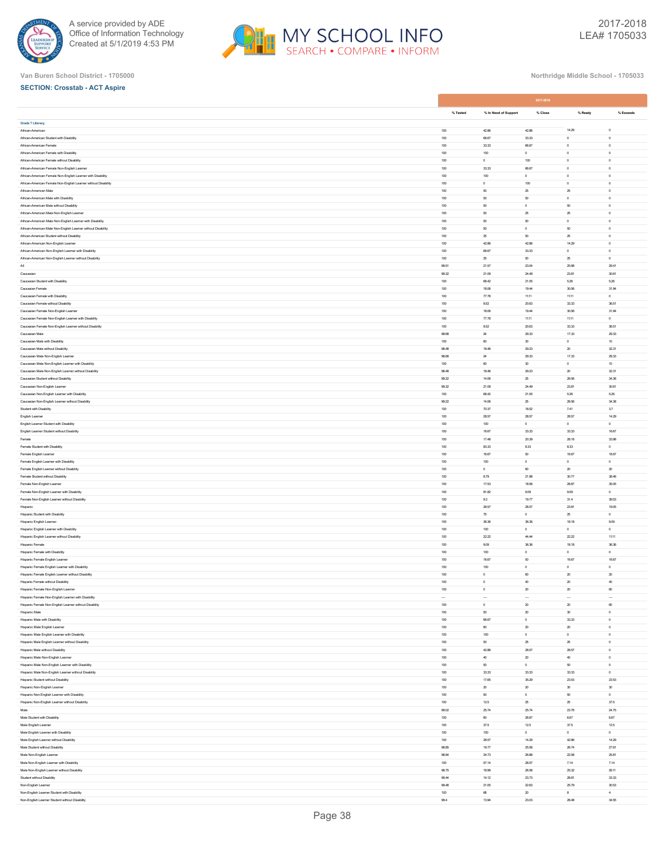



|                                                                                               |              |                      | 2017-2018         |                  |                  |
|-----------------------------------------------------------------------------------------------|--------------|----------------------|-------------------|------------------|------------------|
|                                                                                               | $%$ Tested   | % In Need of Support | $\%$ Close        | % Ready          | % Exceeds        |
| <b>Grade 7 Literacy</b>                                                                       |              |                      |                   |                  |                  |
| African-American                                                                              | 100          | 42.86                | 42.86             | 14.29            | $\circ$          |
| African-American Student with Disability                                                      | 100          | 66.67                | 33.33             | $\circ$          | $\circ$          |
| African-American Female                                                                       | 100          | 33.33                | 66.67             | $\,$ 0           | $\,$ 0 $\,$      |
| African-American Female with Disability                                                       | 100          | 100                  | $\circ$           | $\circ$          | $\circ$          |
| African-American Female without Disability                                                    | 100          | $\,$ 0 $\,$          | 100               | $\,$ 0           | $\circ$          |
| African-American Female Non-English Learner                                                   | 100          | 33.33                | 66.67             | $\,$ 0           | $\,$ 0           |
| African-American Female Non-English Learner with Disability                                   | 100          | 100                  | $\circ$           | $\circ$          | $\circ$          |
| African-American Female Non-English Learner without Disability                                | 100          | $\circ$              | 100               | $\circ$          | $\circ$          |
| African-American Male                                                                         | 100          | 60                   | $\rm{2S}$         | 25               | $\,$ 0 $\,$      |
| African-American Male with Disability                                                         | 100          | $_{50}$              | $_{50}$           | $\circ$          | $\circ$          |
| African-American Male without Disability                                                      | 100          | $_{50}$              | $\,$ 0            | $_{50}$          | $\,$ 0           |
| African-American Male Non-English Learner                                                     | 100          | 60                   | $\rm{2S}$         | 25               | $\,$ 0 $\,$      |
| African-American Male Non-English Learner with Disability                                     | 100          | $_{50}$              | $_{50}$           | $\,$ 0 $\,$      | $\,$ 0 $\,$      |
| African-American Male Non-English Learner without Disability                                  | 100          | $_{50}$              | $\,$ 0            | $_{50}$          | $\,0\,$          |
| African-American Student without Disability                                                   | 100          | 25                   | $_{50}$           | 25               | $\circ$          |
| African-American Non-English Learner                                                          | 100          | 42.86                | 42.86             | 14.29            | $\,$ 0 $\,$      |
| African-American Non-English Learner with Disability                                          | 100          | 66.67                | 33.33             | $\circ$          | $\,$ 0           |
| African-American Non-English Learner without Disability                                       | 100          | 25                   | 50                | 25               | $\circ$          |
| $\mathsf{All}$                                                                                | 99.51        | 21.57                | 23.04             | 25.98            | 29.41            |
| Caucasian                                                                                     | 99.32        | 21.09                | 24.49             | 23.81            | 30.61            |
| Caucasian Student with Disability                                                             | 100          | 68.42                | 21.05             | 5.26             | 5.26             |
| Caucasian Female<br>Caucasian Female with Disability                                          | 100<br>100   | 18.06<br>77.78       | 19.44<br>11.11    | 30.56<br>11.11   | 31.94<br>$\circ$ |
| Caucasian Female without Disability                                                           | 100          | 9.52                 | 20.63             | 33.33            | 36.51            |
| Caucasian Female Non-English Learner                                                          | 100          | 18.06                | 19.44             | 30.56            | 31.94            |
| Caucasian Female Non-English Learner with Disability                                          | 100          | 77.78                | 11.11             | 11.11            | $\circ$          |
| Caucasian Female Non-English Learner without Disability                                       | 100          | $9.52\,$             | 20.63             | 33.33            | 36.51            |
| Caucasian Male                                                                                | 98.68        | $24\,$               | 29.33             | 17.33            | 29.33            |
| Caucasian Male with Disability                                                                | 100          | 60                   | 30                | $\,$ 0 $\,$      | $10$             |
| Caucasian Male without Disability                                                             | 98.48        | 18.46                | 29.23             | $\rm 20$         | 32.31            |
| Caucasian Male Non-English Learner                                                            | 98.68        | 24                   | 29.33             | 17.33            | 29.33            |
| Caucasian Male Non-English Learner with Disability                                            | 100          | 60                   | 30                | $\,$ 0 $\,$      | $10\,$           |
| Caucasian Male Non-English Learner without Disability                                         | 98.48        | 18.46                | 29.23             | 20               | 32.31            |
| Caucasian Student without Disability                                                          | 99.22        | 14.06                | 25                | 26.56            | 34.38            |
| Caucasian Non-English Learner                                                                 | 99.32        | 21.09                | 24.49             | 23.81            | 30.61            |
| Caucasian Non-English Learner with Disability                                                 | 100          | 68.42                | 21.05             | 5.26             | 5.26             |
| Caucasian Non-English Learner without Disability                                              | 99.22        | 14.06                | $\rm{2S}$         | 26.56            | 34.38            |
| Student with Disability                                                                       | 100          | 70.37                | 18.52             | 7,41             | $3.7\,$          |
| English Learner                                                                               | 100          | 28.57                | 28.57             | 28.57            | 14.29            |
| English Learner Student with Disability                                                       | 100          | 100                  | $\circ$           | $\circ$          | $\circ$          |
| English Learner Student without Disability                                                    | 100          | 16.67                | 33.33             | 33.33            | 16.67            |
| Female                                                                                        | 100          | 17.48                | 20.39             | 28.16            | 33.98            |
| Female Student with Disability                                                                | 100          | 83.33                | 8.33              | 8.33             | $\,0\,$          |
| Female English Learner                                                                        | 100          | 16.67                | $_{50}$           | 16.67            | 16.67            |
| Female English Learner with Disability                                                        | 100          | 100                  | $\,$ 0 $\,$       | $\,$ 0 $\,$      | $\,$ 0 $\,$      |
| Female English Learner without Disability                                                     | 100          | $\,$ 0 $\,$          | $_{60}$           | $\rm 20$         | $\rm 20$         |
| Female Student without Disability                                                             | 100          | 8.79                 | 21.98             | 30.77            | 38.46            |
|                                                                                               |              |                      |                   |                  |                  |
| Female Non-English Learner                                                                    | 100          | 17.53                | 18.56             | 28.87            | 35.05            |
| Female Non-English Learner with Disability                                                    | 100          | 81.82                | 9.09              | 9.09             | $\,$ 0           |
| Female Non-English Learner without Disability                                                 | 100          | 9.3                  | 19.77             | 31.4             | 39.53            |
| Hispanic                                                                                      | 100          | 28.57                | 28.57             | 23.81            | 19.05            |
| Hispanic Student with Disability                                                              | 100          | 75                   | $\circ$           | $2\!$            | $\circ$          |
| Hispanic English Learner                                                                      | 100          | 36.36                | 36.36             | 18.18            | 9.09             |
| Hispanic English Learner with Disability                                                      | 100          | 100                  | $\,$ 0            | $\,$ 0 $\,$      | $\,$ 0 $\,$      |
| Hispanic English Learner without Disability                                                   | 100          | 22.22                | 44.44             | 22.22            | 11.11            |
| Hispanic Female                                                                               | 100          | 9.09                 | 36.36             | 18.18            | 36.36            |
| Hispanic Female with Disability                                                               | 100<br>100   | 100<br>16.67         | $\,$ 0 $\,$<br>50 | $\,0\,$<br>16.67 | $\circ$<br>16.67 |
| Hispanic Female English Learner<br>Hispanic Female English Learner with Disability            | 100          | 100                  | $\,$ 0            | $\circ$          | $\circ$          |
| Hispanic Female English Learner without Disability                                            | 100          | $\circ$              | 60                | 20               | 20               |
| Hispanic Female without Disability                                                            | 100          | $\,$ 0 $\,$          | $40\,$            | $\rm{20}$        | $40\,$           |
| Hispanic Female Non-English Learner                                                           | 100          | $\,0\,$              | $\rm{20}$         | $\rm 20$         | $_{60}$          |
| Hispanic Female Non-English Learner with Disability                                           | $\cdots$     | $\cdots$             | $\cdots$          | $\ddotsc$        | $\cdots$         |
| Hispanic Female Non-English Learner without Disability                                        | 100          | $\,$ 0 $\,$          | $20\,$            | $\rm{20}$        | $60\,$           |
| Hispanic Male                                                                                 | 100          | 60                   | 20                | 30               | $\circ$          |
| Hispanic Male with Disability                                                                 | 100          | 66.67                | $\circ$           | 33.33            | $\circ$          |
| Hispanic Male English Learner                                                                 | 100          | $_{60}$              | $20\,$            | $\rm 20$         | $\,$ 0 $\,$      |
| Hispanic Male English Learner with Disability                                                 | 100          | 100                  | $\,$ 0 $\,$       | $\circ$          | $\,$ 0 $\,$      |
| Hispanic Male English Learner without Disability                                              | 100          | 60                   | $\rm{2S}$         | $\rm{25}$        | $\circ$          |
| Hispanic Male without Disability                                                              | 100          | 42.86                | 28.57             | 28.57            | $\,$ 0           |
| Hispanic Male Non-English Learner                                                             | 100          | 40                   | 20                | 40               | $\circ$          |
| Hispanic Male Non-English Learner with Disability                                             | 100          | 60                   | $\,$ 0 $\,$       | $_{50}$          | $\circ$          |
| Hispanic Male Non-English Learner without Disability                                          | 100          | 33.33                | 33.33             | 33.33            | $\,$ 0 $\,$      |
| Hispanic Student without Disability                                                           | 100          | 17.65                | 35.29             | 23.53            | 23.53            |
| Hispanic Non-English Learner                                                                  | 100          | $\rm{20}$            | $\rm{20}$         | $_{30}$          | $30\,$           |
| Hispanic Non-English Learner with Disability                                                  | 100          | $_{50}$              | $\,$ 0            | 50               | $\,$ 0 $\,$      |
| Hispanic Non-English Learner without Disability                                               | 100          | 12.5                 | $\rm{2S}$         | $\rm{25}$        | 37.5             |
| Male<br>Male Student with Disability                                                          | 99.02<br>100 | 25.74<br>60          | 25.74<br>26.67    | 23.76<br>6.67    | 24.75<br>6.67    |
| Male English Learner                                                                          | 100          | 37.5                 | 12.5              | 37.5             | 12.5             |
|                                                                                               | 100          | 100                  | $\circ$           | $\circ$          | $\circ$          |
| Male English Learner with Disability<br>Male English Learner without Disability               | 100          | 28.57                | 14.29             | 42.86            | 14.29            |
| Male Student without Disability                                                               | 98.85        | 19.77                | 25.58             | 26.74            | 27.91            |
| Male Non-English Learner                                                                      | 98.94        | 24.73                | 26.88             | 22.58            | 25.81            |
| Male Non-English Learner with Disability                                                      | 100          | 57.14                | 28.57             | 7.14             | 7.14             |
| Male Non-English Learner without Disability                                                   | 98.75        | 18.99                | 26.58             | 25.32            | 29.11            |
| Student without Disability                                                                    | 99.44        | 14.12                | 23.73             | 28.81            | 33.33            |
| Non-English Learner                                                                           | 99.48        | 21.05                | 22.63             | 25.79            | 30.53            |
| Non-English Learner Student with Disability<br>Non-English Learner Student without Disability | 100<br>99.4  | 68<br>13.94          | $20\,$<br>23.03   | $\,$ 8<br>28.48  | $\sim$<br>34.55  |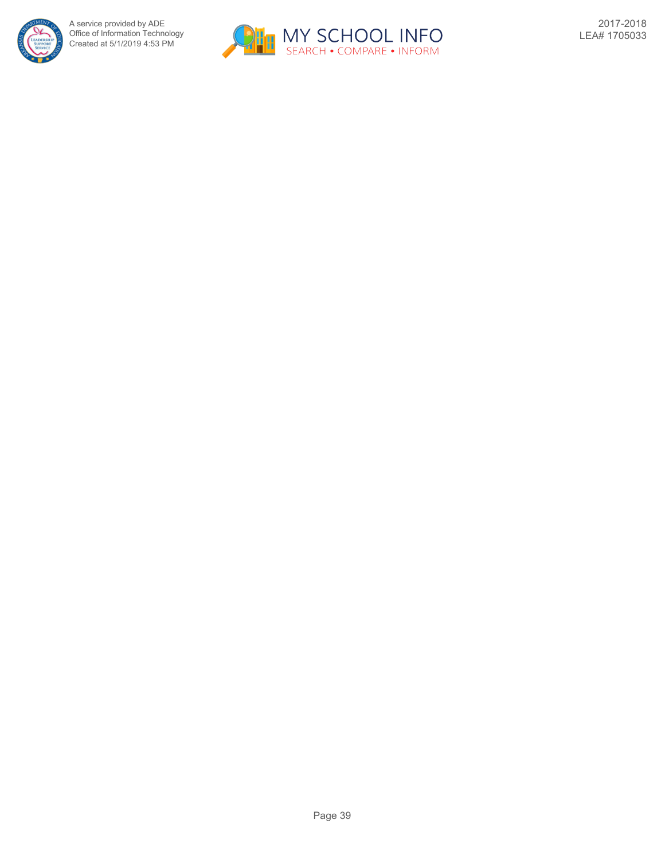

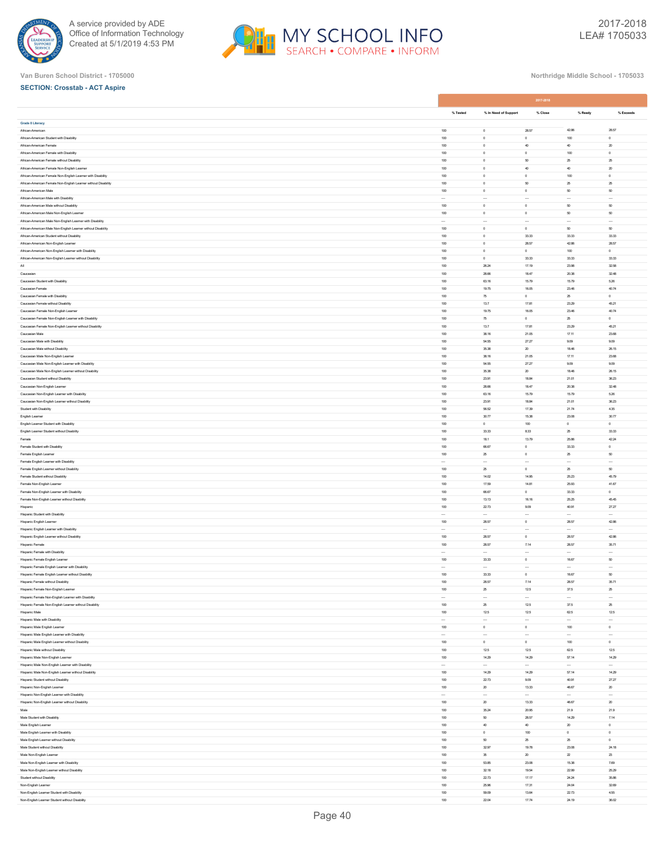



|                                                                                                            |                  |                               | 2017-2018             |                               |                          |
|------------------------------------------------------------------------------------------------------------|------------------|-------------------------------|-----------------------|-------------------------------|--------------------------|
|                                                                                                            | % Tested         | % In Need of Support          | % Close               | % Ready                       | % Exceeds                |
| Grade 8 Literacy                                                                                           |                  |                               |                       |                               |                          |
| African-American                                                                                           | 100              | $\,$ 0 $\,$                   | 28.57                 | 42.86                         | 28.57                    |
| African-American Student with Disability                                                                   | 100              | $\,$ 0 $\,$                   | $\,$ 0                | $100\,$                       | $\circ$                  |
| African-American Female                                                                                    | 100              | $\circ$                       | 40                    | $40\,$                        | $\rm{20}$                |
| African-American Female with Disability                                                                    | 100              | $\,$ 0 $\,$                   | $\,$ 0 $\,$           | 100                           | $\,$ 0 $\,$              |
| African-American Female without Disability                                                                 | 100              | $\circ$                       | $_{50}$               | 25                            | $\rm 25$                 |
| African-American Female Non-English Learner<br>African-American Female Non-English Learner with Disability | 100<br>100       | $\circ$<br>$\,$ 0 $\,$        | 40<br>$\,$ 0 $\,$     | 40<br>100                     | $\rm{20}$<br>$\,$ 0 $\,$ |
| African-American Female Non-English Learner without Disability                                             | 100              | $\circ$                       | 50                    | 25                            | $\rm 25$                 |
| African-American Male                                                                                      | 100              | $\,$ 0 $\,$                   | $\,$ 0 $\,$           | 60                            | $_{50}$                  |
| African-American Male with Disability                                                                      | $\cdots$         | $\sim$                        | $\cdots$              | $\cdots$                      | $\cdots$                 |
| African-American Male without Disability                                                                   | 100              | $\circ$                       | $\circ$               | 50                            | 50                       |
| African-American Male Non-English Learner                                                                  | 100              | $\circ$                       | $\circ$               | $_{50}$                       | $_{50}$                  |
| African-American Male Non-English Learner with Disability                                                  | $\ddotsc$        | $\sim$                        | $\cdots$              | $\sim$                        | $\sim$                   |
| African-American Male Non-English Learner without Disability                                               | 100              | $\circ$                       | $\circ$               | 50                            | 50                       |
| African-American Student without Disability                                                                | 100              | $\,$ 0 $\,$                   | 33.33                 | 33.33                         | 33.33                    |
| African-American Non-English Learner                                                                       | 100              | $\,$ 0                        | 28.57                 | 42.86                         | 28.57                    |
| African-American Non-English Learner with Disability                                                       | 100              | $\,$ 0 $\,$                   | $\,$ 0 $\,$           | 100                           | $\,$ 0 $\,$              |
| African-American Non-English Learner without Disability                                                    | 100              | $\,$ 0                        | 33.33                 | 33.33                         | 33.33                    |
| All                                                                                                        | 100              | 26.24                         | 17.19                 | 23.98                         | 32.58                    |
| Caucasian                                                                                                  | 100              | 28.66                         | 18.47                 | 20.38                         | 32.48                    |
| Caucasian Student with Disability                                                                          | 100              | 63.16                         | 15.79                 | 15.79                         | 5.26                     |
| Caucasian Female                                                                                           | 100              | 19.75                         | 16.05                 | 23.46                         | 40.74                    |
| Caucasian Female with Disability                                                                           | 100              | $75\,$                        | $\,$ 0                | 25                            | $\,$ 0 $\,$              |
| Caucasian Female without Disability                                                                        | 100<br>100       | 13.7<br>19.75                 | 17.81<br>16.05        | 23.29<br>23.46                | 45.21<br>40.74           |
| Caucasian Female Non-English Learner<br>Caucasian Female Non-English Learner with Disability               | 100              | $75\,$                        | $\,$ 0                | 25                            | $\,$ 0 $\,$              |
| Caucasian Female Non-English Learner without Disability                                                    | 100              | 13.7                          | 17.81                 | 23.29                         | 45.21                    |
| Caucasian Male                                                                                             | 100              | 38.16                         | 21.05                 | 17.11                         | 23.68                    |
| Caucasian Male with Disability                                                                             | 100              | 54.55                         | 27.27                 | 9.09                          | 9.09                     |
| Caucasian Male without Disability                                                                          | 100              | 35.38                         | $20\,$                | 18.46                         | 26.15                    |
| Caucasian Male Non-English Learner                                                                         | 100              | 38.16                         | 21.05                 | 17.11                         | 23.68                    |
| Caucasian Male Non-English Learner with Disability                                                         | 100              | 54.55                         | 27.27                 | 9.09                          | 9.09                     |
| Caucasian Male Non-English Learner without Disability                                                      | 100              | 35.38                         | $20\,$                | 18.46                         | 26.15                    |
| Caucasian Student without Disability                                                                       | 100              | 23.91                         | 18.84                 | 21.01                         | 36.23                    |
| Caucasian Non-English Learner                                                                              | 100              | 28.66                         | 18.47                 | 20.38                         | 32.48                    |
| Caucasian Non-English Learner with Disability                                                              | 100              | 63.16                         | 15.79                 | 15.79                         | 5.26                     |
| Caucasian Non-English Learner without Disability                                                           | 100              | 23.91                         | 18.84                 | 21.01                         | 36.23                    |
| Student with Disability                                                                                    | 100              | 56.52                         | 17.39                 | 21.74                         | 4.35                     |
| English Learner                                                                                            | 100              | 30.77                         | 15.38                 | 23.08                         | 30.77                    |
| English Learner Student with Disability                                                                    | 100              | $\circ$                       | 100                   | $\circ$                       | $\circ$                  |
| English Learner Student without Disability                                                                 | 100              | 33.33                         | 8.33                  | 25                            | 33.33                    |
| Female                                                                                                     | 100              | 18.1<br>66.67                 | 13.79<br>$\circ$      | 25.86<br>33.33                | 42.24<br>$\circ$         |
| Female Student with Disability<br>Female English Learner                                                   | 100<br>100       | 25                            | $\circ$               | 25                            | 50                       |
| Female English Learner with Disability                                                                     | $\cdots$         | $\sim$                        | $\ddotsc$             | $\sim$                        | $\ddotsc$                |
| Female English Learner without Disability                                                                  | 100              | 25                            | $\circ$               | 25                            | 50                       |
| Female Student without Disability                                                                          | 100              | 14.02                         | 14.95                 | 25.23                         | 45.79                    |
| Female Non-English Learner                                                                                 | 100              | 17.59                         | 14.81                 | 25.93                         | 41.67                    |
| Female Non-English Learner with Disability                                                                 | 100              | 66.67                         | $\,$ 0 $\,$           | 33.33                         | $\,$ 0 $\,$              |
| Female Non-English Learner without Disability                                                              | 100              | 13.13                         | 16.16                 | 25.25                         | 45.45                    |
| Hispanic                                                                                                   | 100              | 22.73                         | 9.09                  | 40.91                         | 27.27                    |
| Hispanic Student with Disability                                                                           | $\ldots$         | $\cdots$                      | $\cdots$              | $\cdots$                      | $\cdots$                 |
| Hispanic English Learner                                                                                   | 100              | 28.57                         | $\,$ 0                | 28.57                         | 42.86                    |
| Hispanic English Learner with Disability                                                                   | $\cdots$         | $\cdots$                      | $\ddotsc$             | $\ddotsc$                     | $\cdots$                 |
| Hispanic English Learner without Disability                                                                | 100              | 28.57                         | $\,$ 0                | 28.57                         | 42.86                    |
| Hispanic Female                                                                                            | 100              | 28.57                         | 7.14                  | 28.57                         | 35.71                    |
| Hispanic Female with Disability                                                                            | $\cdots$         | $\cdots$                      | $\cdots$              | $\cdots$                      | $\cdots$                 |
| Hispanic Female English Learner<br>Hispanic Female English Learner with Disability                         | 100<br>$\cdots$  | 33.33<br>$\sim$               | $\,$ 0 $\,$<br>$\sim$ | 16.67<br>$\ddotsc$            | $_{\rm 50}$<br>$\sim$    |
| Hispanic Female English Learner without Disability                                                         | 100              | 33.33                         | $\,$ 0 $\,$           | 16.67                         | $_{50}$                  |
| Hispanic Female without Disability                                                                         | 100              | 28.57                         | 7.14                  | 28.57                         | 35.71                    |
| Hispanic Female Non-English Learner                                                                        | 100              | 25                            | 12.5                  | 37.5                          | 25                       |
| Hispanic Female Non-English Learner with Disability                                                        |                  | $\overline{\phantom{a}}$      |                       | $\ddot{\phantom{0}}$          |                          |
| Hispanic Female Non-English Learner without Disability                                                     | 100              | $_{\rm 25}$                   | 12.5                  | 37.5                          | $2\!$                    |
| Hispanic Male                                                                                              | 100              | 12.5                          | 12.5                  | 62.5                          | 12.5                     |
| Hispanic Male with Disability                                                                              |                  | $\ddot{\phantom{a}}$          |                       |                               |                          |
| Hispanic Male English Learner                                                                              | 100              | $\circ$                       | $\,$ 0 $\,$           | 100                           | $\circ$                  |
| Hispanic Male English Learner with Disability                                                              | $\ldots$         | $\ldots$                      | $\cdots$              | $\ldots$                      | $\ldots$                 |
| Hispanic Male English Learner without Disability                                                           | 100              | $\circ$                       | $\circ$               | 100                           | $\circ$                  |
| Hispanic Male without Disability                                                                           | 100              | 12.5                          | 12.5                  | 62.5                          | 12.5                     |
| Hispanic Male Non-English Learner<br>Hispanic Male Non-English Learner with Disability                     | 100<br>$\ddotsc$ | 14.29<br>$\ddot{\phantom{a}}$ | 14.29<br>$\ddotsc$    | 57.14<br>$\ddot{\phantom{a}}$ | 14.29<br>$\sim$          |
| Hispanic Male Non-English Learner without Disability                                                       | 100              | 14.29                         | 14.29                 | 57.14                         | 14.29                    |
| Hispanic Student without Disability                                                                        | 100              | 22.73                         | $9.09$                | 40.91                         | 27.27                    |
| Hispanic Non-English Learner                                                                               | 100              | $20\,$                        | 13.33                 | 46.67                         | 20                       |
| Hispanic Non-English Learner with Disability                                                               | $\cdots$         | $\cdots$                      | $\cdots$              | $\cdots$                      | $\cdots$                 |
| Hispanic Non-English Learner without Disability                                                            | 100              | 20                            | 13.33                 | 46.67                         | 20                       |
| Male                                                                                                       | 100              | 35.24                         | 20.95                 | 21.9                          | 21.9                     |
| Male Student with Disability                                                                               | 100              | $_{\rm 50}$                   | 28.57                 | 14.29                         | 7.14                     |
| Male English Learner                                                                                       |                  |                               |                       | $20\,$                        | $\,$ 0 $\,$              |
| Male English Learner with Disability                                                                       | 100              | 40                            | 40                    |                               |                          |
|                                                                                                            | 100              | $\,$ 0 $\,$                   | 100                   | $\,$ 0 $\,$                   | $\,$ 0 $\,$              |
| Male English Learner without Disability                                                                    | 100              | $_{50}$                       | $\rm{z}\rm{s}$        | 25                            | $\,$ 0 $\,$              |
| Male Student without Disability                                                                            | 100              | 32.97                         | 19.78                 | 23.08                         | 24.18                    |
| Male Non-English Learner                                                                                   | 100              | $36\,$                        | $20\,$                | $\mathbf{z}$                  | $\rm{^{23}}$             |
| Male Non-English Learner with Disability                                                                   | 100              | 53.85                         | 23.08                 | 15.38                         | 7.69                     |
| Male Non-English Learner without Disability                                                                | 100              | 32.18                         | 19.54                 | 22.99                         | 25.29                    |
| Student without Disability                                                                                 | 100              | 22.73                         | 17.17                 | 24.24                         | 35.86                    |
| Non-English Learner                                                                                        | 100              | 25.96                         | 17.31                 | 24.04                         | 32.69                    |
| Non-English Learner Student with Disability<br>Non-English Learner Student without Disability              | 100<br>100       | 59.09<br>22.04                | 13.64<br>17.74        | 22.73<br>24.19                | 4.55<br>36.02            |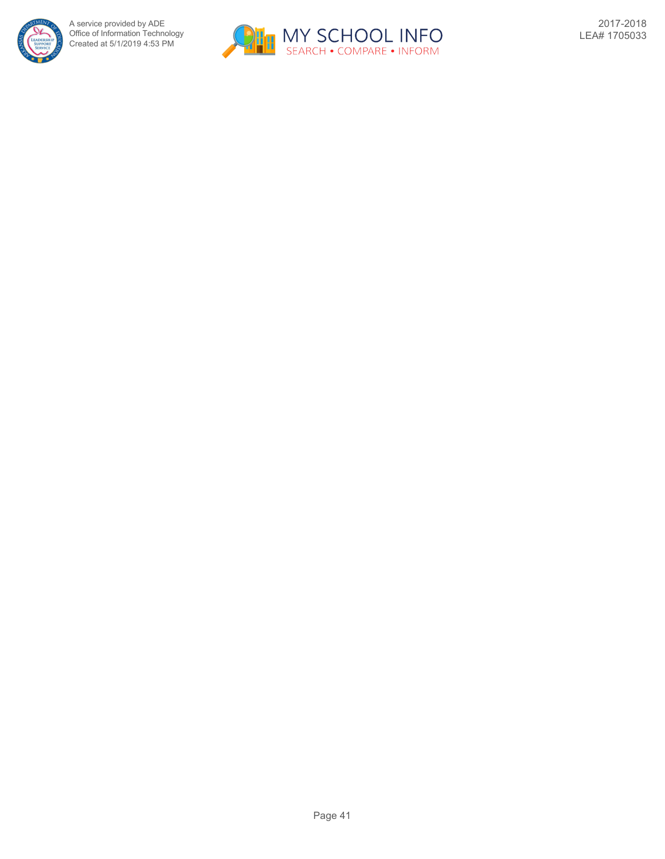

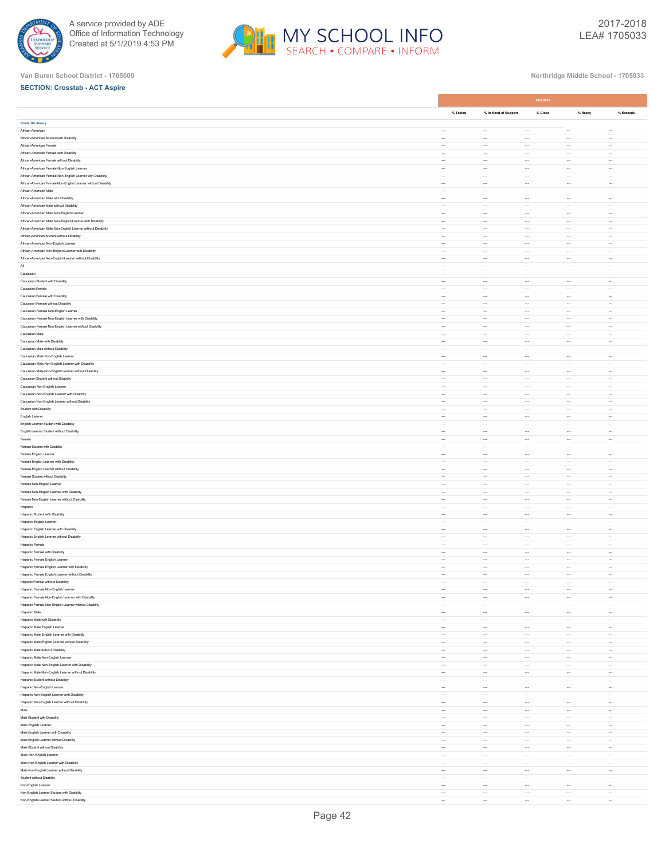



|                                                                                               | % Tested                         | % In Need of Support                 | % Close                          | % Ready                          | % Exceeds                |
|-----------------------------------------------------------------------------------------------|----------------------------------|--------------------------------------|----------------------------------|----------------------------------|--------------------------|
| Grade 10 Literacy<br>African-American                                                         | $\cdots$                         | $\sim$                               | $\ddot{\phantom{0}}$             |                                  | $\cdots$                 |
| African-American Student with Disability                                                      | $\ldots$                         | $\cdots$                             | $\cdots$                         | $\cdots$                         | $\cdots$                 |
| African-American Female                                                                       | $\cdots$                         | $\cdots$                             | $\cdots$                         |                                  | $\cdots$                 |
| African-American Female with Disability                                                       | $\cdots$                         | $\cdots$                             | $\ddot{\phantom{0}}$             | $\cdots$                         | $\cdots$                 |
| African-American Female without Disability<br>African-American Female Non-English Learner     | $\cdots$<br>$\cdots$             | $\cdots$<br>$\cdots$                 | $\cdots$<br>$\cdots$             | $\cdots$<br>$\cdots$             | $\cdots$<br>$\cdots$     |
| African-American Female Non-English Learner with Disability                                   | ä,                               | $\sim$                               | $\ddot{\phantom{a}}$             | $\ddotsc$                        | $\cdots$                 |
| African-American Female Non-English Learner without Disability                                | $\cdots$                         | $\cdots$                             | $\cdots$                         | $\cdots$                         | $\cdots$                 |
| African-American Male                                                                         | $\cdots$                         | $\overline{\phantom{a}}$             | $\ddot{\phantom{0}}$             | $\ddotsc$                        |                          |
| African-American Male with Disability                                                         | $\sim$                           | $\sim$                               | $\sim$                           | $\ddotsc$                        | $\cdots$                 |
| African-American Male without Disability<br>African-American Male Non-English Learner         | $\cdots$<br>$\cdots$             | $\cdots$<br>$\cdots$                 | $\cdots$<br>$\cdots$             | $\cdots$<br>$\cdots$             | $\cdots$<br>$\cdots$     |
| African-American Male Non-English Learner with Disability                                     | $\cdots$                         | $\sim$                               | $\ddotsc$                        | $\cdots$                         | $\cdots$                 |
| African-American Male Non-English Learner without Disability                                  | $\cdots$                         | $\cdots$                             | $\cdots$                         | $\cdots$                         | $\cdots$                 |
| African-American Student without Disability                                                   | $\cdots$                         | $\sim$                               | $\ddot{\phantom{0}}$             | $\cdots$                         | $\cdots$                 |
| African-American Non-English Learner                                                          | $\cdots$                         | $\cdots$                             | $\cdots$                         | $\cdots$                         | $\cdots$                 |
| African-American Non-English Learner with Disability                                          | $\cdots$<br>$\ldots$             | $\overline{\phantom{a}}$<br>$\sim$   | $\ddot{\phantom{0}}$             | $\ddot{\phantom{0}}$<br>$\cdots$ | $\cdots$                 |
| African-American Non-English Learner without Disability<br>$\mathsf{All}\xspace$              | $\cdots$                         | $\sim$                               | $\cdots$<br>$\cdots$             | $\cdots$                         | $\cdots$<br>$\cdots$     |
| Caucasian                                                                                     | $\ddotsc$                        | $\sim$                               | $\sim$                           | $\ddotsc$                        | $\cdots$                 |
| Caucasian Student with Disability                                                             | $\cdots$                         | $\cdots$                             | $\cdots$                         | $\cdots$                         | $\cdots$                 |
| Caucasian Female                                                                              | $\cdots$                         | $\cdots$                             | $\cdots$                         | $\cdots$                         | $\cdots$                 |
| Caucasian Female with Disability                                                              | $\sim$                           | ä,                                   | $\sim$                           |                                  |                          |
| Caucasian Female without Disability<br>Caucasian Female Non-English Learner                   | $\cdots$<br>$\ddotsc$            | $\cdots$<br>$\sim$                   | $\cdots$<br>$\ddot{\phantom{0}}$ | $\cdots$<br>$\ddotsc$            | $\cdots$<br>             |
| Caucasian Female Non-English Learner with Disability                                          | $\ddotsc$                        | $\sim$                               | $\ddotsc$                        | $\ddotsc$                        | $\cdots$                 |
| Caucasian Female Non-English Learner without Disability                                       | $\cdots$                         | $\cdots$                             | $\cdots$                         | $\cdots$                         | $\cdots$                 |
| Caucasian Male                                                                                | $\cdots$                         | $\cdots$                             | $\cdots$                         | $\cdots$                         | $\cdots$                 |
| Caucasian Male with Disability                                                                | $\cdots$                         | $\sim$                               | $\ddotsc$                        | $\cdots$                         | $\cdots$                 |
| Caucasian Male without Disability                                                             | $\cdots$<br>$\cdots$             | $\cdots$<br>$\sim$                   | $\cdots$<br>$\cdots$             | $\cdots$<br>$\cdots$             | $\cdots$<br>$\cdots$     |
| Caucasian Male Non-English Learner<br>Caucasian Male Non-English Learner with Disability      | $\cdots$                         | $\cdots$                             | $\cdots$                         | $\cdots$                         | $\cdots$                 |
| Caucasian Male Non-English Learner without Disability                                         | $\ddotsc$                        | $\sim$                               | $\cdots$                         | $\ddotsc$                        | $\cdots$                 |
| Caucasian Student without Disability                                                          | $\ldots$                         | $\sim$                               | $\cdots$                         | $\cdots$                         | $\cdots$                 |
| Caucasian Non-English Learner                                                                 | $\cdots$                         | $\cdots$                             | $\cdots$                         | $\cdots$                         | $\cdots$                 |
| Caucasian Non-English Learner with Disability                                                 | $\cdots$<br>$\cdots$             | $\sim$<br>$\sim$                     | $\cdots$                         | $\ddotsc$<br>$\cdots$            | $\cdots$                 |
| Caucasian Non-English Learner without Disability<br>Student with Disability                   | $\cdots$                         | $\cdots$                             | $\cdots$<br>$\cdots$             | $\cdots$                         | $\cdots$<br>$\cdots$     |
| English Learner                                                                               | $\sim$                           | $\sim$                               | $\ddot{\phantom{a}}$             | $\ddotsc$                        | $\ddotsc$                |
| English Learner Student with Disability                                                       | $\cdots$                         | $\cdots$                             | $\cdots$                         | $\cdots$                         | $\cdots$                 |
| English Learner Student without Disability                                                    | $\cdots$                         | $\sim$                               | $\ddot{\phantom{0}}$             |                                  |                          |
| Female                                                                                        | $\sim$                           | $\sim$                               | $\sim$                           | $\ddotsc$                        | $\cdots$                 |
| Female Student with Disability<br>Female English Learner                                      | $\cdots$<br>$\cdots$             | $\cdots$<br>$\sim$                   | $\cdots$<br>$\cdots$             | $\cdots$<br>                     | $\cdots$<br>$\cdots$     |
| Female English Learner with Disability                                                        | $\cdots$                         | $\sim$                               | $\ddotsc$                        | $\cdots$                         | $\cdots$                 |
| Female English Learner without Disability                                                     | $\cdots$                         | $\cdots$                             | $\cdots$                         | $\cdots$                         | $\cdots$                 |
| Female Student without Disability                                                             | $\cdots$                         | $\sim$                               | $\ddot{\phantom{0}}$             | $\cdots$                         | $\cdots$                 |
| Female Non-English Learner                                                                    | $\cdots$                         | $\sim$                               | $\overline{\phantom{a}}$         | $\cdots$                         | $\cdots$                 |
| Female Non-English Learner with Disability                                                    | $\cdots$<br>$\ldots$             | $\cdots$<br>$\sim$                   | $\ddot{\phantom{0}}$<br>$\cdots$ | $\ddotsc$<br>$\cdots$            | $\cdots$<br>$\cdots$     |
| Female Non-English Learner without Disability<br>Hispanic                                     | $\cdots$                         | $\sim$                               | $\cdots$                         | $\cdots$                         | $\cdots$                 |
| Hispanic Student with Disability                                                              | $\cdots$                         | $\sim$                               | $\ddot{\phantom{0}}$             | $\ddotsc$                        | $\cdots$                 |
| Hispanic English Learner                                                                      | $\cdots$                         | $\cdots$                             | $\cdots$                         | $\cdots$                         | $\cdots$                 |
| Hispanic English Learner with Disability                                                      | $\cdots$                         | $\cdots$                             | $\cdots$                         | $\cdots$                         | $\cdots$                 |
| Hispanic English Learner without Disability                                                   | $\ddot{\phantom{a}}$<br>$\cdots$ | $\sim$<br>$\cdots$                   | à.                               | $\ddotsc$<br>$\cdots$            | $\cdots$                 |
| Hispanic Female<br>Hispanic Female with Disability                                            | $\cdots$                         | $\sim$                               | $\cdots$<br>$\ddot{\phantom{0}}$ | $\ddotsc$                        | $\cdots$<br>             |
| Hispanic Female English Learner                                                               | $\sim$                           | $\sim$                               | $\ddotsc$                        | $\ddotsc$                        | $\ddotsc$                |
| Hispanic Female English Learner with Disability                                               | $\cdots$                         | $\cdots$                             | $\cdots$                         | $\cdots$                         | $\cdots$                 |
| Hispanic Female English Learner without Disability                                            | $\ldots$                         | $\sim$                               | $\cdots$                         |                                  | $\cdots$                 |
| Hispanic Female without Disability                                                            | $\cdots$                         | $\sim$                               | $\sim$                           | $\cdots$                         | $\overline{\phantom{a}}$ |
| Hispanic Female Non-English Learne<br>Hispanic Female Non-English Learner with Disability     | $\ldots$                         | $\cdots$                             | $\cdots$                         | $\cdots$                         | $\ldots$                 |
| Hispanic Female Non-English Learner without Disability                                        | $\cdots$                         | $\sim$                               | $\sim$                           | $\cdots$                         | $\cdots$                 |
| Hispanic Male                                                                                 | $\cdots$                         | $\cdots$                             | $\cdots$                         | $\cdots$                         | $\cdots$                 |
| Hispanic Male with Disability                                                                 | $\ldots$                         | $\cdots$                             | $\cdots$                         | $\ldots$                         | $\cdots$                 |
| Hispanic Male English Learner                                                                 | $\cdots$                         | $\cdots$                             | $\cdots$                         | $\cdots$                         | $\ldots$                 |
| Hispanic Male English Learner with Disability                                                 | $\ldots$<br>$\sim$               | $\overline{\phantom{a}}$<br>$\cdots$ | $\cdots$<br>$\cdots$             | <br>$\cdots$                     | $\cdots$<br>$\cdots$     |
| Hispanic Male English Learner without Disability<br>Hispanic Male without Disability          | $\ldots$                         | $\cdots$                             | $\cdots$                         | $\cdots$                         | $\ldots$                 |
| Hispanic Male Non-English Learner                                                             | $\sim$                           | $\sim$                               | $\sim$                           | $\ddotsc$                        | $\overline{\phantom{a}}$ |
| Hispanic Male Non-English Learner with Disability                                             | $\cdots$                         | $\cdots$                             | $\cdots$                         | $\cdots$                         | $\cdots$                 |
| Hispanic Male Non-English Learner without Disability                                          | $\ldots$                         | $\cdots$                             | $\ldots$                         |                                  | $\cdots$                 |
| Hispanic Student without Disability<br>Hispanic Non-English Learner                           | $\cdots$                         | $\sim$                               | $\sim$                           | $\ddotsc$                        | $\overline{\phantom{a}}$ |
| Hispanic Non-English Learner with Disability                                                  | $\cdots$<br>$\cdots$             | $\cdots$<br>$\ldots$                 | $\cdots$<br>$\cdots$             | $\cdots$<br>$\cdots$             | $\cdots$<br>$\ldots$     |
| Hispanic Non-English Learner without Disability                                               | $\cdots$                         | $\sim$                               | $\sim$                           | $\cdots$                         | $\cdots$                 |
| Male                                                                                          | $\cdots$                         | $\cdots$                             | $\cdots$                         | $\cdots$                         | $\cdots$                 |
| Male Student with Disability                                                                  | $\ldots$                         | $\cdots$                             | $\ldots$                         | $\cdots$                         | $\cdots$                 |
| Male English Learner                                                                          | $\cdots$                         | $\sim$                               | $\sim$                           | $\cdots$                         | $\cdots$                 |
| Male English Learner with Disability                                                          | $\cdots$                         | $\cdots$                             | $\cdots$                         |                                  | $\cdots$                 |
| Male English Learner without Disability<br>Male Student without Disability                    | $\ldots$<br>$\cdots$             | $\cdots$<br>$\cdots$                 | $\ldots$<br>$\ldots$             | $\cdots$<br>$\cdots$             | $\cdots$<br>$\ldots$     |
| Male Non-English Learner                                                                      | $\cdots$                         | $\cdots$                             | $\cdots$                         | $\cdots$                         | $\cdots$                 |
| Male Non-English Learner with Disability                                                      | $\cdots$                         | $\cdots$                             | $\cdots$                         | $\cdots$                         | $\cdots$                 |
| Male Non-English Learner without Disability                                                   | $\cdots$                         | $\cdots$                             | $\cdots$                         | $\cdots$                         | $\ldots$                 |
| Student without Disability                                                                    | $\ddotsc$                        | $\sim$                               | $\ddotsc$                        | $\ddotsc$                        | $\overline{\phantom{a}}$ |
| Non-English Learner                                                                           | $\cdots$<br>$\ldots$             | $\sim$<br>$\cdots$                   | $\cdots$<br>$\cdots$             | $\cdots$<br>$\cdots$             | $\cdots$                 |
| Non-English Learner Student with Disability<br>Non-English Learner Student without Disability | $\ldots$                         | $\sim$                               | $\cdots$                         | $\ddotsc$                        | $\cdots$<br>$\cdots$     |
|                                                                                               |                                  |                                      |                                  |                                  |                          |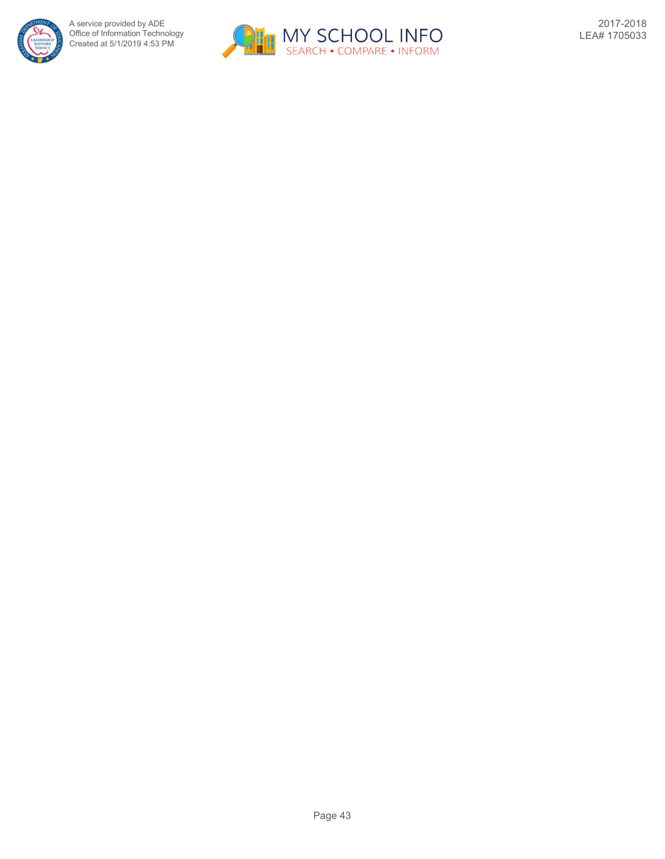

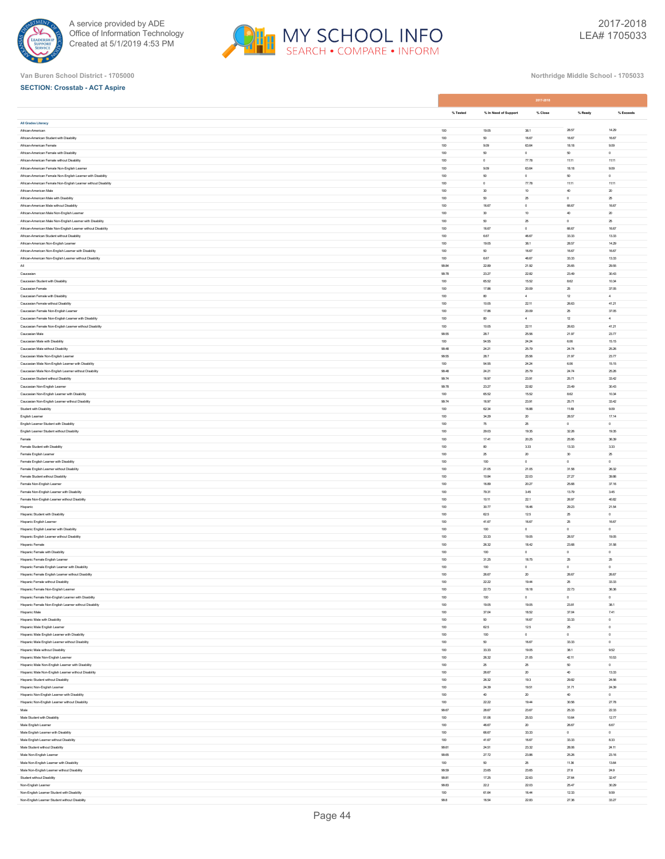



|                                                                                                            |              |                      | 2017-2018        |                       |                  |
|------------------------------------------------------------------------------------------------------------|--------------|----------------------|------------------|-----------------------|------------------|
|                                                                                                            | $%$ Tested   | % In Need of Support | $\%$ Close       | % Ready               | % Exceeds        |
| All Grades Literacy                                                                                        |              |                      |                  |                       |                  |
| African-American                                                                                           | 100          | 19.05                | 38.1             | 28.57                 | 14.29            |
| African-American Student with Disability                                                                   | 100          | 50                   | 16.67            | 16.67                 | 16.67            |
| African-American Female                                                                                    | 100          | $9.09$               | 63.64            | 18.18                 | 9.09             |
| African-American Female with Disability                                                                    | 100          | 60                   | $\circ$          | 50                    | $\circ$          |
| African-American Female without Disability                                                                 | 100          | $\,$ 0 $\,$          | 77.78            | 11.11                 | 11.11            |
| African-American Female Non-English Learner<br>African-American Female Non-English Learner with Disability | 100<br>100   | 9.09<br>50           | 63.64<br>$\circ$ | 18.18<br>50           | 9.09<br>$\circ$  |
| African-American Female Non-English Learner without Disability                                             | 100          | $\circ$              | 77.78            | 11.11                 | 11.11            |
| African-American Male                                                                                      | 100          | $_{30}$              | 10               | $40\,$                | $20\,$           |
| African-American Male with Disability                                                                      | 100          | 60                   | 25               | $\circ$               | $\rm{2S}$        |
| African-American Male without Disability                                                                   | 100          | 16.67                | $\,$ 0           | 66.67                 | 16.67            |
| African-American Male Non-English Learner                                                                  | 100          | $_{30}$              | $10$             | $40\,$                | $20\,$           |
| African-American Male Non-English Learner with Disability                                                  | 100          | 60                   | $\rm{2S}$        | $\,$ 0 $\,$           | $\rm{25}$        |
| African-American Male Non-English Learner without Disability                                               | 100          | 16.67                | $\,$ 0           | 66.67                 | 16.67            |
| African-American Student without Disability                                                                | 100          | 6.67                 | 46.67            | 33.33                 | 13.33            |
| African-American Non-English Learner                                                                       | 100          | 19.05                | 38.1             | 28.57                 | 14.29            |
| African-American Non-English Learner with Disability                                                       | 100<br>100   | 60<br>6.67           | 16.67<br>46.67   | 16.67<br>33.33        | 16.67<br>13.33   |
| African-American Non-English Learner without Disability<br>$\mathsf{All}$                                  | 99.84        | 22.89                | 21.92            | 25.65                 | 29.55            |
| Caucasian                                                                                                  | 99.78        | 23.27                | 22.82            | 23.49                 | 30.43            |
| Caucasian Student with Disability                                                                          | 100          | 65.52                | 15.52            | 8.62                  | 10.34            |
| Caucasian Female                                                                                           | 100          | 17.86                | 20.09            | 25                    | 37.05            |
| Caucasian Female with Disability                                                                           | 100          | 80                   | $\sim$           | 12                    | $\overline{4}$   |
| Caucasian Female without Disability                                                                        | 100          | 10.05                | 22.11            | 26.63                 | 41.21            |
| Caucasian Female Non-English Learner                                                                       | 100          | 17.86                | 20.09            | 25                    | 37.05            |
| Caucasian Female Non-English Learner with Disability                                                       | 100          | 80                   | $\sim$           | $12\,$                | $\overline{4}$   |
| Caucasian Female Non-English Learner without Disability                                                    | 100          | 10.05                | 22.11            | 26.63                 | 41.21            |
| Caucasian Male<br>Caucasian Male with Disability                                                           | 99.55<br>100 | 28.7<br>54.55        | 25.56<br>24.24   | 21.97<br>6.06         | 23.77<br>15.15   |
| Caucasian Male without Disability                                                                          | 99.48        | 24.21                | 25.79            | 24.74                 | 25.26            |
| Caucasian Male Non-English Learner                                                                         | 99.55        | 28.7                 | 25.56            | 21.97                 | 23.77            |
| Caucasian Male Non-English Learner with Disability                                                         | 100          | 54.55                | 24.24            | 6.06                  | 15.15            |
| Caucasian Male Non-English Learner without Disability                                                      | 99.48        | 24.21                | 25.79            | 24.74                 | 25.26            |
| Caucasian Student without Disability                                                                       | 99.74        | 16.97                | 23.91            | 25.71                 | 33.42            |
| Caucasian Non-English Learner                                                                              | 99.78        | 23.27                | 22.82            | 23.49                 | 30.43            |
| Caucasian Non-English Learner with Disability                                                              | 100          | 65.52                | 15.52            | 8.62                  | 10.34            |
| Caucasian Non-English Learner without Disability                                                           | 99.74        | 16.97                | 23.91            | 25.71                 | 33.42            |
| Student with Disability                                                                                    | 100<br>100   | 62.34<br>34.29       | 16.88<br>20      | 11.69<br>28.57        | 9.09<br>17.14    |
| English Learner<br>English Learner Student with Disability                                                 | 100          | 75                   | $\rm{2S}$        | $\circ$               | $\circ$          |
| English Learner Student without Disability                                                                 | 100          | 29.03                | 19.35            | 32.26                 | 19.35            |
| Female                                                                                                     | 100          | 17.41                | 20.25            | 25.96                 | 36.39            |
| Female Student with Disability                                                                             | 100          | $_{\rm 80}$          | $3.33\,$         | 13.33                 | 3.33             |
| Female English Learner                                                                                     | 100          | $\rm{25}$            | $20\,$           | $30\,$                | $\rm 25$         |
|                                                                                                            |              |                      |                  |                       |                  |
| Female English Learner with Disability                                                                     | 100          | 100                  | $\,$ 0 $\,$      | $\,$ 0 $\,$           | $\,$ 0 $\,$      |
| Female English Learner without Disability                                                                  | 100          | 21.05                | 21.06            | 31.58                 | 26.32            |
| Female Student without Disability                                                                          | 100          | 10.84                | 22.03            | 27.27                 | 39.86            |
| Female Non-English Learner                                                                                 | 100          | 16.89                | 20.27            | 25.68                 | 37.16            |
| Female Non-English Learner with Disability                                                                 | 100          | 79.31                | 3.45             | 13.79                 | 3.45             |
| Female Non-English Learner without Disability                                                              | 100          | 10.11                | 221              | 26.97                 | 40.82            |
| Hispanic                                                                                                   | 100          | 30.77                | 18.46            | 29.23                 | 21.54<br>$\circ$ |
| Hispanic Student with Disability<br>Hispanic English Learner                                               | 100<br>100   | 62.5<br>41.67        | 12.5<br>16.67    | $\rm 25$<br>$\rm{25}$ | 16.67            |
| Hispanic English Learner with Disability                                                                   | 100          | 100                  | $\,$ 0           | $\,$ 0 $\,$           | $\,$ 0 $\,$      |
| Hispanic English Learner without Disability                                                                | 100          | 33.33                | 19.05            | 28.57                 | 19.05            |
| Hispanic Female                                                                                            | 100          | 26.32                | 18.42            | 23.68                 | 31.58            |
| Hispanic Female with Disability                                                                            | 100          | 100                  | $\,$ 0           | $\circ$               | $\circ$          |
| Hispanic Female English Learner                                                                            | 100          | 31.25                | 18.75            | 25                    | 25               |
| Hispanic Female English Learner with Disability                                                            | 100          | 100                  | $\,$ 0           | $\circ$               | $\circ$          |
| Hispanic Female English Learner without Disability<br>Hispanic Female without Disability                   | 100<br>100   | 26.67<br>22.22       | 20<br>19.44      | 26.67<br>25           | 26.67<br>33.33   |
| Hispanic Female Non-English Learner                                                                        | 100          | 22.73                | 18.18            | 22.73                 | 36.36            |
| Hispanic Female Non-English Learner with Disability                                                        | 100          | 100                  | $\circ$          | $^{\circ}$            | $^{\circ}$       |
| Hispanic Female Non-English Learner without Disability                                                     | 100          | 19.05                | 19.05            | 23.81                 | 38.1             |
| Hispanic Male                                                                                              | 100          | 37.04                | 18.52            | 37.04                 | 7.41             |
| Hispanic Male with Disability                                                                              | 100          | 60                   | 16.67            | 33.33                 | $\circ$          |
| Hispanic Male English Learner                                                                              | 100          | 62.5                 | $12.5\,$         | $\rm 25$              | $\,$ 0 $\,$      |
| Hispanic Male English Learner with Disability                                                              | 100          | 100                  | $\,$ 0 $\,$      | $\circ$               | $\circ$          |
| Hispanic Male English Learner without Disability                                                           | 100          | 60                   | 16.67            | 33.33                 | $\circ$          |
| Hispanic Male without Disability<br>Hispanic Male Non-English Learner                                      | 100<br>100   | 33.33<br>26.32       | 19.05<br>21.05   | 38.1<br>42.11         | 9.52<br>10.53    |
| Hispanic Male Non-English Learner with Disability                                                          | 100          | $\rm{2S}$            | $\rm{2S}$        | $_{\rm 50}$           | $\circ$          |
| Hispanic Male Non-English Learner without Disability                                                       | 100          | 26.67                | 20               | 40                    | 13.33            |
| Hispanic Student without Disability                                                                        | 100          | 26.32                | 19.3             | 29.82                 | 24.56            |
| Hispanic Non-English Learner                                                                               | 100          | 24.39                | 19.51            | 31.71                 | 24.39            |
| Hispanic Non-English Learner with Disability                                                               | 100          | 40                   | $20\,$           | $40\,$                | $\,$ 0 $\,$      |
| Hispanic Non-English Learner without Disability                                                            | 100          | 22.22                | 19.44            | 30.56                 | 27.78            |
| Male                                                                                                       | 99.67        | 28.67                | 23.67            | 25.33                 | 22.33            |
| Male Student with Disability                                                                               | 100          | 51.06                | 25.53            | 10.64                 | 12.77            |
| Male English Learner                                                                                       | 100          | 46.67<br>66.67       | $20\,$<br>33.33  | 26.67<br>$\circ$      | 6.67<br>$\circ$  |
| Male English Learner with Disability<br>Male English Learner without Disability                            | 100<br>100   | 41.67                | 16.67            | 33.33                 | 8.33             |
| Male Student without Disability                                                                            | 99.61        | 24.51                | 23.32            | 28.06                 | 24.11            |
| Male Non-English Learner                                                                                   | 99.65        | 27.72                | 23.86            | 25.26                 | 23.16            |
| Male Non-English Learner with Disability                                                                   | 100          | 60                   | $\rm{2S}$        | 11.36                 | 13.64            |
| Male Non-English Learner without Disability                                                                | 99.59        | 23.65                | 23.65            | 27.8                  | $24.9\,$         |
| Student without Disability                                                                                 | 99.81        | 17.25                | 22.63            | 27.64                 | 32.47            |
| Non-English Learner                                                                                        | 99.83        | 22.2                 | 22.03            | 25.47                 | 30.29            |
| Non-English Learner Student with Disability<br>Non-English Learner Student without Disability              | 100<br>99.8  | 61.64<br>16.54       | 16.44<br>22.83   | 12.33<br>27.36        | 9.59<br>33.27    |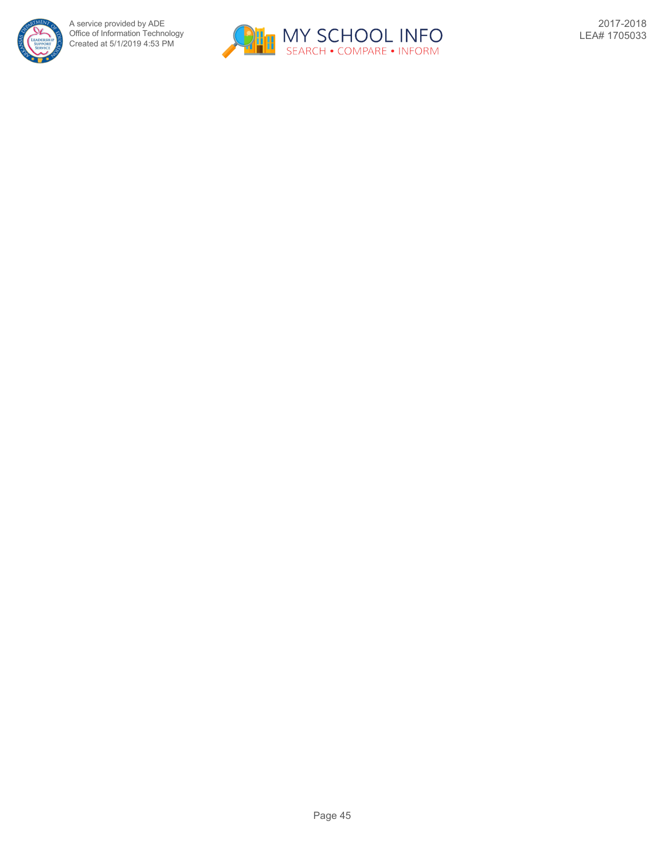

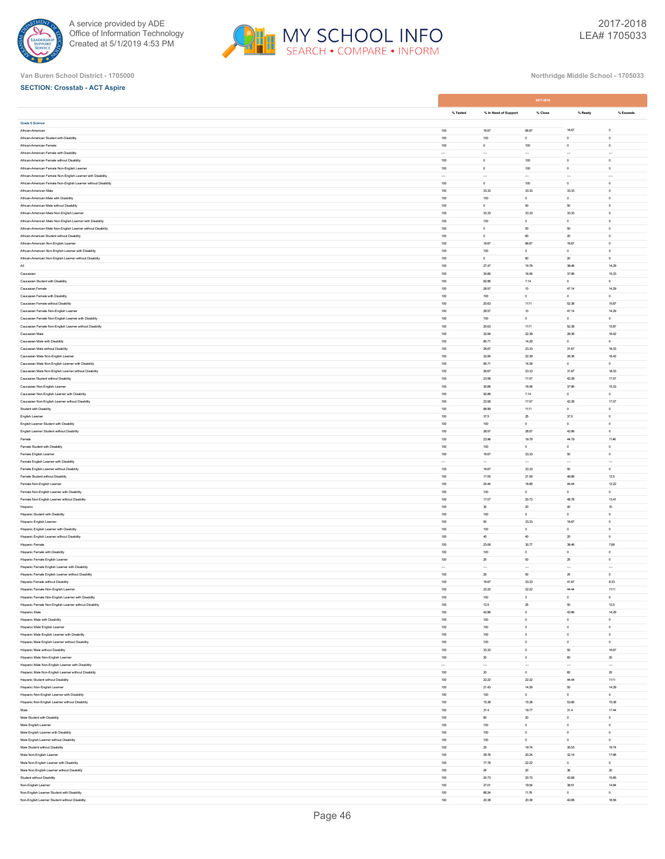



|                                                                                                                 | 2017-2018       |                      |                        |                          |                             |  |
|-----------------------------------------------------------------------------------------------------------------|-----------------|----------------------|------------------------|--------------------------|-----------------------------|--|
|                                                                                                                 | % Tested        | % In Need of Support | $%$ Close              | % Ready                  | % Exceeds                   |  |
| Grade 6 Science                                                                                                 |                 |                      |                        |                          |                             |  |
| African-American                                                                                                | 100             | 16.67                | 66.67                  | 16.67                    | $\,$ 0 $\,$                 |  |
| African-American Student with Disability                                                                        | 100             | 100                  | $\circ$                | $\mathbb O$              | $\mathbb O$                 |  |
| African-American Female                                                                                         | 100             | $\,$ 0               | 100                    | $\,$ 0 $\,$              | $\mathbb O$                 |  |
| African-American Female with Disability<br>African-American Female without Disability                           | $\cdots$<br>100 | $\sim$<br>$\circ$    | $\sim$<br>$100\,$      | $\cdots$<br>$\,$ 0 $\,$  | $\cdots$<br>$\,$ 0 $\,$     |  |
| African-American Female Non-English Learner                                                                     | 100             | $\,$ 0               | 100                    | $\mathbb O$              | $\mathbb O$                 |  |
| African-American Female Non-English Learner with Disability                                                     | $\cdots$        | $\cdots$             | $\cdots$               | $\cdots$                 | $\cdots$                    |  |
| African-American Female Non-English Learner without Disability                                                  | 100             | $\,$ 0               | $100\,$                | $\,$ 0 $\,$              | $\,$ 0 $\,$                 |  |
| African-American Male                                                                                           | 100             | 33.33                | 33.33                  | 33.33                    | $\circ$                     |  |
| African-American Male with Disability<br>African-American Male without Disability                               | 100<br>100      | 100<br>$\circ$       | $\,$ 0 $\,$<br>$_{50}$ | $\mathbb O$<br>$_{50}$   | $\,$ 0 $\,$<br>$\mathbb O$  |  |
| African-American Male Non-English Learner                                                                       | 100             | 33.33                | 33.33                  | 33.33                    | $\circ$                     |  |
| African-American Male Non-English Learner with Disability                                                       | 100             | 100                  | $\,$ 0 $\,$            | $\mathbb O$              | $\,$ 0 $\,$                 |  |
| African-American Male Non-English Learner without Disability                                                    | 100             | $\circ$              | $_{50}$                | $_{50}$                  | $\,$ 0 $\,$                 |  |
| African-American Student without Disability                                                                     | 100             | $\circ$              | $80\,$                 | $\rm{20}$                | $\mathbb O$                 |  |
| African-American Non-English Learner                                                                            | 100             | 16.67                | 66.67                  | 16.67                    | $\,$ 0 $\,$                 |  |
| African-American Non-English Learner with Disability<br>African-American Non-English Learner without Disability | 100<br>100      | 100<br>$\circ$       | $\circ$<br>$80\,$      | $\circ$<br>$\rm{20}$     | $\mathbf{0}$<br>$\mathbb O$ |  |
| All                                                                                                             | 100             | 27.47                | 19.78                  | 38.46                    | 14.29                       |  |
| Caucasian                                                                                                       | 100             | 30.66                | 16.06                  | 37.96                    | 15.33                       |  |
| Caucasian Student with Disability                                                                               | 100             | 92.86                | 7.14                   | $\,$ 0 $\,$              | $\,$ 0                      |  |
| Caucasian Female                                                                                                | 100             | 28.57                | 10                     | 47.14                    | 14.29                       |  |
| Caucasian Female with Disability                                                                                | 100             | 100                  | $\,$ 0 $\,$            | $\mathbb O$              | $\,$ 0 $\,$                 |  |
| Caucasian Female without Disability                                                                             | 100             | 20.63<br>28.57       | 11.11                  | 52.38<br>47.14           | 15.87                       |  |
| Caucasian Female Non-English Learner<br>Caucasian Female Non-English Learner with Disability                    | 100<br>100      | 100                  | 10<br>$\,$ 0 $\,$      | $\mathbb O$              | 14.29<br>$\mathbb O$        |  |
| Caucasian Female Non-English Learner without Disability                                                         | 100             | 20.63                | 11.11                  | 52.38                    | 15.87                       |  |
| Caucasian Male                                                                                                  | 100             | 32.84                | 22.39                  | 28.36                    | 16.42                       |  |
| Caucasian Male with Disability                                                                                  | 100             | 85.71                | 14.29                  | $\mathbb O$              | $\,$ 0 $\,$                 |  |
| Caucasian Male without Disability                                                                               | 100             | 26.67                | 23.33                  | 31.67                    | 18.33                       |  |
| Caucasian Male Non-English Learner                                                                              | 100             | 32.84                | 22.39                  | 28.36                    | 16.42                       |  |
| Caucasian Male Non-English Learner with Disability                                                              | 100<br>100      | 85.71<br>26.67       | 14.29<br>23.33         | $\mathbb O$<br>31.67     | $\,$ 0 $\,$<br>18.33        |  |
| Caucasian Male Non-English Learner without Disability<br>Caucasian Student without Disability                   | 100             | 23.58                | 17.07                  | 42.28                    | 17.07                       |  |
| Caucasian Non-English Learner                                                                                   | 100             | 30.66                | 16.06                  | 37.96                    | 15.33                       |  |
| Caucasian Non-English Learner with Disability                                                                   | 100             | 92.86                | 7.14                   | $\circ$                  | $\circ$                     |  |
| Caucasian Non-English Learner without Disability                                                                | 100             | 23.58                | 17.07                  | 42.28                    | 17.07                       |  |
| Student with Disability                                                                                         | 100             | 88.89                | 11.11                  | $\mathbb O$              | $\mathbb O$                 |  |
| English Learner                                                                                                 | 100             | 37.5                 | $\rm{z}\rm{s}$         | 37.5                     | $\,$ 0 $\,$                 |  |
| English Learner Student with Disability<br>English Learner Student without Disability                           | 100<br>100      | 100<br>28.57         | $\mathbb O$<br>28.57   | $\,$ 0 $\,$<br>42.86     | $\,$ 0 $\,$<br>$\circ$      |  |
| Female                                                                                                          | 100             | 23.96                | 19.79                  | 44.79                    | 11.46                       |  |
| Female Student with Disability                                                                                  | 100             | 100                  | $\circ$                | $\mathbb O$              | $\,$ 0 $\,$                 |  |
| Female English Learner                                                                                          | 100             | 16.67                | 33.33                  | $_{50}$                  | $\circ$                     |  |
| Female English Learner with Disability                                                                          | $\ddotsc$       | $\cdots$             | $\ddot{\phantom{0}}$   |                          | $\cdots$                    |  |
| Female English Learner without Disability                                                                       | 100             | 16.67                | 33.33                  | $_{50}$                  | $\mathbb O$                 |  |
| Female Student without Disability                                                                               | 100             | 17.05                | 21.59                  | 48.86                    | 12.5                        |  |
| Female Non-English Learner<br>Female Non-English Learner with Disability                                        | 100<br>100      | 24.44<br>100         | 18.89<br>$\circ$       | 44.44<br>$^{\circ}$      | 12.22<br>$^{\circ}$         |  |
| Female Non-English Learner without Disability                                                                   | 100             | 17.07                | 20.73                  | 48.78                    | 13.41                       |  |
| Hispanic                                                                                                        | 100             | 30                   | $20\,$                 | $40\,$                   | $10\,$                      |  |
| Hispanic Student with Disability                                                                                | 100             | 100                  | $\circ$                | $\circ$                  | $\circ$                     |  |
| Hispanic English Learner                                                                                        | 100             | $_{\rm S0}$          | 33.33                  | 16.67                    | $\,$ 0 $\,$                 |  |
| Hispanic English Learner with Disability<br>Hispanic English Learner without Disability                         | 100<br>100      | 100<br>40            | $\,$ 0 $\,$<br>$40\,$  | $\mathbb O$<br>$\rm{20}$ | $\,$ 0 $\,$<br>$\,$ 0 $\,$  |  |
| Hispanic Female                                                                                                 | 100             | 23.08                | 30.77                  | 38.46                    | 7.69                        |  |
| Hispanic Female with Disability                                                                                 | 100             | 100                  | $\circ$                | $\circ$                  | $\circ$                     |  |
| Hispanic Female English Learner                                                                                 | 100             | $\rm{z}\rm{s}$       | $_{50}$                | $\rm 25$                 | $\,$ 0 $\,$                 |  |
| Hispanic Female English Learner with Disability                                                                 |                 | i.                   |                        | $\ddotsc$                | $\ddotsc$                   |  |
| Hispanic Female English Learner without Disability                                                              | 100             | 25                   | 50                     | 25                       | $\circ$                     |  |
| Hispanic Female without Disability                                                                              | 100<br>100      | 16.67<br>22.22       | 33.33<br>22.22         | 41.67<br>44.44           | 8.33<br>11.11               |  |
| Hispanic Female Non-English Learner<br>Hispanic Female Non-English Learner with Disability                      | 100             | 100                  | $\,$ 0 $\,$            | $\mathbb O$              | $\mathbb O$                 |  |
| Hispanic Female Non-English Learner without Disability                                                          | 100             | $12.5\,$             | $\rm{2S}$              | $_{\rm 50}$              | 12.5                        |  |
| Hispanic Male                                                                                                   | 100             | 42.86                | $\circ$                | 42.86                    | 14.29                       |  |
| Hispanic Male with Disability                                                                                   | 100             | 100                  | $\circ$                | $\mathbb O$              | $\circ$                     |  |
| Hispanic Male English Learner                                                                                   | 100             | 100                  | $\,$ 0 $\,$            | $\mathbb O$              | $\mathbb O$                 |  |
| Hispanic Male English Learner with Disability<br>Hispanic Male English Learner without Disability               | 100<br>100      | 100<br>100           | $\circ$<br>$\,$ 0      | $\circ$<br>$\,$ 0 $\,$   | $\circ$<br>$\,$ 0 $\,$      |  |
| Hispanic Male without Disability                                                                                | 100             | 33.33                | $\,$ 0 $\,$            | $_{50}$                  | 16.67                       |  |
| Hispanic Male Non-English Learner                                                                               | 100             | $20\,$               | $\,$ 0 $\,$            | $60\,$                   | $20\,$                      |  |
| Hispanic Male Non-English Learner with Disability                                                               |                 |                      | $\sim$                 |                          |                             |  |
| Hispanic Male Non-English Learner without Disability                                                            | 100             | 20                   | $\circ$                | 60                       | 20                          |  |
| Hispanic Student without Disability                                                                             | 100             | 22.22                | 22.22                  | 44.44                    | 11.11                       |  |
| Hispanic Non-English Learner                                                                                    | 100<br>100      | 21.43<br>100         | 14.29<br>$\circ$       | $_{50}$<br>$\circ$       | 14.29<br>$\circ$            |  |
| Hispanic Non-English Learner with Disability<br>Hispanic Non-English Learner without Disability                 | 100             | 15.38                | 15.38                  | 53.85                    | 15.38                       |  |
| Male                                                                                                            | 100             | 31.4                 | 19.77                  | 31.4                     | 17.44                       |  |
| Male Student with Disability                                                                                    | 100             | 80                   | $20\,$                 | $\,$ 0 $\,$              | $\mathbb O$                 |  |
| Male English Learner                                                                                            | 100             | 100                  | $\,$ 0 $\,$            | $\,$ 0 $\,$              | $\,$ 0 $\,$                 |  |
| Male English Learner with Disability                                                                            | 100             | 100                  | $\circ$                | $^{\circ}$               | $^{\circ}$                  |  |
| Male English Learner without Disability                                                                         | 100             | 100                  | $\circ$                | $\mathbb O$              | $\circ$                     |  |
| Male Student without Disability<br>Male Non-English Learner                                                     | 100<br>100      | $_{\rm 25}$<br>29.76 | 19.74<br>20.24         | 35.53<br>32.14           | 19.74<br>17.86              |  |
| Male Non-English Learner with Disability                                                                        | 100             | 77.78                | 22.22                  | $\,$ 0 $\,$              | $\,$ 0 $\,$                 |  |
| Male Non-English Learner without Disability                                                                     | 100             | $24\,$               | $20\,$                 | $36\,$                   | $\rm{20}$                   |  |
| Student without Disability                                                                                      | 100             | 20.73                | 20.73                  | 42.68                    | 15.85                       |  |
| Non-English Learner                                                                                             | 100             | 27.01                | 19.54                  | 38.51                    | 14.94                       |  |
| Non-English Learner Student with Disability                                                                     | 100             | 88.24                | 11.76                  | $\circ$                  | $\circ$                     |  |
| Non-English Learner Student without Disability                                                                  | 100             | 20.38                | 20.38                  | 42.68                    | 16.56                       |  |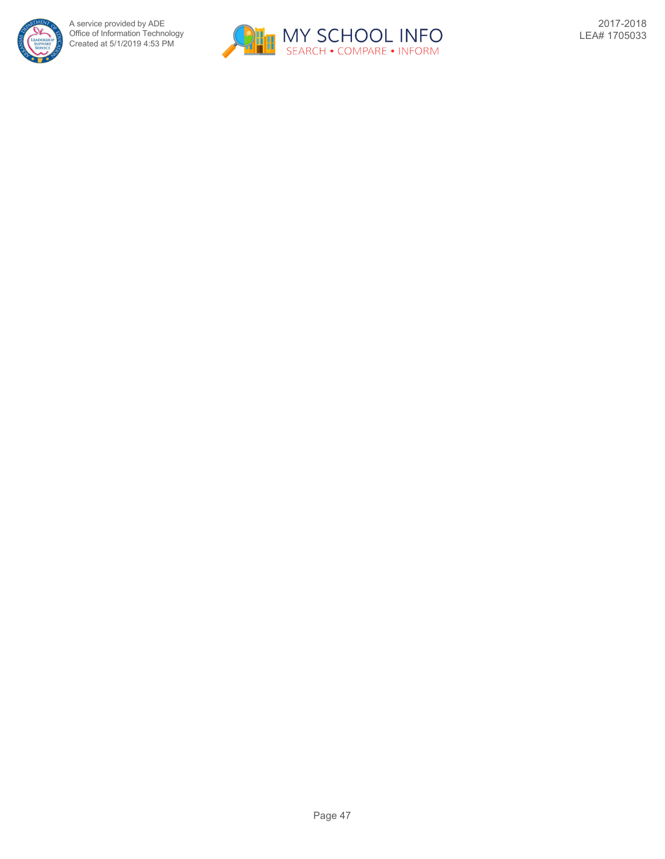

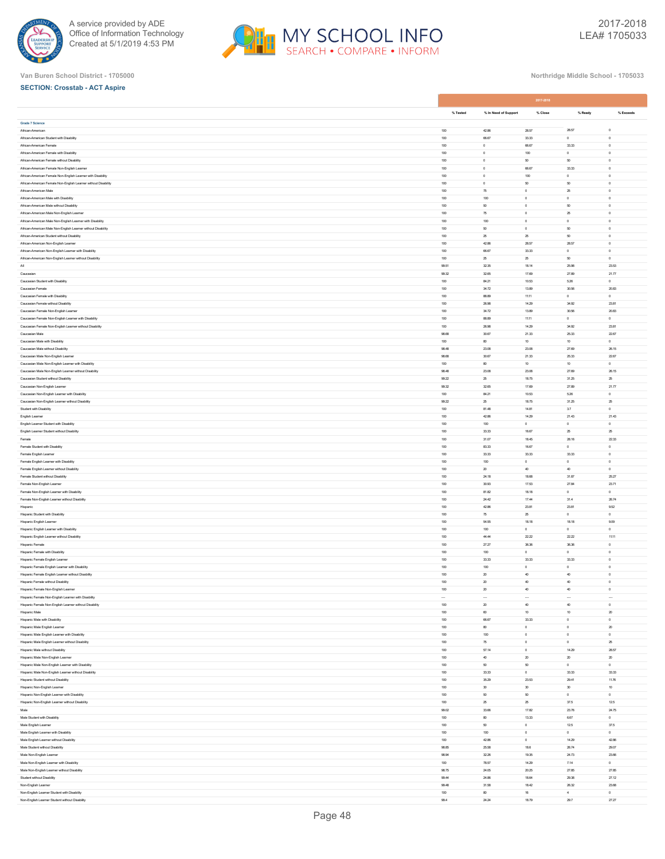



|                                                                                                               |                 |                       | 2017-2018                |                        |                      |
|---------------------------------------------------------------------------------------------------------------|-----------------|-----------------------|--------------------------|------------------------|----------------------|
|                                                                                                               | $%$ Tested      | % In Need of Support  | $\%$ Close               | % Ready                | % Exceeds            |
| <b>Grade 7 Science</b>                                                                                        |                 |                       |                          |                        |                      |
| African-American                                                                                              | 100             | 42.86                 | 28.57                    | 28.57                  | $\circ$              |
| African-American Student with Disability                                                                      | 100             | 66.67                 | 33.33                    | $\circ$                | $\circ$              |
| African-American Female                                                                                       | 100             | $\,$ 0                | 66.67                    | 33.33                  | $\,$ 0 $\,$          |
| African-American Female with Disability                                                                       | 100             | $\circ$               | 100                      | $\circ$                | $\circ$              |
| African-American Female without Disability                                                                    | 100             | $\,$ 0 $\,$           | 60                       | 60                     | $\circ$              |
| African-American Female Non-English Learner                                                                   | 100             | $\,$ 0 $\,$           | 66.67                    | 33.33                  | $\,$ 0               |
| African-American Female Non-English Learner with Disability                                                   | 100             | $\circ$               | 100                      | $^{\circ}$             | $\circ$              |
| African-American Female Non-English Learner without Disability                                                | 100             | $\,$ 0 $\,$           | 60                       | $_{50}$                | $\circ$              |
| African-American Male                                                                                         | 100             | 75                    | $\,$ 0                   | 25                     | $\,$ 0 $\,$          |
| African-American Male with Disability                                                                         | 100             | 100                   | $\circ$                  | $\circ$                | $\circ$              |
| African-American Male without Disability                                                                      | 100             | $_{50}$               | $\circ$                  | $_{50}$                | $\,$ 0               |
| African-American Male Non-English Learner                                                                     | 100             | 75                    | $\,$ 0                   | 25                     | $\,$ 0 $\,$          |
| African-American Male Non-English Learner with Disability                                                     | 100             | 100                   | $\,$ 0 $\,$              | $\,$ 0 $\,$            | $\,$ 0 $\,$          |
| African-American Male Non-English Learner without Disability<br>African-American Student without Disability   | 100<br>100      | $_{50}$<br>25         | $\,$ 0 $\,$<br>$\rm{2S}$ | $_{50}$<br>$_{50}$     | $\,$ 0<br>$\circ$    |
| African-American Non-English Learner                                                                          | 100             | 42.86                 | 28.57                    | 28.57                  | $\,$ 0 $\,$          |
| African-American Non-English Learner with Disability                                                          | 100             | 66.67                 | 33.33                    | $\,$ 0                 | $\circ$              |
| African-American Non-English Learner without Disability                                                       | 100             | 25                    | 25                       | 50                     | $\circ$              |
| $\mathsf{All}$                                                                                                | 99.51           | 32.35                 | 18.14                    | 25.98                  | 23.53                |
| Caucasian                                                                                                     | 99.32           | 32.65                 | 17.69                    | 27.89                  | 21.77                |
| Caucasian Student with Disability                                                                             | 100             | 84.21                 | 10.53                    | 5.26                   | $\circ$              |
| Caucasian Female                                                                                              | 100             | 34.72                 | 13.89                    | 30.56                  | 20.83                |
| Caucasian Female with Disability                                                                              | 100             | 88.89                 | 11.11                    | $\circ$                | $\circ$              |
| Caucasian Female without Disability                                                                           | 100             | 26.98                 | 14.29                    | 34.92                  | 23.81                |
| Caucasian Female Non-English Learner                                                                          | 100             | 34.72                 | 13.89                    | 30.56                  | 20.83                |
| Caucasian Female Non-English Learner with Disability                                                          | 100             | 88.89                 | 11.11                    | $\circ$                | $\circ$              |
| Caucasian Female Non-English Learner without Disability                                                       | 100             | 26.98                 | 14.29                    | 34.92                  | 23.81                |
| Caucasian Male                                                                                                | 98.68           | 30.67                 | 21.33                    | 25.33                  | 22.67                |
| Caucasian Male with Disability                                                                                | 100             | 80                    | 10                       | $10\,$                 | $\,$ 0 $\,$          |
| Caucasian Male without Disability                                                                             | 98.48           | 23.08<br>30.67        | 23.08                    | 27.69<br>25.33         | 26.15<br>22.67       |
| Caucasian Male Non-English Learner<br>Caucasian Male Non-English Learner with Disability                      | 98.68<br>100    | 80                    | 21.33<br>10              | $10\,$                 | $\,$ 0 $\,$          |
| Caucasian Male Non-English Learner without Disability                                                         | 98.48           | 23.08                 | 23.08                    | 27.69                  | 26.15                |
| Caucasian Student without Disability                                                                          | 99.22           | 25                    | 18.75                    | 31.25                  | 25                   |
| Caucasian Non-English Learner                                                                                 | 99.32           | 32.65                 | 17.69                    | 27.89                  | 21.77                |
| Caucasian Non-English Learner with Disability                                                                 | 100             | 84.21                 | 10.53                    | 5.26                   | $\,$ 0               |
| Caucasian Non-English Learner without Disability                                                              | 99.22           | $\rm{2S}$             | 18.75                    | 31.25                  | $\rm 25$             |
| Student with Disability                                                                                       | 100             | 81.48                 | 14.81                    | $3.7\,$                | $\,$ 0 $\,$          |
| English Learner                                                                                               | 100             | 42.86                 | 14.29                    | 21.43                  | 21.43                |
| English Learner Student with Disability                                                                       | 100             | 100                   | $\circ$                  | $\circ$                | $\circ$              |
| English Learner Student without Disability                                                                    | 100             | 33.33                 | 16.67                    | 25                     | $\rm 25$             |
| Female                                                                                                        | 100             | 31.07                 | 18.45                    | 28.16                  | 22.33                |
| Female Student with Disability                                                                                | 100             | 83.33                 | 16.67                    | $\,0\,$                | $\,0\,$              |
| Female English Learner                                                                                        | 100             | 33.33                 | 33.33                    | 33.33                  | $\,$ 0 $\,$          |
| Female English Learner with Disability                                                                        | 100             | 100                   | $\,$ 0 $\,$              | $\,$ 0 $\,$            | $\,$ 0 $\,$          |
| Female English Learner without Disability                                                                     | 100             | $\rm{20}$             | $40\,$                   | $40\,$                 | $\,$ 0               |
| Female Student without Disability                                                                             | 100             | 24.18                 | 18.68                    | 31.87                  | 25.27                |
| Female Non-English Learner                                                                                    | 100<br>100      | 30.93<br>81.82        | 17.53<br>18.18           | 27.84<br>$\,$ 0        | 23.71<br>$\,0\,$     |
| Female Non-English Learner with Disability                                                                    | 100             | 24.42                 | 17.44                    | 31.4                   | 26.74                |
| Female Non-English Learner without Disability<br>Hispanic                                                     | 100             | 42.86                 | 23.81                    | 23.81                  | 9.52                 |
| Hispanic Student with Disability                                                                              | 100             | 75                    | 25                       | $\circ$                | $\circ$              |
| Hispanic English Learner                                                                                      | 100             | 54.55                 | 18.18                    | 18.18                  | 9.09                 |
| Hispanic English Learner with Disability                                                                      | 100             | 100                   | $\,$ 0                   | $\,$ 0 $\,$            | $\,$ 0 $\,$          |
| Hispanic English Learner without Disability                                                                   | 100             | 44.44                 | 22.22                    | 22.22                  | 11.11                |
| Hispanic Female                                                                                               | 100             | 27.27                 | 36.36                    | 36.36                  | $\circ$              |
| Hispanic Female with Disability                                                                               | 100             | 100                   | $\,$ 0                   | $\,0\,$                | $\,$ 0 $\,$          |
| Hispanic Female English Learner                                                                               | 100             | 33.33                 | 33.33                    | 33.33                  | $\circ$              |
| Hispanic Female English Learner with Disability                                                               | 100             | 100                   | $\,$ 0                   | $\circ$                | $\,$ 0               |
| Hispanic Female English Learner without Disability                                                            | 100             | 20                    | $40\,$                   | 40                     | $\,$ 0 $\,$          |
| Hispanic Female without Disability                                                                            | 100             | $\rm{20}$             | $40\,$                   | 40                     | $\,$ 0 $\,$          |
| Hispanic Female Non-English Learner                                                                           | 100<br>$\cdots$ | $\rm{20}$<br>$\cdots$ | $40\,$<br>$\ddotsc$      | $40\,$<br>$\ddotsc$    | $\,0\,$<br>$\cdots$  |
| Hispanic Female Non-English Learner with Disability<br>Hispanic Female Non-English Learner without Disability | 100             | $20\,$                | 40                       | $40\,$                 | $\,$ 0 $\,$          |
| Hispanic Male                                                                                                 | 100             | 60                    | 10                       | 10                     | $20\,$               |
| Hispanic Male with Disability                                                                                 | 100             | 66.67                 | 33.33                    | $\circ$                | $\circ$              |
| Hispanic Male English Learner                                                                                 | 100             | $_{\rm 80}$           | $\,$ 0 $\,$              | $\,$ 0 $\,$            | $\rm 20$             |
| Hispanic Male English Learner with Disability                                                                 | 100             | 100                   | $\,$ 0 $\,$              | $\circ$                | $\circ$              |
| Hispanic Male English Learner without Disability                                                              | 100             | 75                    | $\circ$                  | $\circ$                | $\rm{25}$            |
| Hispanic Male without Disability                                                                              | 100             | 57.14                 | $\,$ 0 $\,$              | 14.29                  | 28.57                |
| Hispanic Male Non-English Learner                                                                             | 100             | 40                    | $20\,$                   | 20                     | 20                   |
| Hispanic Male Non-English Learner with Disability                                                             | 100             | 60                    | $_{50}$                  | $\circ$                | $\circ$              |
| Hispanic Male Non-English Learner without Disability                                                          | 100             | 33.33                 | $\,$ 0                   | 33.33                  | 33.33                |
| Hispanic Student without Disability                                                                           | 100             | 35.29                 | 23.53                    | 29.41                  | 11.76                |
| Hispanic Non-English Learner                                                                                  | 100             | $_{\rm 30}$           | $30\,$                   | $30\,$                 | 10                   |
| Hispanic Non-English Learner with Disability                                                                  | 100             | $_{50}$               | 50                       | $\,0\,$                | $\,$ 0 $\,$          |
| Hispanic Non-English Learner without Disability<br>Male                                                       | 100             | $\rm{2S}$             | $\rm{2S}$                | 37.5                   | 12.5                 |
| Male Student with Disability                                                                                  | 99.02<br>100    | 33.66<br>80           | 17.82<br>13.33           | 23.76<br>6.67          | 24.75<br>$\circ$     |
| Male English Learner                                                                                          | 100             | 60                    | $\,$ 0 $\,$              | 12.5                   | 37.5                 |
| Male English Learner with Disability                                                                          | 100             | 100                   | $\circ$                  | $\circ$                | $\circ$              |
| Male English Learner without Disability                                                                       | 100             | 42.86                 | $\circ$                  | 14.29                  | 42.86                |
| Male Student without Disability                                                                               |                 |                       | 18.6                     | 26.74                  | 29.07                |
|                                                                                                               | 98.85           | 25.58                 |                          |                        |                      |
| Male Non-English Learner                                                                                      | 98.94           | 32.26                 | 19.35                    | 24.73                  | 23.66                |
| Male Non-English Learner with Disability                                                                      | 100             | 78.57                 | 14.29                    | 7.14                   | $\circ$              |
| Male Non-English Learner without Disability                                                                   | 98.75           | 24.05                 | 20.25                    | 27.85                  | 27.85                |
| Student without Disability                                                                                    | 99.44           | 24.86                 | 18.64                    | 29.38                  | 27.12                |
| Non-English Learner                                                                                           | 99.48           | 31.58                 | 18.42                    | 26.32                  | 23.68                |
| Non-English Learner Student with Disability<br>Non-English Learner Student without Disability                 | 100<br>99.4     | 80<br>24.24           | $16\,$<br>18.79          | $\overline{4}$<br>29.7 | $\,$ 0 $\,$<br>27.27 |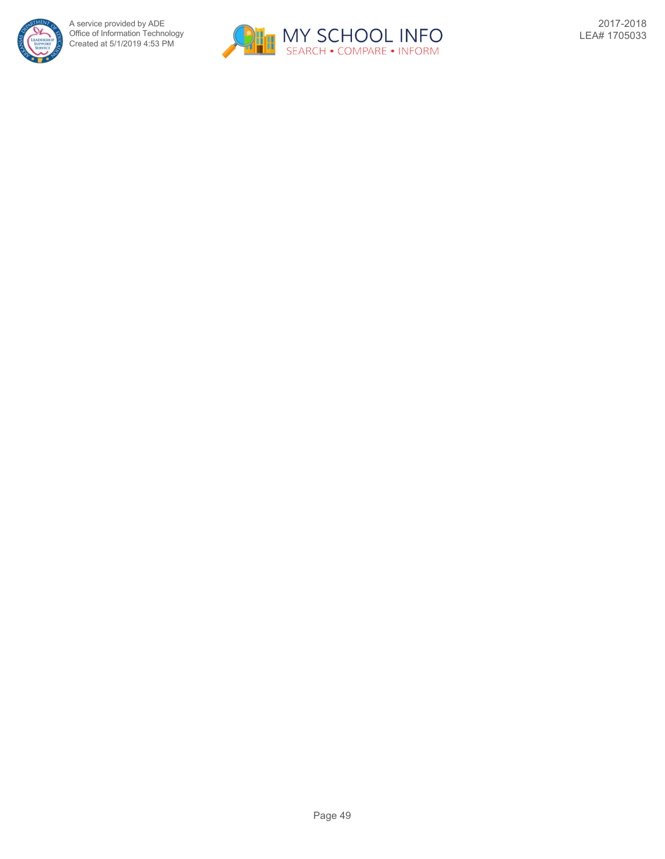

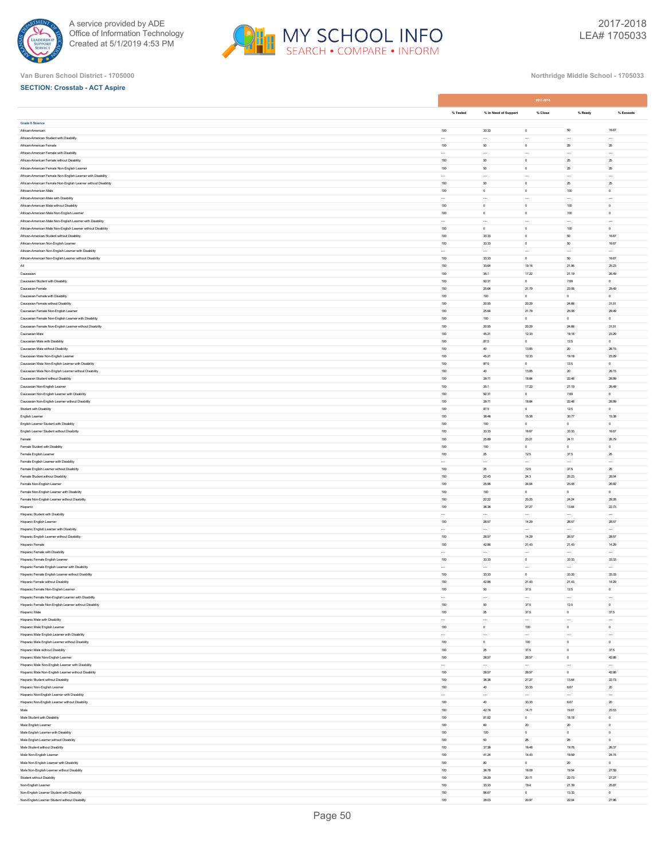



|                                                                                                             |                 |                      | 2017-2018                    |                      |                          |
|-------------------------------------------------------------------------------------------------------------|-----------------|----------------------|------------------------------|----------------------|--------------------------|
|                                                                                                             | % Tested        | % In Need of Support | % Close                      | % Ready              | % Exceeds                |
| Grade 8 Science                                                                                             |                 |                      |                              |                      |                          |
| African-American                                                                                            | 100             | 33.33                | $\circ$                      | 60                   | 16.67                    |
| African-American Student with Disability                                                                    | $\cdots$        | $\cdots$             | $\cdots$                     | $\cdots$             | $\cdots$                 |
| African-American Female                                                                                     | 100             | $_{50}$              | $\,$ 0                       | 25                   | $\rm 25$                 |
| African-American Female with Disability                                                                     | $\cdots$        | $\cdots$             | $\ddotsc$                    | $\cdots$             | $\cdots$                 |
| African-American Female without Disability                                                                  | 100             | $^{50}$              | $\,$ 0                       | 25                   | $\rm 25$                 |
| African-American Female Non-English Learner<br>African-American Female Non-English Learner with Disability  | 100<br>$\cdots$ | $_{50}$<br>$\sim$    | $\,$ 0<br>$\cdots$           | 25<br>$\cdots$       | $\rm 25$<br>$\cdots$     |
| African-American Female Non-English Learner without Disability                                              | 100             | $_{50}$              | $\,$ 0                       | 25                   | $\rm 25$                 |
| African-American Male                                                                                       | 100             | $\circ$              | $\,$ 0 $\,$                  | 100                  | $\circ$                  |
| African-American Male with Disability                                                                       | $\cdots$        | $\cdots$             | $\cdots$                     | $\cdots$             | $\ddotsc$                |
| African-American Male without Disability                                                                    | 100             | $\circ$              | $\,$ 0 $\,$                  | 100                  | $\,$ 0                   |
| African-American Male Non-English Learner                                                                   | 100             | $\circ$              | $\,$ 0 $\,$                  | 100                  | $\circ$                  |
| African-American Male Non-English Learner with Disability                                                   |                 | $\sim$               | $\ddot{\phantom{0}}$         | $\ddot{\phantom{0}}$ | $\ddotsc$                |
| African-American Male Non-English Learner without Disability                                                | 100             | $\circ$              | $\,$ 0 $\,$                  | 100                  | $\circ$                  |
| African-American Student without Disability                                                                 | 100             | 33.33                | $\,$ 0 $\,$                  | 60                   | 16.67                    |
| African-American Non-English Learner                                                                        | 100             | 33.33                | $\,$ 0                       | $_{50}$              | 16.67                    |
| African-American Non-English Learner with Disability                                                        | $\cdots$        | $\cdots$             | $\cdots$                     | $\ddotsc$            | $\cdots$                 |
| African-American Non-English Learner without Disability<br>All                                              | 100<br>100      | 33.33<br>33.64       | $\,$ 0 $\,$<br>19.16         | $_{50}$<br>21.96     | 16.67<br>25.23           |
| Caucasian                                                                                                   | 100             | 35.1                 | 17.22                        | 21.19                | 26.49                    |
| Caucasian Student with Disability                                                                           | 100             | 92.31                | $\,$ 0 $\,$                  | 7.69                 | $\circ$                  |
| Caucasian Female                                                                                            | 100             | 25.64                | 21.79                        | 23.08                | 29.49                    |
| Caucasian Female with Disability                                                                            | 100             | 100                  | $\,$ 0 $\,$                  | $\,$ 0 $\,$          | $\,$ 0 $\,$              |
| Caucasian Female without Disability                                                                         | 100             | 20.55                | 23.29                        | 24.66                | 31.51                    |
| Caucasian Female Non-English Learner                                                                        | 100             | 25.64                | 21.79                        | 23.08                | 29.49                    |
| Caucasian Female Non-English Learner with Disability                                                        | 100             | 100                  | $\,$ 0 $\,$                  | $\,$ 0 $\,$          | $\,$ 0 $\,$              |
| Caucasian Female Non-English Learner without Disability                                                     | 100             | 20.55                | 23.29                        | 24.66                | 31.51                    |
| Caucasian Male                                                                                              | 100             | 45.21                | 12.33                        | 19.18                | 23.29                    |
| Caucasian Male with Disability                                                                              | 100             | $87.5\,$             | $\,$ 0                       | 12.5                 | $\,$ 0 $\,$              |
| Caucasian Male without Disability                                                                           | 100             | 40                   | 13.85                        | $20\,$               | 26.15                    |
| Caucasian Male Non-English Learner                                                                          | 100             | 45.21                | 12.33<br>$\,$ 0 $\,$         | 19.18                | 23.29                    |
| Caucasian Male Non-English Learner with Disability<br>Caucasian Male Non-English Learner without Disability | 100<br>100      | $87.5\,$<br>40       | 13.85                        | 12.5<br>20           | $\,$ 0 $\,$<br>26.15     |
| Caucasian Student without Disability                                                                        | 100             | 29.71                | 18.84                        | 22.46                | 28.99                    |
| Caucasian Non-English Learner                                                                               | 100             | 35.1                 | 17.22                        | 21.19                | 26.49                    |
| Caucasian Non-English Learner with Disability                                                               | 100             | 92.31                | $\circ$                      | 7.69                 | $\circ$                  |
| Caucasian Non-English Learner without Disability                                                            | 100             | 29.71                | 18.84                        | 22.46                | 28.99                    |
| Student with Disability                                                                                     | 100             | 87.5                 | $\,$ 0                       | 12.5                 | $\,$ 0 $\,$              |
| English Learner                                                                                             | 100             | 38.46                | 15.38                        | 30.77                | 15.38                    |
| English Learner Student with Disability                                                                     | 100             | 100                  | $\,$ 0 $\,$                  | $\circ$              | $\,$ 0 $\,$              |
| English Learner Student without Disability                                                                  | 100             | 33.33                | 16.67                        | 33.33                | 16.67                    |
| Female                                                                                                      | 100             | 25.89                | 23.21                        | 24.11                | 26.79                    |
| Female Student with Disability                                                                              | 100             | 100                  | $\,0\,$                      | $\circ$              | $\,$ 0                   |
| Female English Learner                                                                                      | 100<br>         | $\rm{25}$<br>        | 12.5<br>$\ddot{\phantom{0}}$ | 37.5<br>ä,           | 25<br>$\cdots$           |
| Female English Learner with Disability<br>Female English Learner without Disability                         | 100             | $\rm{25}$            | 12.5                         | 37.5                 | $\rm 25$                 |
| Female Student without Disability                                                                           | 100             | 22.43                | 24.3                         | 25.23                | 28.04                    |
| Female Non-English Learner                                                                                  | 100             | 25.96                | 24.04                        | 23.08                | 26.92                    |
| Female Non-English Learner with Disability                                                                  | 100             | 100                  | $\circ$                      | $\circ$              | $\circ$                  |
| Female Non-English Learner without Disability                                                               | 100             | 22.22                | 25.25                        | 24.24                | 28.28                    |
| Hispanic                                                                                                    | 100             | 36.36                | 27.27                        | 13.64                | 22.73                    |
| Hispanic Student with Disability                                                                            | $\cdots$        | $\sim$               | $\cdots$                     | $\ddotsc$            | $\overline{\phantom{a}}$ |
| Hispanic English Learner                                                                                    | 100             | 28.57                | 14.29                        | 28.57                | 28.57                    |
| Hispanic English Learner with Disability                                                                    | $\sim$          | $\cdots$             | $\ddotsc$                    | $\ddotsc$            | $\ddotsc$                |
| Hispanic English Learner without Disability                                                                 | 100<br>100      | 28.57<br>42.86       | 14.29<br>21.43               | 28.57<br>21.43       | 28.57<br>14.29           |
| Hispanic Female<br>Hispanic Female with Disability                                                          | $\cdots$        | $\cdots$             | $\cdots$                     | $\cdots$             | $\cdots$                 |
| Hispanic Female English Learner                                                                             | 100             | 33.33                | $\,$ 0 $\,$                  | 33.33                | 33.33                    |
| Hispanic Female English Learner with Disability                                                             |                 |                      |                              |                      |                          |
| Hispanic Female English Learner without Disability                                                          | 100             | 33.33                | $\circ$                      | 33.33                | 33.33                    |
| Hispanic Female without Disability                                                                          | 100             | 42.86                | 21.43                        | 21.43                | 14.29                    |
| Hispanic Female Non-English Learn                                                                           | 100             | 60                   | 37.5                         | 12.5                 | $\,$ 0                   |
| Hispanic Female Non-English Learner with Disability                                                         | $\cdots$        | $\cdots$             | $\cdots$                     | $\cdots$             | $\cdots$                 |
| Hispanic Female Non-English Learner without Disability                                                      | 100             | $_{50}$              | $37.5\,$                     | 12.5                 | $\,$ 0                   |
| Hispanic Male                                                                                               | 100             | $\rm{25}$            | 37.5                         | $\circ$              | 37.5                     |
| Hispanic Male with Disability<br>Hispanic Male English Learner                                              | $\cdots$<br>100 | $\cdots$<br>$\circ$  | $\cdots$<br>100              | $\cdots$<br>$\,0\,$  | $\cdots$<br>$\,$ 0 $\,$  |
| Hispanic Male English Learner with Disability                                                               | $\cdots$        | $\sim$               | $\cdots$                     | $\cdots$             | $\cdots$                 |
| Hispanic Male English Learner without Disability                                                            | 100             | $\circ$              | 100                          | $\circ$              | $\,$ 0                   |
| Hispanic Male without Disability                                                                            | 100             | $_{\rm 25}$          | 37.5                         | $\,0\,$              | 37.5                     |
| Hispanic Male Non-English Learner                                                                           | 100             | 28.57                | 28.57                        | $\,$ 0               | 42.86                    |
| Hispanic Male Non-English Learner with Disability                                                           |                 |                      |                              |                      |                          |
| Hispanic Male Non-English Learner without Disability                                                        | 100             | 28.57                | 28.57                        | $\circ$              | 42.86                    |
| <b>Hispanic Student without Disability</b>                                                                  |                 |                      |                              | 13.64                | 22.73                    |
| Hispanic Non-English Learner                                                                                | 100             | 36.36                | 27.27                        |                      | $20\,$                   |
|                                                                                                             | 100             | 40                   | 33.33                        | 6.67                 |                          |
| Hispanic Non-English Learner with Disability                                                                | $\cdots$        | $\sim$               | $\cdots$                     | $\cdots$             | $\cdots$                 |
| Hispanic Non-English Learner without Disability                                                             | 100             | $40\,$               | 33.33                        | 6.67                 | $\rm 20$                 |
| Male                                                                                                        | 100             | 42.16                | 14.71<br>$\,$ 0 $\,$         | 19.61                | 23.53<br>$\circ$         |
| Male Student with Disability                                                                                | 100             | 81.82                |                              | 18.18                |                          |
| Male English Learner<br>Male English Learner with Disability                                                | 100<br>100      | $_{60}$<br>100       | $20\,$<br>$\circ$            | $\rm 20$<br>$\circ$  | $\,$ 0 $\,$<br>$\circ$   |
| Male English Learner without Disability                                                                     | 100             | 60                   | $\rm{2S}$                    | $\rm{25}$            | $\circ$                  |
| Male Student without Disability                                                                             | 100             | 37.36                | 16.48                        | 19.78                | 26.37                    |
| Male Non-English Learner                                                                                    | 100             | 41.24                | 14.43                        | 19.59                | 24.74                    |
| Male Non-English Learner with Disability                                                                    | 100             | $_{\rm 80}$          | $\,$ 0                       | $\rm 20$             | $\,$ 0                   |
| Male Non-English Learner without Disability                                                                 | 100             | 36.78                | 16.09                        | 19.54                | 27.59                    |
| Student without Disability                                                                                  | 100             | 29.29                | 20.71                        | 22.73                | 27.27                    |
| Non-English Learner                                                                                         | 100             | 33.33                | 19.4                         | 21.39                | 25.87                    |
| Non-English Learner Student with Disability<br>Non-English Learner Student without Disability               | 100<br>100      | 86.67<br>29.03       | $\circ$<br>20.97             | 13.33<br>22.04       | $^{\circ}$<br>27.96      |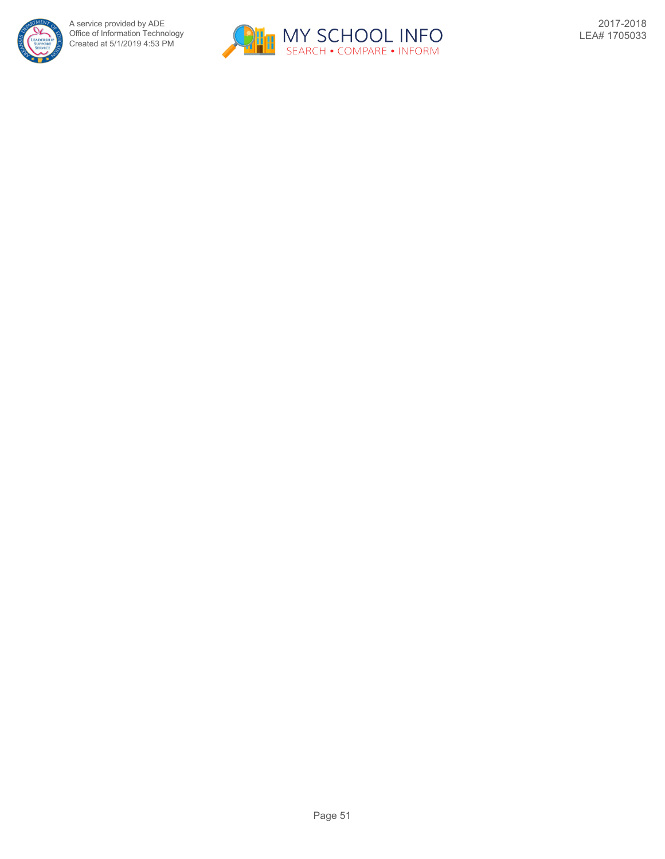

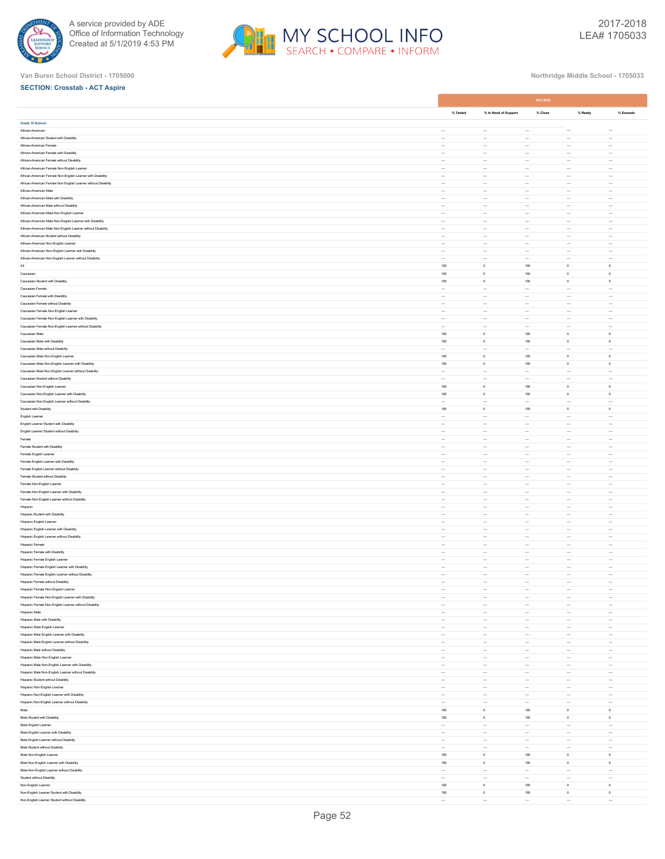



|                                                                                                 |                                  |                                      | 2017-2018                        |                       |                          |
|-------------------------------------------------------------------------------------------------|----------------------------------|--------------------------------------|----------------------------------|-----------------------|--------------------------|
|                                                                                                 | % Tested                         | % In Need of Support                 | % Close                          | % Ready               | % Exceeds                |
|                                                                                                 |                                  |                                      |                                  |                       |                          |
| Grade 10 Science<br>African-American                                                            |                                  |                                      |                                  | $\cdots$              | $\cdots$                 |
| African-American Student with Disability                                                        | $\cdots$<br>$\cdots$             | $\cdots$<br>$\overline{\phantom{a}}$ | $\cdots$<br>$\cdots$             | $\cdots$              | $\ldots$                 |
| African-American Female                                                                         | $\cdots$                         | $\cdots$                             | $\cdots$                         | $\cdots$              | $\cdots$                 |
| African-American Female with Disability                                                         | $\cdots$                         | $\cdots$                             | $\cdots$                         | $\cdots$              | $\cdots$                 |
| African-American Female without Disability                                                      | $\cdots$                         | $\ddotsc$                            | $\ddot{\phantom{0}}$             | $\cdots$              | $\cdots$                 |
| African-American Female Non-English Learner                                                     | $\cdots$                         | $\cdots$                             | $\cdots$                         | $\cdots$              | $\cdots$                 |
| African-American Female Non-English Learner with Disability                                     | $\cdots$                         | $\ddot{\phantom{a}}$                 | $\ddot{\phantom{0}}$             | $\ddotsc$             | $\cdots$                 |
| African-American Female Non-English Learner without Disability                                  | $\cdots$                         | $\cdots$                             | $\cdots$                         | $\cdots$              | $\cdots$                 |
| African-American Male                                                                           | $\cdots$                         | $\cdots$                             | $\ldots$                         | $\cdots$              | $\cdots$                 |
| African-American Male with Disability                                                           | $\cdots$                         | $\sim$                               | $\cdots$                         | $\ddotsc$             | $\cdots$                 |
| African-American Male without Disability                                                        | $\cdots$                         | $\sim$                               | $\cdots$                         | $\cdots$              | $\cdots$                 |
| African-American Male Non-English Learner                                                       | $\cdots$                         | $\cdots$                             | $\cdots$                         | $\cdots$              | $\cdots$                 |
| African-American Male Non-English Learner with Disability                                       | $\ddot{\phantom{a}}$             | $\sim$                               | $\sim$                           | $\ddotsc$             |                          |
| African-American Male Non-English Learner without Disability                                    | $\cdots$                         | $\cdots$                             | $\cdots$                         | $\cdots$              | $\cdots$                 |
| African-American Student without Disability                                                     | $\cdots$<br>$\ddot{\phantom{a}}$ | $\ddotsc$<br>$\sim$                  | $\ddotsc$<br>$\sim$              | $\cdots$<br>$\ddotsc$ | $\cdots$<br>             |
| African-American Non-English Learner<br>African-American Non-English Learner with Disability    | $\cdots$                         | $\cdots$                             | $\cdots$                         | $\cdots$              | $\cdots$                 |
| African-American Non-English Learner without Disability                                         | $\cdots$                         | $\sim$                               | $\ddot{\phantom{0}}$             | $\ddotsc$             | $\cdots$                 |
| All                                                                                             | 100                              | $^{\circ}$                           | 100                              | $\mathbf{0}$          | $\circ$                  |
| Caucasian                                                                                       | 100                              | $\circ$                              | 100                              | $\,$ 0 $\,$           | $\,$ 0 $\,$              |
| Caucasian Student with Disability                                                               | 100                              | $\,$ 0 $\,$                          | 100                              | $\mathbb O$           | $\mathsf{O}$             |
| Caucasian Female                                                                                | $\cdots$                         | $\cdots$                             | $\cdots$                         | $\cdots$              | $\cdots$                 |
| Caucasian Female with Disability                                                                | $\overline{\phantom{a}}$         | $\sim$                               | $\ddotsc$                        | $\ddotsc$             | $\cdots$                 |
| Caucasian Female without Disability                                                             | $\cdots$                         | $\ddotsc$                            | $\ddot{\phantom{0}}$             | $\cdots$              | $\cdots$                 |
| Caucasian Female Non-English Learner                                                            | $\cdots$                         | $\cdots$                             | $\cdots$                         | $\cdots$              | $\cdots$                 |
| Caucasian Female Non-English Learner with Disability                                            | $\cdots$                         | $\sim$                               | $\cdots$                         | $\ddotsc$             | $\ddotsc$                |
| Caucasian Female Non-English Learner without Disability                                         | $\cdots$                         | $\sim$                               | $\cdots$                         | $\cdots$              | $\cdots$                 |
| Caucasian Male                                                                                  | 100                              | $\circ$                              | 100                              | $\mathbb O$           | $\mathsf{O}$             |
| Caucasian Male with Disability                                                                  | 100                              | $\,$ 0 $\,$                          | 100                              | $\,$ 0 $\,$           | $\,$ 0 $\,$              |
| Caucasian Male without Disability                                                               | $\cdots$                         | $\cdots$                             | $\ddotsc$                        | $\cdots$              | $\cdots$                 |
| Caucasian Male Non-English Learner                                                              | $100\,$                          | $\,$ 0 $\,$                          | $100\,$                          | $\mathbb O$           | $\,$ 0 $\,$              |
| Caucasian Male Non-English Learner with Disability                                              | 100                              | $\circ$                              | 100                              | $\,$ 0 $\,$           | $\,$ 0 $\,$              |
| Caucasian Male Non-English Learner without Disability<br>Caucasian Student without Disability   | $\cdots$<br>$\cdots$             | $\cdots$<br>$\cdots$                 | $\cdots$<br>$\cdots$             | $\cdots$<br>$\cdots$  | $\cdots$<br>$\cdots$     |
| Caucasian Non-English Learner                                                                   | 100                              | $\circ$                              | 100                              | $^{\circ}$            | $^{\circ}$               |
| Caucasian Non-English Learner with Disability                                                   | 100                              | $\circ$                              | 100                              | $\mathbb O$           | $\mathbb O$              |
| Caucasian Non-English Learner without Disability                                                | $\ddot{\phantom{a}}$             | $\sim$                               | $\sim$                           | $\ddotsc$             | $\overline{\phantom{a}}$ |
| Student with Disability                                                                         | 100                              | $^{\circ}$                           | 100                              | $\circ$               | $\circ$                  |
| English Learner                                                                                 | $\cdots$                         | $\ddot{\phantom{a}}$                 | $\cdots$                         | $\ddotsc$             | $\cdots$                 |
| English Learner Student with Disability                                                         | $\cdots$                         | $\cdots$                             | $\cdots$                         | $\cdots$              | $\cdots$                 |
| English Learner Student without Disability                                                      | $\cdots$                         | $\cdots$                             | $\cdots$                         | $\cdots$              | $\cdots$                 |
| Female                                                                                          | $\cdots$                         | $\sim$                               | $\cdots$                         | $\ddotsc$             | $\cdots$                 |
| Female Student with Disability                                                                  | $\cdots$                         | $\sim$                               | $\ddotsc$                        | $\cdots$              | $\cdots$                 |
| Female English Learner                                                                          | $\cdots$                         | $\cdots$                             | $\cdots$                         | $\cdots$              | $\cdots$                 |
| Female English Learner with Disability                                                          | $\ddot{\phantom{a}}$             | $\sim$                               | $\sim$                           | $\ddotsc$             |                          |
| Female English Learner without Disability                                                       | $\cdots$                         | $\cdots$                             | $\cdots$                         | $\cdots$              | $\cdots$                 |
| Female Student without Disability                                                               | $\cdots$                         | $\ddotsc$                            | $\cdots$                         | $\cdots$              | $\cdots$                 |
| Female Non-English Learner                                                                      | ä,                               | $\sim$                               | $\sim$                           | $\ddotsc$             | $\ddotsc$                |
| Female Non-English Learner with Disability                                                      | $\cdots$                         | $\cdots$                             | $\cdots$                         | $\cdots$              | $\cdots$                 |
| Female Non-English Learner without Disability<br>Hispanic                                       | $\cdots$<br>$\cdots$             | $\ddotsc$<br>$\cdots$                | $\ddot{\phantom{0}}$<br>$\cdots$ | <br>$\cdots$          | <br>$\cdots$             |
| Hispanic Student with Disability                                                                | $\cdots$                         | $\cdots$                             | $\cdots$                         | $\cdots$              | $\cdots$                 |
| Hispanic English Learner                                                                        | $\cdots$                         | $\ddotsc$                            | $\cdots$                         | $\cdots$              | $\cdots$                 |
| Hispanic English Learner with Disability                                                        | $\cdots$                         | $\cdots$                             | $\cdots$                         | $\cdots$              | $\cdots$                 |
| Hispanic English Learner without Disability                                                     | $\cdots$                         | $\sim$                               | $\cdots$                         | $\ddotsc$             | $\cdots$                 |
| Hispanic Female                                                                                 | $\cdots$                         | $\ddotsc$                            | $\ddotsc$                        | $\cdots$              | $\cdots$                 |
| Hispanic Female with Disability                                                                 | $\cdots$                         | $\cdots$                             | $\cdots$                         | $\cdots$              | $\cdots$                 |
| Hispanic Female English Learner                                                                 | $\cdots$                         | $\ddot{\phantom{a}}$                 | $\cdots$                         | $\ddotsc$             | $\cdots$                 |
| Hispanic Female English Learner with Disability                                                 | $\cdots$                         | $\sim$                               | $\cdots$                         | $\cdots$              | $\cdots$                 |
| Hispanic Female English Learner without Disability                                              | $\cdots$                         | $\cdots$                             | $\cdots$                         | $\cdots$              | $\cdots$                 |
| Hispanic Female without Disability                                                              | à.                               | $\sim$                               | $\ddot{\phantom{a}}$             |                       |                          |
| Hispanic Female Non-English Learner<br>Hispanic Female Non-English Learner with Disability      | $\cdots$<br>$\ldots$             | $\sim$<br>$\ddot{\phantom{0}}$       | $\cdots$<br>$\cdots$             | $\cdots$<br>$\cdots$  | $\cdots$<br>             |
| Hispanic Female Non-English Learner without Disability                                          | $\cdots$                         | $\sim$                               | $\sim$                           | $\cdots$              | $\overline{\phantom{a}}$ |
| Hispanic Male                                                                                   | $\cdots$                         | $\cdots$                             | $\cdots$                         | $\cdots$              | $\cdots$                 |
| Hispanic Male with Disability                                                                   | $\cdots$                         | $\ldots$                             | $\cdots$                         | $\ldots$              | $\ldots$                 |
| Hispanic Male English Learner                                                                   | $\cdots$                         | $\sim$                               | $\cdots$                         | $\ddotsc$             | $\cdots$                 |
| Hispanic Male English Learner with Disability                                                   | $\cdots$                         | $\cdots$                             | $\cdots$                         | $\cdots$              | $\cdots$                 |
| Hispanic Male English Learner without Disability                                                | $\ldots$                         | $\cdots$                             | $\ldots$                         | $\cdots$              | $\ldots$                 |
| Hispanic Male without Disability                                                                | $\cdots$                         | $\sim$                               | $\cdots$                         | $\cdots$              | $\ldots$                 |
| Hispanic Male Non-English Learner                                                               | $\cdots$                         | $\cdots$                             | $\cdots$                         | $\cdots$              | $\cdots$                 |
| Hispanic Male Non-English Learner with Disability                                               | $\ldots$                         | $\cdots$                             | $\cdots$                         | $\cdots$              | $\cdots$                 |
| Hispanic Male Non-English Learner without Disability                                            | $\ldots$                         | $\cdots$                             | $\cdots$                         | $\cdots$              | $\cdots$                 |
| Hispanic Student without Disability                                                             | $\cdots$                         | $\ddot{\phantom{a}}$                 | $\ddot{\phantom{0}}$             | $\ddotsc$             | $\cdots$                 |
| Hispanic Non-English Learner                                                                    | $\cdots$                         | $\sim$                               | $\cdots$                         | $\cdots$              | $\cdots$                 |
| Hispanic Non-English Learner with Disability<br>Hispanic Non-English Learner without Disability | $\ldots$<br>$\ddotsc$            | $\cdots$<br>$\sim$                   | $\cdots$<br>$\ddotsc$            | $\cdots$<br>$\ddotsc$ | $\ldots$<br>$\cdots$     |
| Male                                                                                            | 100                              | $\circ$                              | 100                              | $\circ$               | $\circ$                  |
| Male Student with Disability                                                                    | $100\,$                          | $\,$ 0 $\,$                          | $100\,$                          | $\,$ 0 $\,$           | $\,$ 0 $\,$              |
| Male English Learner                                                                            | $\sim$                           | $\sim$                               | $\sim$                           | $\ddotsc$             | $\cdots$                 |
| Male English Learner with Disability                                                            | $\cdots$                         | $\cdots$                             | $\cdots$                         | $\cdots$              | $\cdots$                 |
| Male English Learner without Disability                                                         | $\ldots$                         | $\cdots$                             | $\cdots$                         | $\cdots$              | $\cdots$                 |
| Male Student without Disability                                                                 | $\cdots$                         | $\cdots$                             | $\sim$                           | $\ddotsc$             | $\overline{\phantom{a}}$ |
| Male Non-English Learner                                                                        | 100                              | $\circ$                              | 100                              | $\circ$               | $\mathbb O$              |
| Male Non-English Learner with Disability                                                        | 100                              | $\,$ 0 $\,$                          | 100                              | $\mathbb O$           | $\mathsf{O}$             |
| Male Non-English Learner without Disability                                                     | $\cdots$                         | $\cdots$                             | $\ddotsc$                        | $\ddotsc$             | $\cdots$                 |
| Student without Disability                                                                      | $\ddot{\phantom{0}}$             | $\sim$                               |                                  | $\ddotsc$             |                          |
| Non-English Learner                                                                             | 100                              | $\,$ 0 $\,$                          | 100                              | $\mathbb O$           | $\mathsf{O}$             |
| Non-English Learner Student with Disability                                                     | 100                              | $\,$ 0 $\,$                          | 100                              | $\,$ 0 $\,$           | $\mathsf{O}$             |
| Non-English Learner Student without Disability                                                  |                                  | $\cdots$                             | $\cdots$                         | $\ddotsc$             | $\cdots$                 |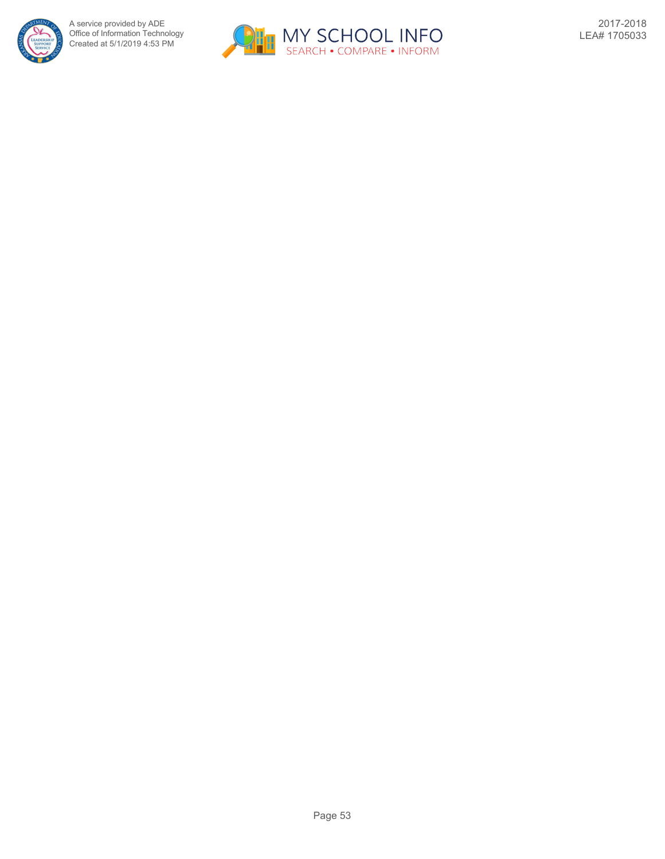

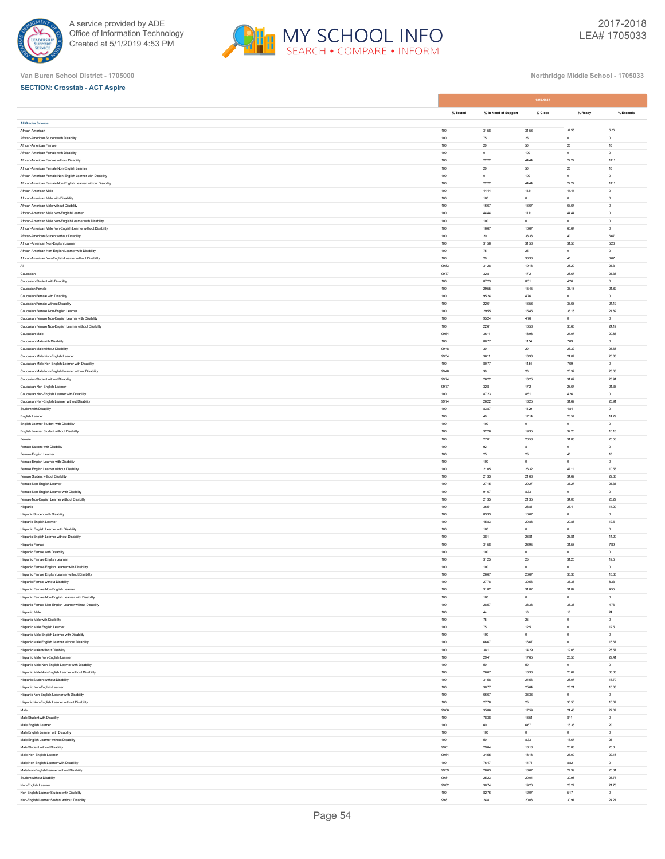



|                                                                                                                               |                |                      | 2017-2018                  |                        |                      |
|-------------------------------------------------------------------------------------------------------------------------------|----------------|----------------------|----------------------------|------------------------|----------------------|
|                                                                                                                               | $%$ Tested     | % In Need of Support | $\%$ Close                 | % Ready                | % Exceeds            |
| All Grades Science                                                                                                            |                |                      |                            |                        |                      |
| African-American                                                                                                              | 100            | 31.58                | 31.58                      | 31.58                  | 5.26                 |
| African-American Student with Disability                                                                                      | 100            | 75                   | $\rm{2S}$                  | $\circ$                | $\circ$              |
| African-American Female                                                                                                       | 100            | $\rm{20}$            | $_{50}$                    | $\rm 20$               | $10\,$               |
| African-American Female with Disability                                                                                       | 100            | $\circ$              | 100                        | $\circ$                | $\circ$              |
| African-American Female without Disability                                                                                    | 100            | 22.22                | 44.44                      | 22.22                  | 11.11                |
| African-American Female Non-English Learner                                                                                   | 100<br>100     | $\rm{20}$<br>$\circ$ | $_{\rm 50}$<br>100         | $\rm 20$<br>$^{\circ}$ | $10\,$<br>$\circ$    |
| African-American Female Non-English Learner with Disability<br>African-American Female Non-English Learner without Disability | 100            | 22.22                | 44.44                      | 22.22                  | 11.11                |
| African-American Male                                                                                                         | 100            | 44.44                | 11.11                      | 44.44                  | $\,$ 0 $\,$          |
| African-American Male with Disability                                                                                         | 100            | 100                  | $\circ$                    | $\circ$                | $\circ$              |
| African-American Male without Disability                                                                                      | 100            | 16.67                | 16.67                      | 66.67                  | $\,$ 0               |
| African-American Male Non-English Learner                                                                                     | 100            | 44.44                | 11.11                      | 44.44                  | $\,$ 0 $\,$          |
| African-American Male Non-English Learner with Disability                                                                     | 100            | 100                  | $\,$ 0 $\,$                | $\,$ 0 $\,$            | $\,$ 0 $\,$          |
| African-American Male Non-English Learner without Disability                                                                  | 100            | 16.67                | 16.67                      | 66.67                  | $\,0\,$              |
| African-American Student without Disability                                                                                   | 100            | 20                   | 33.33                      | 40                     | 6.67                 |
| African-American Non-English Learner                                                                                          | 100            | 31.58                | 31.58                      | 31.58                  | 5.26                 |
| African-American Non-English Learner with Disability                                                                          | 100<br>100     | 75<br>20             | $_{\rm 25}$<br>33.33       | $\circ$<br>40          | $\,$ 0<br>6.67       |
| African-American Non-English Learner without Disability<br>$\mathsf{All}$                                                     | 99.83          | 31.28                | 19.13                      | 28.29                  | 21.3                 |
| Caucasian                                                                                                                     | 99.77          | 32.8                 | 17.2                       | 28.67                  | 21.33                |
| Caucasian Student with Disability                                                                                             | 100            | 87.23                | 8.51                       | 4.26                   | $\circ$              |
| Caucasian Female                                                                                                              | 100            | 29.55                | 15.45                      | 33.18                  | 21.82                |
| Caucasian Female with Disability                                                                                              | 100            | 95.24                | 4.76                       | $\circ$                | $\circ$              |
| Caucasian Female without Disability                                                                                           | 100            | 22.61                | 16.58                      | 36.68                  | 24.12                |
| Caucasian Female Non-English Learner                                                                                          | 100            | 29.55                | 15.45                      | 33.18                  | 21.82                |
| Caucasian Female Non-English Learner with Disability                                                                          | 100            | 95.24                | 4.76                       | $\circ$                | $\circ$              |
| Caucasian Female Non-English Learner without Disability                                                                       | 100            | 22.61                | 16.58                      | 36.68                  | 24.12                |
| Caucasian Male                                                                                                                | 99.54          | 36.11                | 18.98                      | 24.07                  | 20.83                |
| Caucasian Male with Disability<br>Caucasian Male without Disability                                                           | 100<br>99.48   | 80.77<br>$_{\rm 30}$ | 11.54<br>$\rm{20}$         | 7.69<br>26.32          | $\,$ 0 $\,$<br>23.68 |
| Caucasian Male Non-English Learner                                                                                            | 99.54          | 36.11                | 18.98                      | 24.07                  | 20.83                |
| Caucasian Male Non-English Learner with Disability                                                                            | 100            | 80.77                | 11.54                      | 7.69                   | $\,$ 0 $\,$          |
| Caucasian Male Non-English Learner without Disability                                                                         | 99.48          | 30                   | $20\,$                     | 26.32                  | 23.68                |
| Caucasian Student without Disability                                                                                          | 99.74          | 26.22                | 18.25                      | 31.62                  | 23.91                |
| Caucasian Non-English Learner                                                                                                 | 99.77          | $32.8\,$             | $17.2\,$                   | 28.67                  | 21.33                |
| Caucasian Non-English Learner with Disability                                                                                 | 100            | 87.23                | 8.51                       | 4.26                   | $\circ$              |
| Caucasian Non-English Learner without Disability                                                                              | 99.74          | 26.22                | 18.25                      | 31.62                  | 23.91                |
| Student with Disability                                                                                                       | 100            | 83.87                | 11.29                      | 4.84                   | $\,$ 0 $\,$          |
| English Learner                                                                                                               | 100            | 40                   | 17.14                      | 28.57                  | 14.29                |
| English Learner Student with Disability                                                                                       | 100            | 100                  | $\circ$                    | $\circ$                | $\circ$              |
| English Learner Student without Disability<br>Female                                                                          | 100<br>100     | 32.26<br>27.01       | 19.35<br>20.58             | 32.26<br>31.83         | 16.13<br>20.58       |
|                                                                                                                               |                |                      | $\boldsymbol{8}$           | $\,0\,$                | $\,0\,$              |
|                                                                                                                               |                |                      |                            |                        |                      |
| Female Student with Disability                                                                                                | 100            | $92\,$               |                            |                        |                      |
| Female English Learner<br>Female English Learner with Disability                                                              | 100<br>100     | $\rm{25}$<br>100     | $_{\rm 25}$<br>$\,$ 0 $\,$ | 40<br>$\,$ 0 $\,$      | 10<br>$\,$ 0 $\,$    |
| Female English Learner without Disability                                                                                     | 100            | 21.05                | 26.32                      | 42.11                  | 10.53                |
| Female Student without Disability                                                                                             | 100            | 21.33                | 21.68                      | 34.62                  | 22.38                |
| Female Non-English Learner                                                                                                    | 100            | 27.15                | 20.27                      | 31.27                  | 21.31                |
| Female Non-English Learner with Disability                                                                                    | 100            | 91.67                | 8.33                       | $\,$ 0                 | $\,$ 0               |
| Female Non-English Learner without Disability                                                                                 | 100            | 21.35                | 21.35                      | 34.08                  | 23.22                |
| Hispanic                                                                                                                      | 100            | 36.51                | 23.81                      | 25.4                   | 14.29                |
| Hispanic Student with Disability                                                                                              | 100            | 83.33                | 16.67                      | $\circ$                | $\circ$              |
| Hispanic English Learner                                                                                                      | 100            | 45.83                | 20.83                      | 20.83                  | 12.5                 |
| Hispanic English Learner with Disability                                                                                      | 100<br>100     | 100<br>38.1          | $\,$ 0<br>23.81            | $\,$ 0 $\,$<br>23.81   | $\,$ 0 $\,$<br>14.29 |
| Hispanic English Learner without Disability<br>Hispanic Female                                                                | 100            | 31.58                | 28.95                      | 31.58                  | 7.89                 |
| Hispanic Female with Disability                                                                                               | 100            | 100                  | $\,$ 0 $\,$                | $\,0\,$                | $\,$ 0 $\,$          |
| Hispanic Female English Learner                                                                                               | 100            | 31.25                | $\rm{2S}$                  | 31.25                  | 12.5                 |
| Hispanic Female English Learner with Disability                                                                               | 100            | 100                  | $\circ$                    | $\circ$                | $\,$ 0               |
| Hispanic Female English Learner without Disability                                                                            | 100            | 26.67                | 26.67                      | 33.33                  | 13.33                |
| Hispanic Female without Disability                                                                                            | 100            | 27.78                | 30.56                      | 33.33                  | 8.33                 |
| Hispanic Female Non-English Learner                                                                                           | 100            | 31.82                | 31.82                      | 31.82                  | 4.55                 |
| Hispanic Female Non-English Learner with Disability                                                                           | 100            | 100                  | $\circ$                    | $^{\circ}$             | $^{\circ}$           |
| Hispanic Female Non-English Learner without Disability                                                                        | 100            | 28.57<br>44          | 33.33                      | 33.33<br>16            | 4.76                 |
| Hispanic Male<br>Hispanic Male with Disability                                                                                | 100<br>100     | 75                   | 16<br>$\rm{2S}$            | $\circ$                | 24<br>$\circ$        |
| Hispanic Male English Learner                                                                                                 | 100            | $75\,$               | $12.5\,$                   | $\,$ 0 $\,$            | 12.5                 |
| Hispanic Male English Learner with Disability                                                                                 | 100            | 100                  | $\circ$                    | $\circ$                | $\circ$              |
| Hispanic Male English Learner without Disability                                                                              | 100            | 66.67                | 16.67                      | $\circ$                | 16.67                |
| Hispanic Male without Disability                                                                                              | 100            | 38.1                 | 14.29                      | 19.05                  | 28.57                |
| Hispanic Male Non-English Learner                                                                                             | 100            | 29.41                | 17.65                      | 23.53                  | 29.41                |
| Hispanic Male Non-English Learner with Disability                                                                             | 100            | 60                   | 60                         | $\circ$                | $\circ$              |
| Hispanic Male Non-English Learner without Disability                                                                          | 100            | 26.67                | 13.33                      | 26.67                  | 33.33                |
| Hispanic Student without Disability                                                                                           | 100            | 31.58                | 24.56                      | 28.07                  | 15.79                |
| Hispanic Non-English Learner                                                                                                  | 100            | 30.77<br>66.67       | 25.64                      | 28.21                  | 15.38                |
| Hispanic Non-English Learner with Disability<br>Hispanic Non-English Learner without Disability                               | 100<br>100     | 27.78                | 33.33<br>$\rm{2S}$         | $\,0\,$<br>30.56       | $\,$ 0 $\,$<br>16.67 |
| Male                                                                                                                          | 99.66          | 35.86                | 17.59                      | 24.48                  | 22.07                |
| Male Student with Disability                                                                                                  | 100            | 78.38                | 13.51                      | 8.11                   | $\circ$              |
| Male English Learner                                                                                                          | 100            | 60                   | 6.67                       | 13.33                  | $\rm{20}$            |
| Male English Learner with Disability                                                                                          | 100            | 100                  | $\circ$                    | $\circ$                | $\circ$              |
| Male English Learner without Disability                                                                                       | 100            | 60                   | 8.33                       | 16.67                  | 25                   |
| Male Student without Disability                                                                                               | 99.61          | 29.64                | 18.18                      | 26.88                  | 25.3                 |
| Male Non-English Learner                                                                                                      | 99.64          | 34.55                | 18.18                      | 25.09                  | 22.18                |
| Male Non-English Learner with Disability                                                                                      | 100            | 76.47                | 14.71                      | 8.82                   | $\circ$              |
| Male Non-English Learner without Disability<br>Student without Disability                                                     | 99.59<br>99.81 | 28.63<br>25.23       | 18.67<br>20.04             | 27.39<br>30.98         | 25.31<br>23.75       |
| Non-English Learner                                                                                                           | 99.82          | 30.74                | 19.26                      | 28.27                  | 21.73                |
| Non-English Learner Student with Disability                                                                                   | 100            | 82.76                | 12.07                      | 5.17                   | $\,$ 0 $\,$          |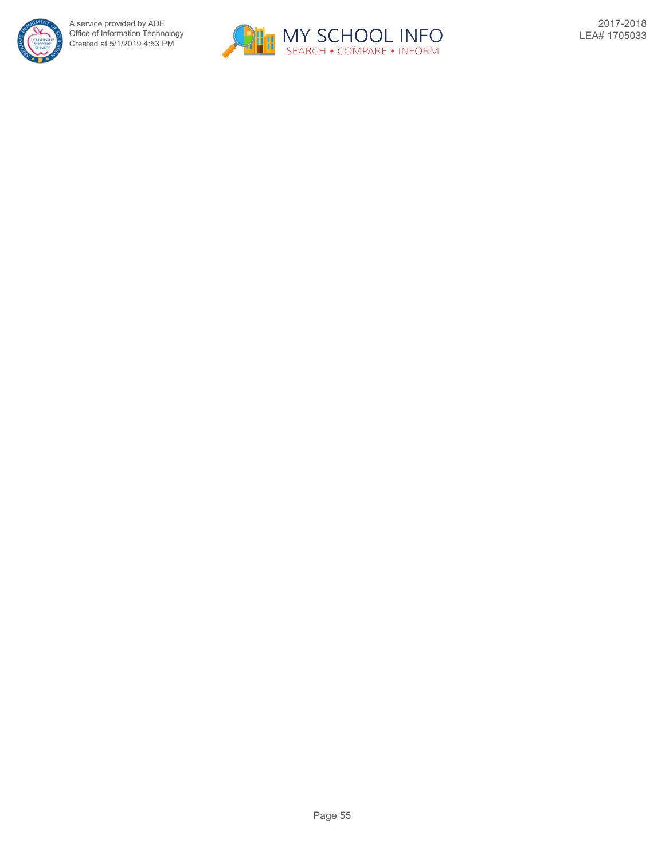

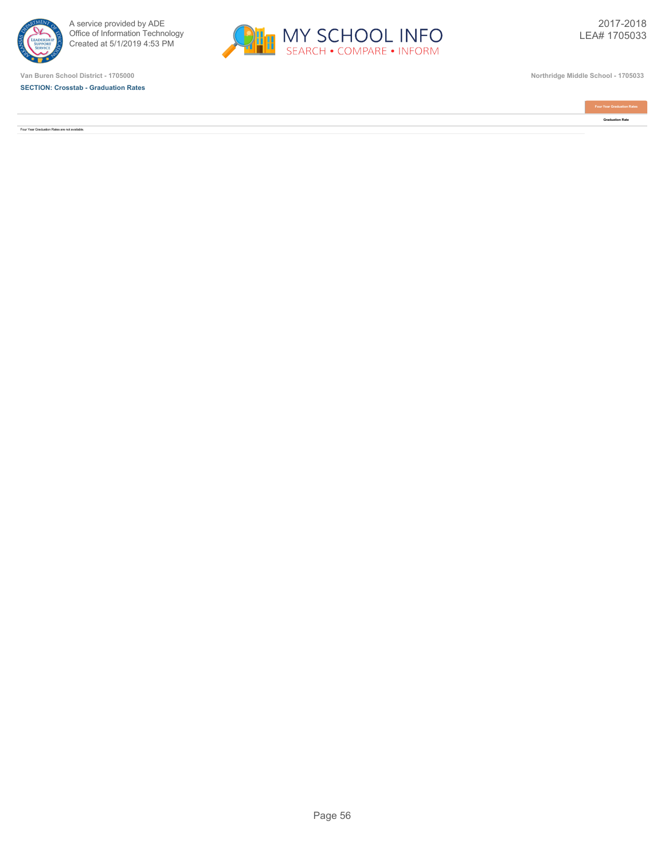

**SECTION: Crosstab - Graduation Rates**



**Van Buren School District - 1705000 Northridge Middle School - 1705033**



Four Year Graduation Rates are not available.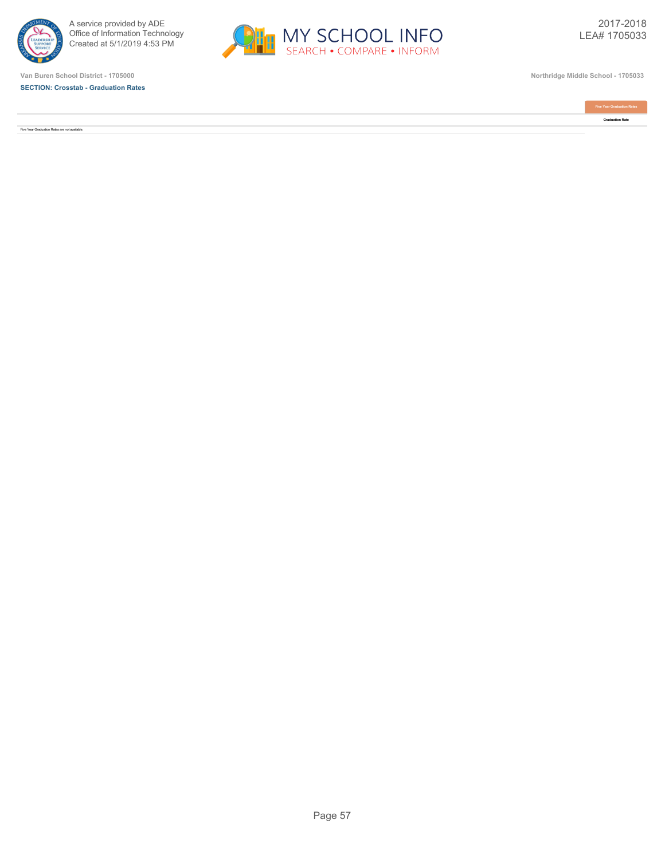

**SECTION: Crosstab - Graduation Rates**



**Van Buren School District - 1705000 Northridge Middle School - 1705033**



Five Year Graduation Rates are not available.